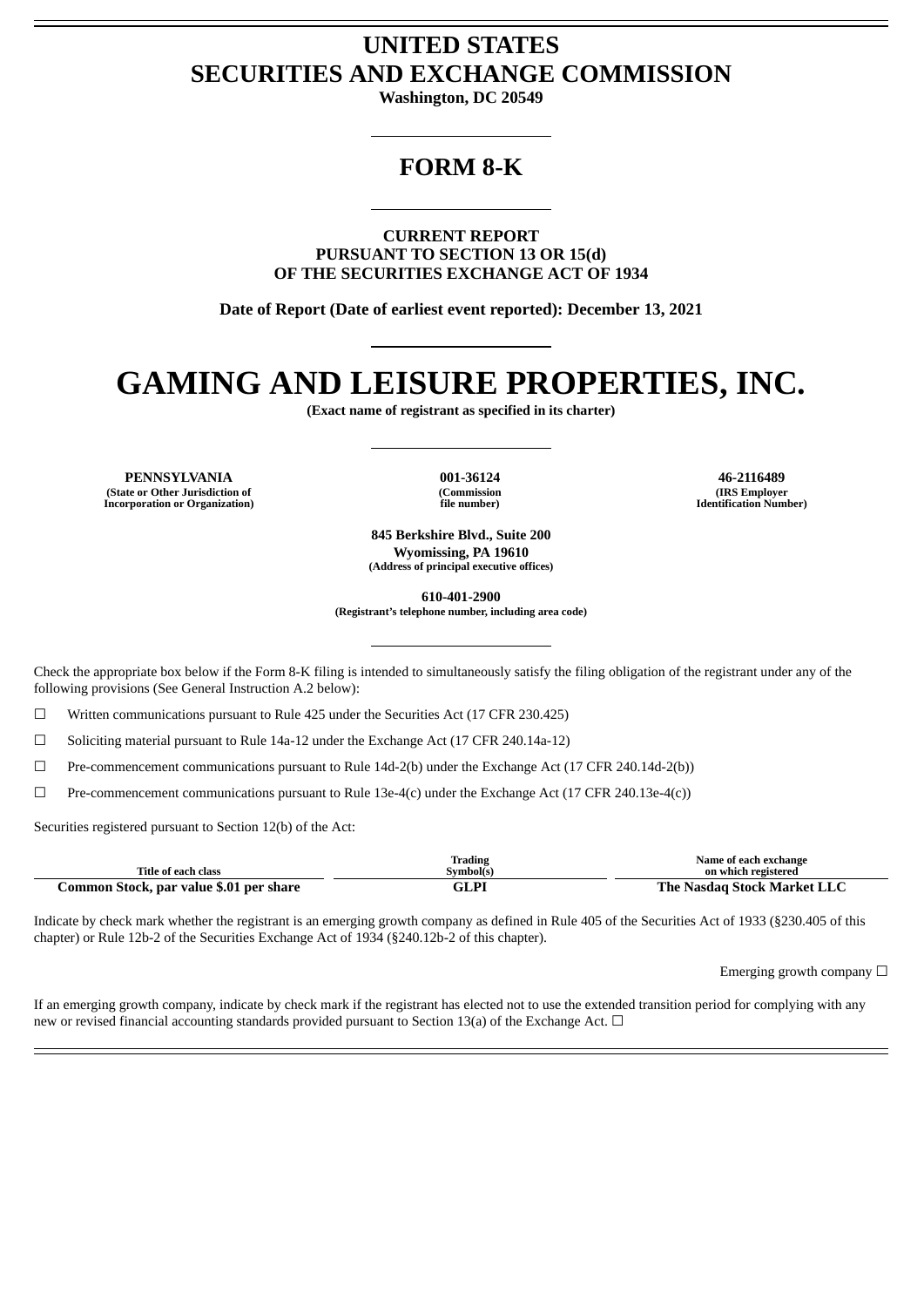# **UNITED STATES SECURITIES AND EXCHANGE COMMISSION**

**Washington, DC 20549**

## **FORM 8-K**

**CURRENT REPORT PURSUANT TO SECTION 13 OR 15(d) OF THE SECURITIES EXCHANGE ACT OF 1934**

**Date of Report (Date of earliest event reported): December 13, 2021**

# **GAMING AND LEISURE PROPERTIES, INC.**

**(Exact name of registrant as specified in its charter)**

**PENNSYLVANIA 001-36124 46-2116489 (State or Other Jurisdiction of Incorporation or Organization)**

**(Commission file number)**

**(IRS Employer Identification Number)**

**845 Berkshire Blvd., Suite 200 Wyomissing, PA 19610 (Address of principal executive offices)**

**610-401-2900**

**(Registrant's telephone number, including area code)**

Check the appropriate box below if the Form 8-K filing is intended to simultaneously satisfy the filing obligation of the registrant under any of the following provisions (See General Instruction A.2 below):

 $\Box$  Written communications pursuant to Rule 425 under the Securities Act (17 CFR 230.425)

 $\Box$  Soliciting material pursuant to Rule 14a-12 under the Exchange Act (17 CFR 240.14a-12)

☐ Pre-commencement communications pursuant to Rule 14d-2(b) under the Exchange Act (17 CFR 240.14d-2(b))

 $\Box$  Pre-commencement communications pursuant to Rule 13e-4(c) under the Exchange Act (17 CFR 240.13e-4(c))

Securities registered pursuant to Section 12(b) of the Act:

| Title of each class                     | Trading<br>Symbol(s) | Name of each exchange<br>on which registered |  |
|-----------------------------------------|----------------------|----------------------------------------------|--|
| Common Stock, par value \$.01 per share | GLPI                 | The Nasdag Stock Market LLC                  |  |

Indicate by check mark whether the registrant is an emerging growth company as defined in Rule 405 of the Securities Act of 1933 (§230.405 of this chapter) or Rule 12b-2 of the Securities Exchange Act of 1934 (§240.12b-2 of this chapter).

Emerging growth company  $\Box$ 

If an emerging growth company, indicate by check mark if the registrant has elected not to use the extended transition period for complying with any new or revised financial accounting standards provided pursuant to Section 13(a) of the Exchange Act.  $\Box$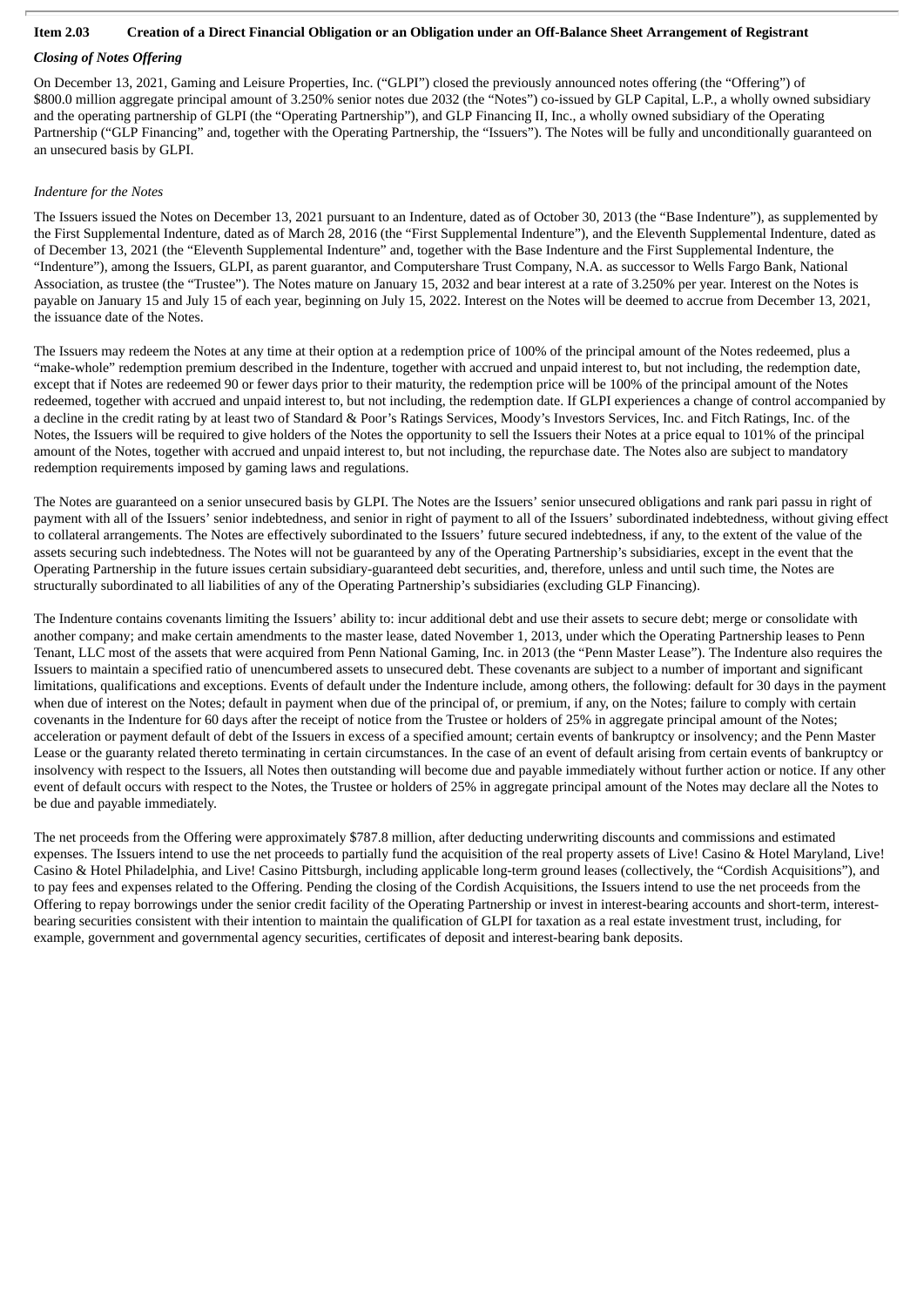## Item 2.03 Creation of a Direct Financial Obligation or an Obligation under an Off-Balance Sheet Arrangement of Registrant

## *Closing of Notes Offering*

On December 13, 2021, Gaming and Leisure Properties, Inc. ("GLPI") closed the previously announced notes offering (the "Offering") of \$800.0 million aggregate principal amount of 3.250% senior notes due 2032 (the "Notes") co-issued by GLP Capital, L.P., a wholly owned subsidiary and the operating partnership of GLPI (the "Operating Partnership"), and GLP Financing II, Inc., a wholly owned subsidiary of the Operating Partnership ("GLP Financing" and, together with the Operating Partnership, the "Issuers"). The Notes will be fully and unconditionally guaranteed on an unsecured basis by GLPI.

#### *Indenture for the Notes*

The Issuers issued the Notes on December 13, 2021 pursuant to an Indenture, dated as of October 30, 2013 (the "Base Indenture"), as supplemented by the First Supplemental Indenture, dated as of March 28, 2016 (the "First Supplemental Indenture"), and the Eleventh Supplemental Indenture, dated as of December 13, 2021 (the "Eleventh Supplemental Indenture" and, together with the Base Indenture and the First Supplemental Indenture, the "Indenture"), among the Issuers, GLPI, as parent guarantor, and Computershare Trust Company, N.A. as successor to Wells Fargo Bank, National Association, as trustee (the "Trustee"). The Notes mature on January 15, 2032 and bear interest at a rate of 3.250% per year. Interest on the Notes is payable on January 15 and July 15 of each year, beginning on July 15, 2022. Interest on the Notes will be deemed to accrue from December 13, 2021, the issuance date of the Notes.

The Issuers may redeem the Notes at any time at their option at a redemption price of 100% of the principal amount of the Notes redeemed, plus a "make-whole" redemption premium described in the Indenture, together with accrued and unpaid interest to, but not including, the redemption date, except that if Notes are redeemed 90 or fewer days prior to their maturity, the redemption price will be 100% of the principal amount of the Notes redeemed, together with accrued and unpaid interest to, but not including, the redemption date. If GLPI experiences a change of control accompanied by a decline in the credit rating by at least two of Standard & Poor's Ratings Services, Moody's Investors Services, Inc. and Fitch Ratings, Inc. of the Notes, the Issuers will be required to give holders of the Notes the opportunity to sell the Issuers their Notes at a price equal to 101% of the principal amount of the Notes, together with accrued and unpaid interest to, but not including, the repurchase date. The Notes also are subject to mandatory redemption requirements imposed by gaming laws and regulations.

The Notes are guaranteed on a senior unsecured basis by GLPI. The Notes are the Issuers' senior unsecured obligations and rank pari passu in right of payment with all of the Issuers' senior indebtedness, and senior in right of payment to all of the Issuers' subordinated indebtedness, without giving effect to collateral arrangements. The Notes are effectively subordinated to the Issuers' future secured indebtedness, if any, to the extent of the value of the assets securing such indebtedness. The Notes will not be guaranteed by any of the Operating Partnership's subsidiaries, except in the event that the Operating Partnership in the future issues certain subsidiary-guaranteed debt securities, and, therefore, unless and until such time, the Notes are structurally subordinated to all liabilities of any of the Operating Partnership's subsidiaries (excluding GLP Financing).

The Indenture contains covenants limiting the Issuers' ability to: incur additional debt and use their assets to secure debt; merge or consolidate with another company; and make certain amendments to the master lease, dated November 1, 2013, under which the Operating Partnership leases to Penn Tenant, LLC most of the assets that were acquired from Penn National Gaming, Inc. in 2013 (the "Penn Master Lease"). The Indenture also requires the Issuers to maintain a specified ratio of unencumbered assets to unsecured debt. These covenants are subject to a number of important and significant limitations, qualifications and exceptions. Events of default under the Indenture include, among others, the following: default for 30 days in the payment when due of interest on the Notes; default in payment when due of the principal of, or premium, if any, on the Notes; failure to comply with certain covenants in the Indenture for 60 days after the receipt of notice from the Trustee or holders of 25% in aggregate principal amount of the Notes; acceleration or payment default of debt of the Issuers in excess of a specified amount; certain events of bankruptcy or insolvency; and the Penn Master Lease or the guaranty related thereto terminating in certain circumstances. In the case of an event of default arising from certain events of bankruptcy or insolvency with respect to the Issuers, all Notes then outstanding will become due and payable immediately without further action or notice. If any other event of default occurs with respect to the Notes, the Trustee or holders of 25% in aggregate principal amount of the Notes may declare all the Notes to be due and payable immediately.

The net proceeds from the Offering were approximately \$787.8 million, after deducting underwriting discounts and commissions and estimated expenses. The Issuers intend to use the net proceeds to partially fund the acquisition of the real property assets of Live! Casino & Hotel Maryland, Live! Casino & Hotel Philadelphia, and Live! Casino Pittsburgh, including applicable long-term ground leases (collectively, the "Cordish Acquisitions"), and to pay fees and expenses related to the Offering. Pending the closing of the Cordish Acquisitions, the Issuers intend to use the net proceeds from the Offering to repay borrowings under the senior credit facility of the Operating Partnership or invest in interest-bearing accounts and short-term, interestbearing securities consistent with their intention to maintain the qualification of GLPI for taxation as a real estate investment trust, including, for example, government and governmental agency securities, certificates of deposit and interest-bearing bank deposits.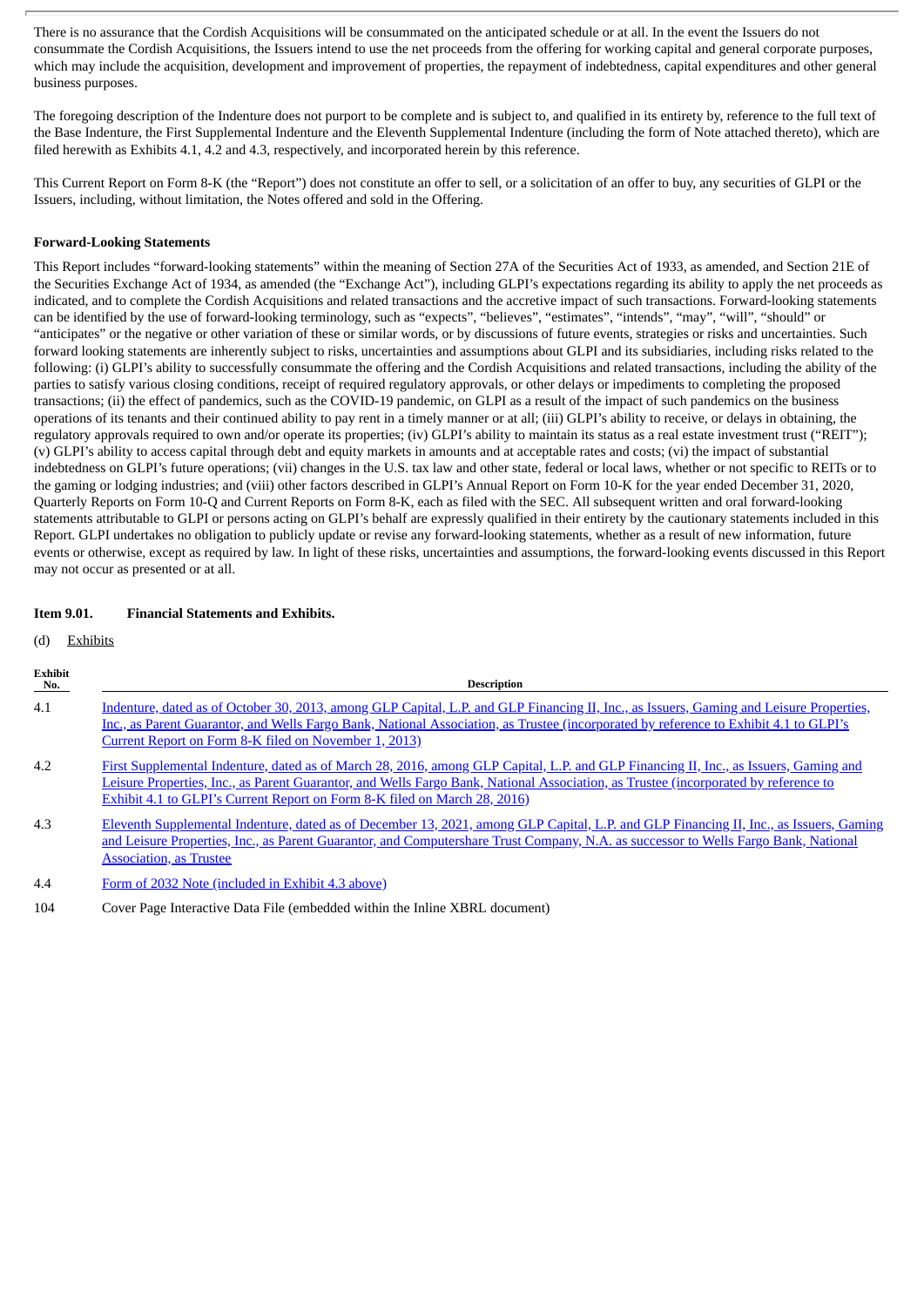There is no assurance that the Cordish Acquisitions will be consummated on the anticipated schedule or at all. In the event the Issuers do not consummate the Cordish Acquisitions, the Issuers intend to use the net proceeds from the offering for working capital and general corporate purposes, which may include the acquisition, development and improvement of properties, the repayment of indebtedness, capital expenditures and other general business purposes.

The foregoing description of the Indenture does not purport to be complete and is subject to, and qualified in its entirety by, reference to the full text of the Base Indenture, the First Supplemental Indenture and the Eleventh Supplemental Indenture (including the form of Note attached thereto), which are filed herewith as Exhibits 4.1, 4.2 and 4.3, respectively, and incorporated herein by this reference.

This Current Report on Form 8-K (the "Report") does not constitute an offer to sell, or a solicitation of an offer to buy, any securities of GLPI or the Issuers, including, without limitation, the Notes offered and sold in the Offering.

#### **Forward-Looking Statements**

This Report includes "forward-looking statements" within the meaning of Section 27A of the Securities Act of 1933, as amended, and Section 21E of the Securities Exchange Act of 1934, as amended (the "Exchange Act"), including GLPI's expectations regarding its ability to apply the net proceeds as indicated, and to complete the Cordish Acquisitions and related transactions and the accretive impact of such transactions. Forward-looking statements can be identified by the use of forward-looking terminology, such as "expects", "believes", "estimates", "intends", "may", "will", "should" or "anticipates" or the negative or other variation of these or similar words, or by discussions of future events, strategies or risks and uncertainties. Such forward looking statements are inherently subject to risks, uncertainties and assumptions about GLPI and its subsidiaries, including risks related to the following: (i) GLPI's ability to successfully consummate the offering and the Cordish Acquisitions and related transactions, including the ability of the parties to satisfy various closing conditions, receipt of required regulatory approvals, or other delays or impediments to completing the proposed transactions; (ii) the effect of pandemics, such as the COVID-19 pandemic, on GLPI as a result of the impact of such pandemics on the business operations of its tenants and their continued ability to pay rent in a timely manner or at all; (iii) GLPI's ability to receive, or delays in obtaining, the regulatory approvals required to own and/or operate its properties; (iv) GLPI's ability to maintain its status as a real estate investment trust ("REIT"); (v) GLPI's ability to access capital through debt and equity markets in amounts and at acceptable rates and costs; (vi) the impact of substantial indebtedness on GLPI's future operations; (vii) changes in the U.S. tax law and other state, federal or local laws, whether or not specific to REITs or to the gaming or lodging industries; and (viii) other factors described in GLPI's Annual Report on Form 10-K for the year ended December 31, 2020, Quarterly Reports on Form 10-Q and Current Reports on Form 8-K, each as filed with the SEC. All subsequent written and oral forward-looking statements attributable to GLPI or persons acting on GLPI's behalf are expressly qualified in their entirety by the cautionary statements included in this Report. GLPI undertakes no obligation to publicly update or revise any forward-looking statements, whether as a result of new information, future events or otherwise, except as required by law. In light of these risks, uncertainties and assumptions, the forward-looking events discussed in this Report may not occur as presented or at all.

#### **Item 9.01. Financial Statements and Exhibits.**

(d) Exhibits

| Exhibit<br>No. | <b>Description</b>                                                                                                                                                                                                                                                                                                                                       |
|----------------|----------------------------------------------------------------------------------------------------------------------------------------------------------------------------------------------------------------------------------------------------------------------------------------------------------------------------------------------------------|
| 4.1            | Indenture, dated as of October 30, 2013, among GLP Capital, L.P. and GLP Financing II, Inc., as Issuers, Gaming and Leisure Properties,<br>Inc., as Parent Guarantor, and Wells Fargo Bank, National Association, as Trustee (incorporated by reference to Exhibit 4.1 to GLPI's<br>Current Report on Form 8-K filed on November 1, 2013)                |
| 4.2            | First Supplemental Indenture, dated as of March 28, 2016, among GLP Capital, L.P. and GLP Financing II, Inc., as Issuers, Gaming and<br>Leisure Properties, Inc., as Parent Guarantor, and Wells Fargo Bank, National Association, as Trustee (incorporated by reference to<br>Exhibit 4.1 to GLPI's Current Report on Form 8-K filed on March 28, 2016) |
| 4.3            | Eleventh Supplemental Indenture, dated as of December 13, 2021, among GLP Capital, L.P. and GLP Financing II, Inc., as Issuers, Gaming<br>and Leisure Properties, Inc., as Parent Guarantor, and Computershare Trust Company, N.A. as successor to Wells Fargo Bank, National<br><b>Association, as Trustee</b>                                          |
| 4.4            | Form of 2032 Note (included in Exhibit 4.3 above)                                                                                                                                                                                                                                                                                                        |

104 Cover Page Interactive Data File (embedded within the Inline XBRL document)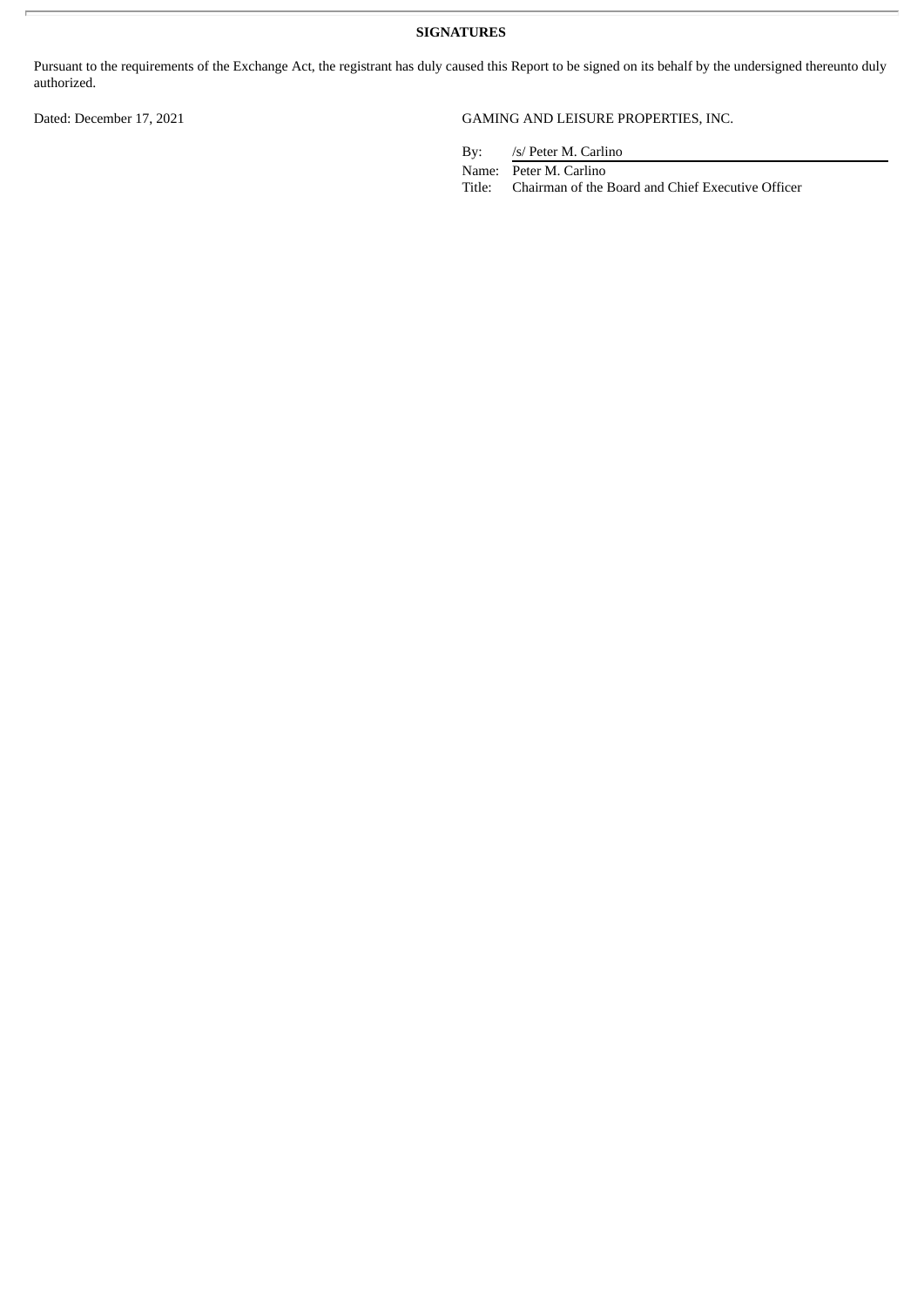**SIGNATURES**

Pursuant to the requirements of the Exchange Act, the registrant has duly caused this Report to be signed on its behalf by the undersigned thereunto duly authorized.

## Dated: December 17, 2021 GAMING AND LEISURE PROPERTIES, INC.

By: /s/ Peter M. Carlino

Name: Peter M. Carlino

Title: Chairman of the Board and Chief Executive Officer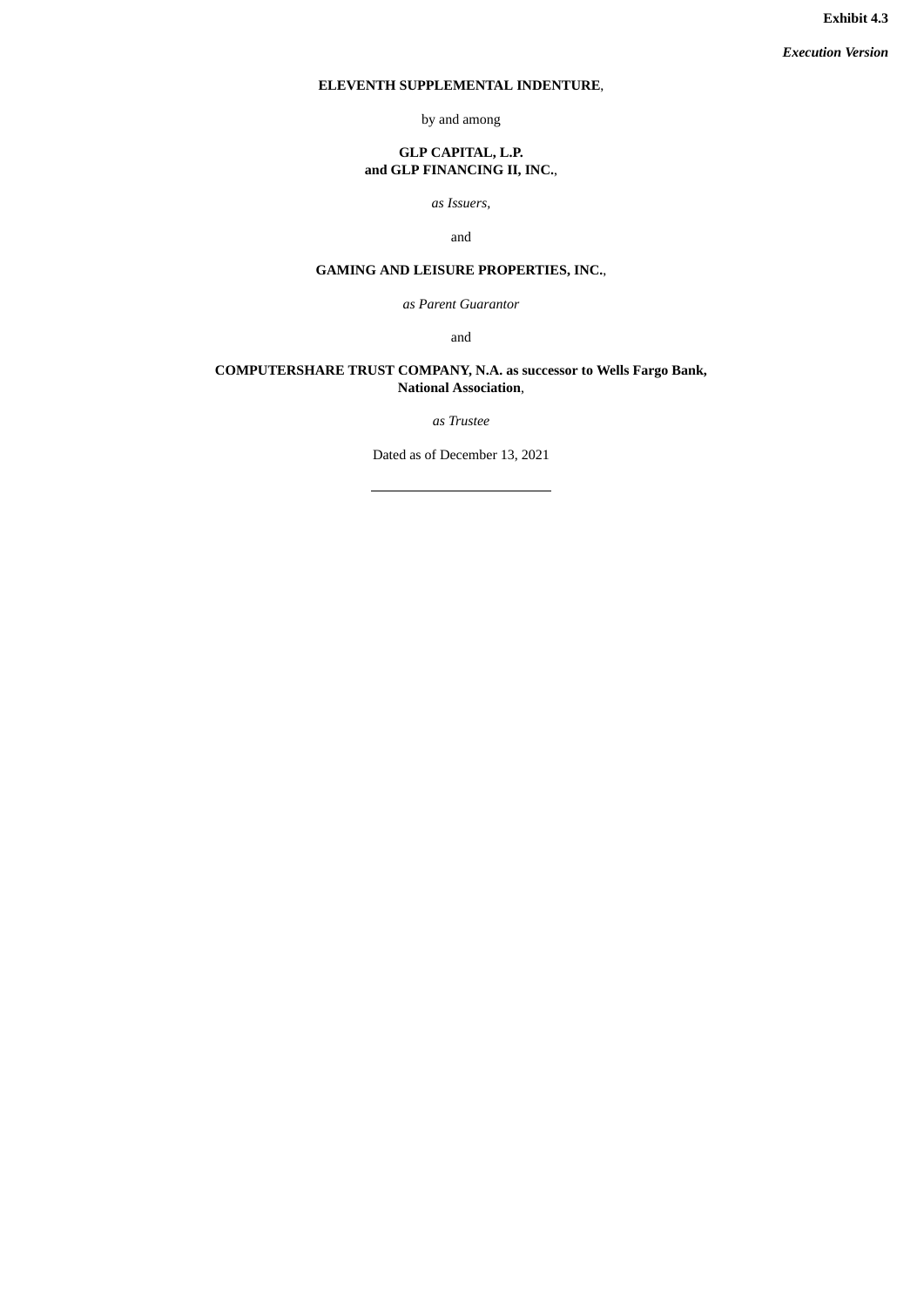**Exhibit 4.3**

*Execution Version*

## <span id="page-4-0"></span>**ELEVENTH SUPPLEMENTAL INDENTURE**,

by and among

## **GLP CAPITAL, L.P. and GLP FINANCING II, INC.**,

*as Issuers,*

and

## **GAMING AND LEISURE PROPERTIES, INC.**,

*as Parent Guarantor*

and

## **COMPUTERSHARE TRUST COMPANY, N.A. as successor to Wells Fargo Bank, National Association**,

*as Trustee*

Dated as of December 13, 2021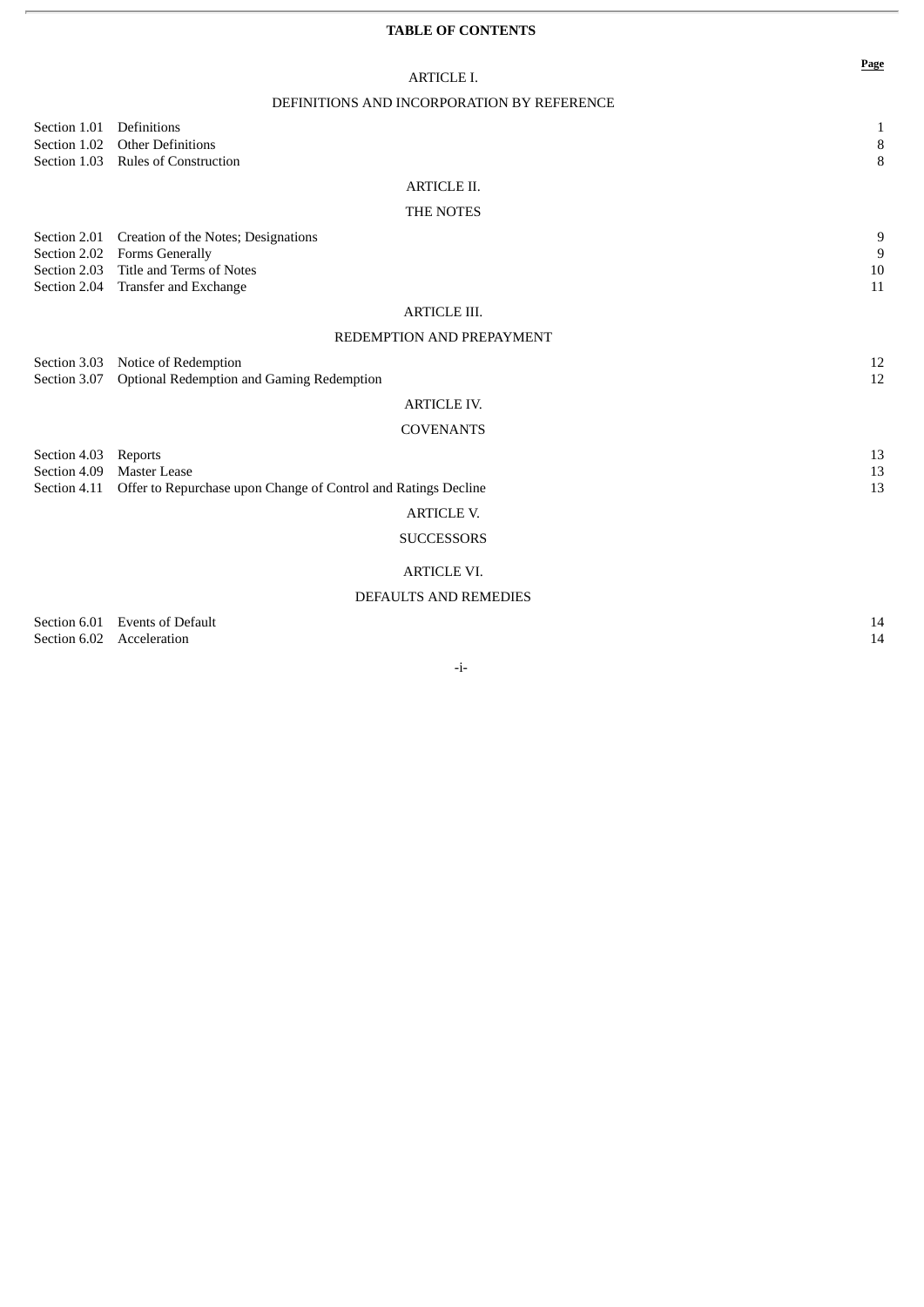## **TABLE OF CONTENTS**

| ARTICLE I.                                 |
|--------------------------------------------|
| DEFINITIONS AND INCORPORATION BY REFERENCE |

| Section 1.01         | Definitions                                                                                  | $\mathbf{1}$               |
|----------------------|----------------------------------------------------------------------------------------------|----------------------------|
|                      | Section 1.02 Other Definitions<br>Section 1.03 Rules of Construction                         | $\, 8$<br>8                |
|                      | <b>ARTICLE II.</b>                                                                           |                            |
|                      | THE NOTES                                                                                    |                            |
|                      |                                                                                              |                            |
|                      | Section 2.01 Creation of the Notes; Designations                                             | 9                          |
|                      | Section 2.02 Forms Generally<br>Section 2.03 Title and Terms of Notes                        | $\boldsymbol{9}$<br>$10\,$ |
|                      | Section 2.04 Transfer and Exchange                                                           | 11                         |
|                      | <b>ARTICLE III.</b>                                                                          |                            |
|                      | REDEMPTION AND PREPAYMENT                                                                    |                            |
|                      |                                                                                              |                            |
|                      | Section 3.03 Notice of Redemption<br>Section 3.07  Optional Redemption and Gaming Redemption | 12<br>12                   |
|                      |                                                                                              |                            |
|                      | <b>ARTICLE IV.</b>                                                                           |                            |
|                      | <b>COVENANTS</b>                                                                             |                            |
| Section 4.03 Reports |                                                                                              | 13                         |
|                      | Section 4.09 Master Lease                                                                    | 13                         |
|                      | Section 4.11 Offer to Repurchase upon Change of Control and Ratings Decline                  | 13                         |
|                      | <b>ARTICLE V.</b>                                                                            |                            |
|                      | <b>SUCCESSORS</b>                                                                            |                            |
|                      | <b>ARTICLE VI.</b>                                                                           |                            |
|                      | <b>DEFAULTS AND REMEDIES</b>                                                                 |                            |

Section 6.01 Events of Default 14<br>Section 6.02 Acceleration 14 Section 6.02 Acceleration

-i-

**Page**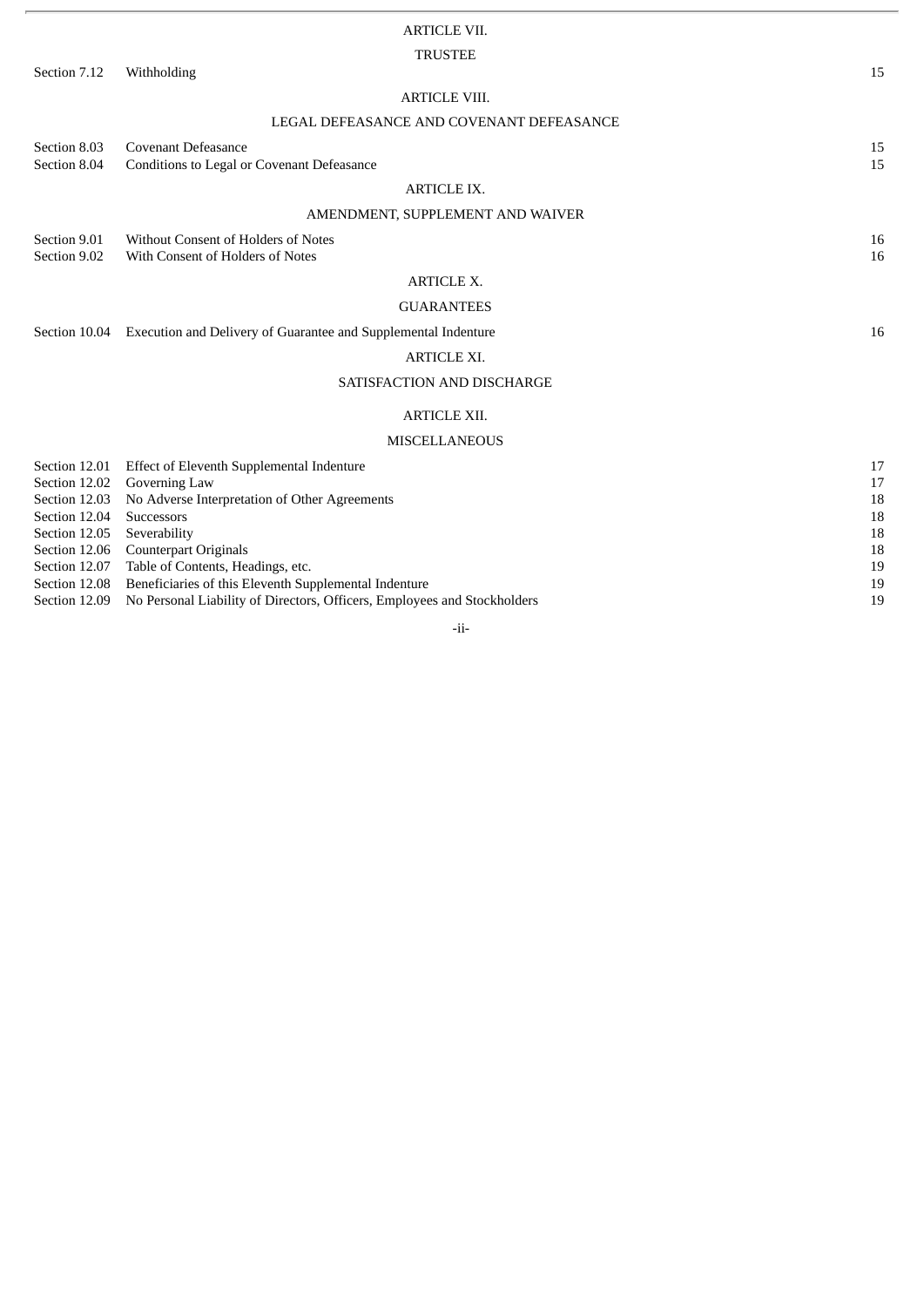|                                | <b>ARTICLE VII.</b>                                                          |          |
|--------------------------------|------------------------------------------------------------------------------|----------|
|                                | <b>TRUSTEE</b>                                                               |          |
| Section 7.12                   | Withholding                                                                  | 15       |
|                                | <b>ARTICLE VIII.</b>                                                         |          |
|                                | LEGAL DEFEASANCE AND COVENANT DEFEASANCE                                     |          |
| Section 8.03                   | Covenant Defeasance                                                          | 15       |
| Section 8.04                   | Conditions to Legal or Covenant Defeasance                                   | 15       |
|                                | <b>ARTICLE IX.</b>                                                           |          |
|                                | AMENDMENT, SUPPLEMENT AND WAIVER                                             |          |
| Section 9.01                   | Without Consent of Holders of Notes                                          | 16       |
| Section 9.02                   | With Consent of Holders of Notes                                             | 16       |
|                                |                                                                              |          |
|                                | <b>ARTICLE X.</b>                                                            |          |
|                                | <b>GUARANTEES</b>                                                            |          |
|                                | Section 10.04 Execution and Delivery of Guarantee and Supplemental Indenture | 16       |
|                                | <b>ARTICLE XI.</b>                                                           |          |
|                                | SATISFACTION AND DISCHARGE                                                   |          |
|                                | <b>ARTICLE XII.</b>                                                          |          |
|                                | <b>MISCELLANEOUS</b>                                                         |          |
|                                |                                                                              |          |
| Section 12.01                  | Effect of Eleventh Supplemental Indenture                                    | 17       |
| Section 12.02<br>Section 12.03 | Governing Law<br>No Adverse Interpretation of Other Agreements               | 17<br>18 |
| Section 12.04                  | Successors                                                                   | 18       |
| Section 12.05                  | Severability                                                                 | 18       |
| Section 12.06                  | Counterpart Originals                                                        | 18       |
| Section 12.07                  | Table of Contents, Headings, etc.                                            | 19       |
| Section 12.08                  | Beneficiaries of this Eleventh Supplemental Indenture                        | 19       |

## Section 12.09 No Personal Liability of Directors, Officers, Employees and Stockholders 19

-ii-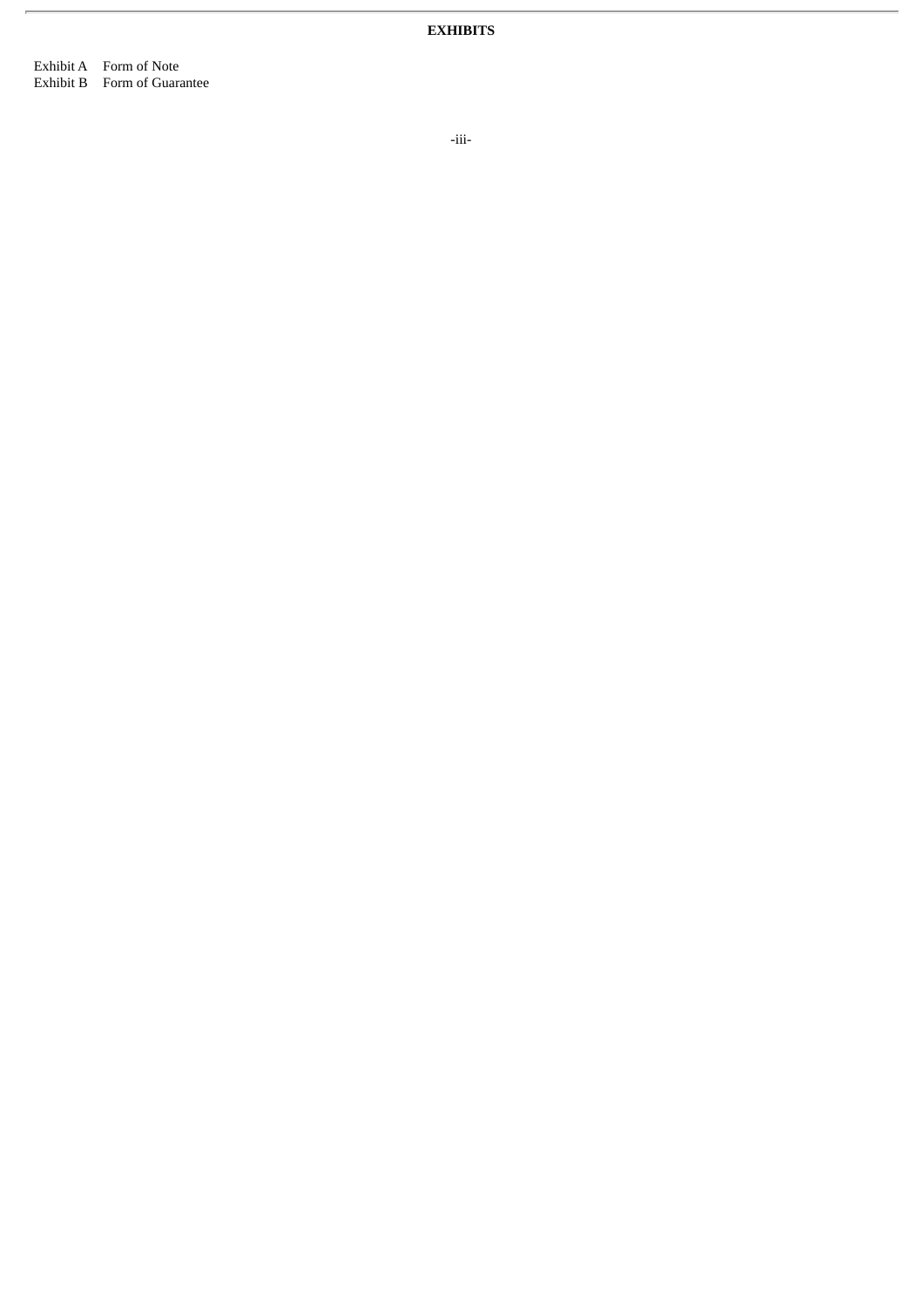**EXHIBITS**

Exhibit A Form of Note Exhibit B Form of Guarantee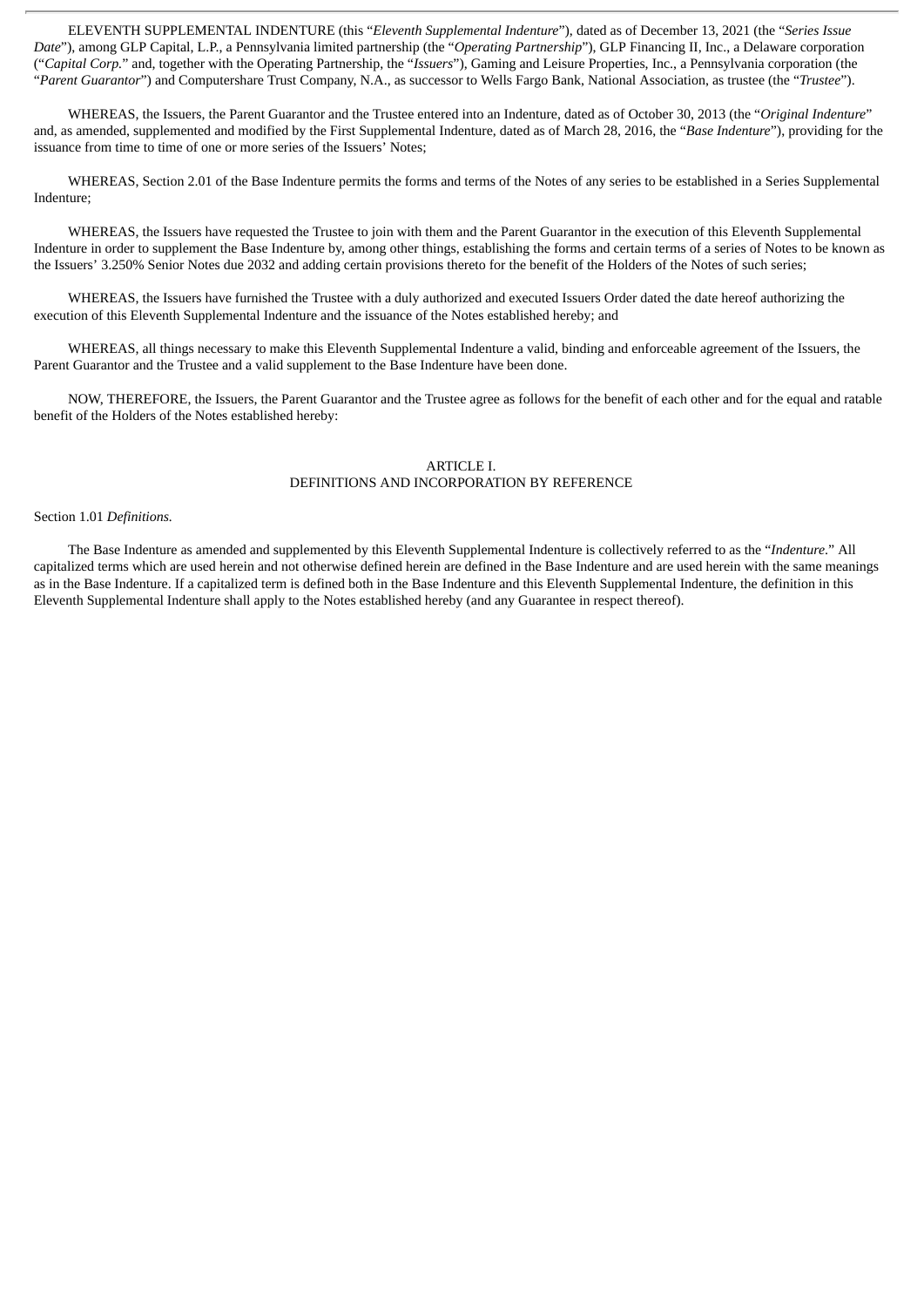ELEVENTH SUPPLEMENTAL INDENTURE (this "*Eleventh Supplemental Indenture*"), dated as of December 13, 2021 (the "*Series Issue Date*"), among GLP Capital, L.P., a Pennsylvania limited partnership (the "*Operating Partnership*"), GLP Financing II, Inc., a Delaware corporation ("*Capital Corp.*" and, together with the Operating Partnership, the "*Issuers*"), Gaming and Leisure Properties, Inc., a Pennsylvania corporation (the "*Parent Guarantor*") and Computershare Trust Company, N.A., as successor to Wells Fargo Bank, National Association, as trustee (the "*Trustee*").

WHEREAS, the Issuers, the Parent Guarantor and the Trustee entered into an Indenture, dated as of October 30, 2013 (the "*Original Indenture*" and, as amended, supplemented and modified by the First Supplemental Indenture, dated as of March 28, 2016, the "*Base Indenture*"), providing for the issuance from time to time of one or more series of the Issuers' Notes;

WHEREAS, Section 2.01 of the Base Indenture permits the forms and terms of the Notes of any series to be established in a Series Supplemental Indenture;

WHEREAS, the Issuers have requested the Trustee to join with them and the Parent Guarantor in the execution of this Eleventh Supplemental Indenture in order to supplement the Base Indenture by, among other things, establishing the forms and certain terms of a series of Notes to be known as the Issuers' 3.250% Senior Notes due 2032 and adding certain provisions thereto for the benefit of the Holders of the Notes of such series;

WHEREAS, the Issuers have furnished the Trustee with a duly authorized and executed Issuers Order dated the date hereof authorizing the execution of this Eleventh Supplemental Indenture and the issuance of the Notes established hereby; and

WHEREAS, all things necessary to make this Eleventh Supplemental Indenture a valid, binding and enforceable agreement of the Issuers, the Parent Guarantor and the Trustee and a valid supplement to the Base Indenture have been done.

NOW, THEREFORE, the Issuers, the Parent Guarantor and the Trustee agree as follows for the benefit of each other and for the equal and ratable benefit of the Holders of the Notes established hereby:

#### ARTICLE I. DEFINITIONS AND INCORPORATION BY REFERENCE

#### Section 1.01 *Definitions.*

The Base Indenture as amended and supplemented by this Eleventh Supplemental Indenture is collectively referred to as the "*Indenture*." All capitalized terms which are used herein and not otherwise defined herein are defined in the Base Indenture and are used herein with the same meanings as in the Base Indenture. If a capitalized term is defined both in the Base Indenture and this Eleventh Supplemental Indenture, the definition in this Eleventh Supplemental Indenture shall apply to the Notes established hereby (and any Guarantee in respect thereof).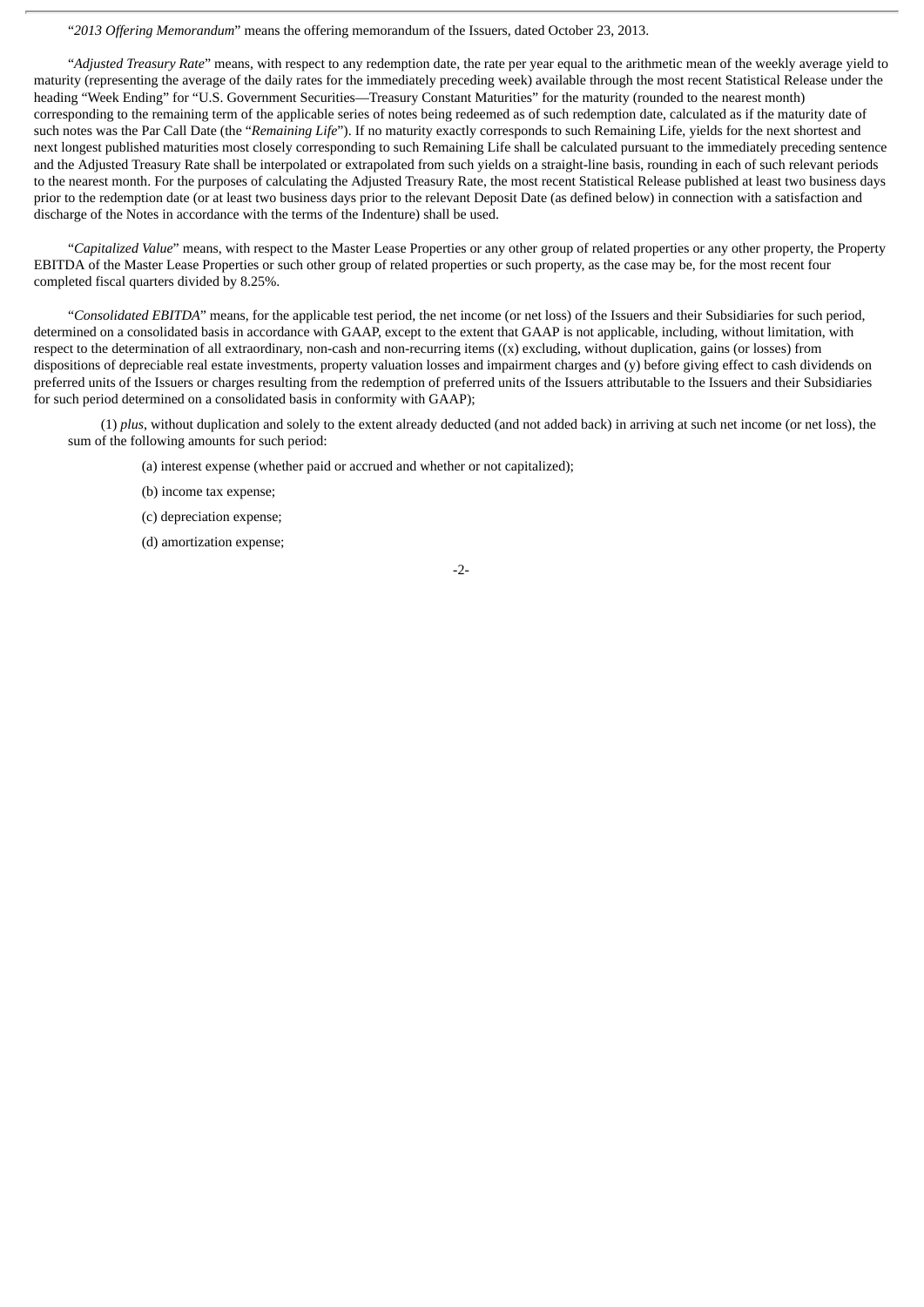"*2013 Offering Memorandum*" means the offering memorandum of the Issuers, dated October 23, 2013.

"*Adjusted Treasury Rate*" means, with respect to any redemption date, the rate per year equal to the arithmetic mean of the weekly average yield to maturity (representing the average of the daily rates for the immediately preceding week) available through the most recent Statistical Release under the heading "Week Ending" for "U.S. Government Securities—Treasury Constant Maturities" for the maturity (rounded to the nearest month) corresponding to the remaining term of the applicable series of notes being redeemed as of such redemption date, calculated as if the maturity date of such notes was the Par Call Date (the "*Remaining Life*"). If no maturity exactly corresponds to such Remaining Life, yields for the next shortest and next longest published maturities most closely corresponding to such Remaining Life shall be calculated pursuant to the immediately preceding sentence and the Adjusted Treasury Rate shall be interpolated or extrapolated from such yields on a straight-line basis, rounding in each of such relevant periods to the nearest month. For the purposes of calculating the Adjusted Treasury Rate, the most recent Statistical Release published at least two business days prior to the redemption date (or at least two business days prior to the relevant Deposit Date (as defined below) in connection with a satisfaction and discharge of the Notes in accordance with the terms of the Indenture) shall be used.

"*Capitalized Value*" means, with respect to the Master Lease Properties or any other group of related properties or any other property, the Property EBITDA of the Master Lease Properties or such other group of related properties or such property, as the case may be, for the most recent four completed fiscal quarters divided by 8.25%.

"*Consolidated EBITDA*" means, for the applicable test period, the net income (or net loss) of the Issuers and their Subsidiaries for such period, determined on a consolidated basis in accordance with GAAP, except to the extent that GAAP is not applicable, including, without limitation, with respect to the determination of all extraordinary, non-cash and non-recurring items  $((x)$  excluding, without duplication, gains (or losses) from dispositions of depreciable real estate investments, property valuation losses and impairment charges and (y) before giving effect to cash dividends on preferred units of the Issuers or charges resulting from the redemption of preferred units of the Issuers attributable to the Issuers and their Subsidiaries for such period determined on a consolidated basis in conformity with GAAP);

(1) *plus*, without duplication and solely to the extent already deducted (and not added back) in arriving at such net income (or net loss), the sum of the following amounts for such period:

(a) interest expense (whether paid or accrued and whether or not capitalized);

- (b) income tax expense;
- (c) depreciation expense;
- (d) amortization expense;

-2-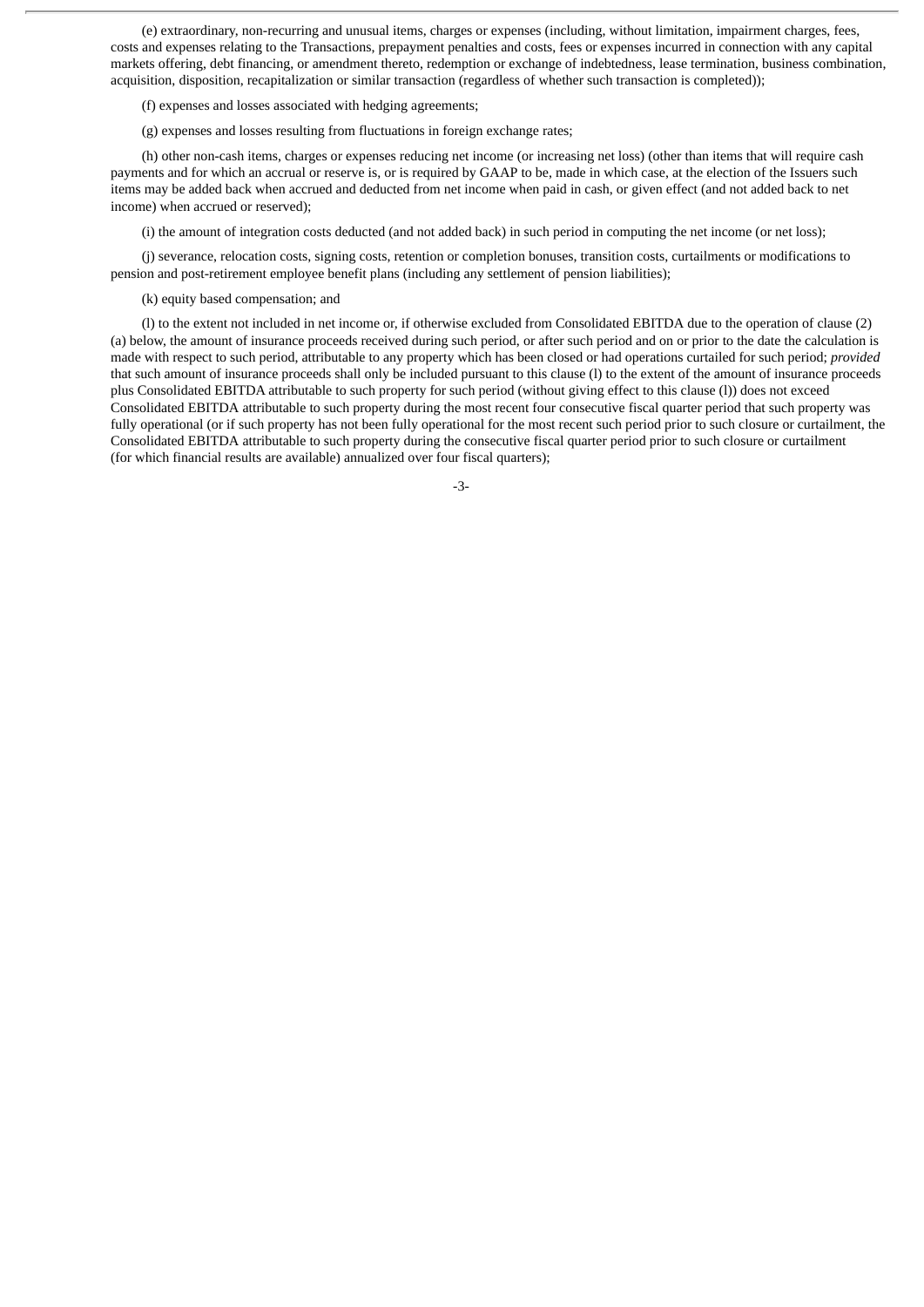(e) extraordinary, non-recurring and unusual items, charges or expenses (including, without limitation, impairment charges, fees, costs and expenses relating to the Transactions, prepayment penalties and costs, fees or expenses incurred in connection with any capital markets offering, debt financing, or amendment thereto, redemption or exchange of indebtedness, lease termination, business combination, acquisition, disposition, recapitalization or similar transaction (regardless of whether such transaction is completed));

(f) expenses and losses associated with hedging agreements;

(g) expenses and losses resulting from fluctuations in foreign exchange rates;

(h) other non-cash items, charges or expenses reducing net income (or increasing net loss) (other than items that will require cash payments and for which an accrual or reserve is, or is required by GAAP to be, made in which case, at the election of the Issuers such items may be added back when accrued and deducted from net income when paid in cash, or given effect (and not added back to net income) when accrued or reserved);

(i) the amount of integration costs deducted (and not added back) in such period in computing the net income (or net loss);

(j) severance, relocation costs, signing costs, retention or completion bonuses, transition costs, curtailments or modifications to pension and post-retirement employee benefit plans (including any settlement of pension liabilities);

(k) equity based compensation; and

(l) to the extent not included in net income or, if otherwise excluded from Consolidated EBITDA due to the operation of clause (2) (a) below, the amount of insurance proceeds received during such period, or after such period and on or prior to the date the calculation is made with respect to such period, attributable to any property which has been closed or had operations curtailed for such period; *provided* that such amount of insurance proceeds shall only be included pursuant to this clause (l) to the extent of the amount of insurance proceeds plus Consolidated EBITDA attributable to such property for such period (without giving effect to this clause (l)) does not exceed Consolidated EBITDA attributable to such property during the most recent four consecutive fiscal quarter period that such property was fully operational (or if such property has not been fully operational for the most recent such period prior to such closure or curtailment, the Consolidated EBITDA attributable to such property during the consecutive fiscal quarter period prior to such closure or curtailment (for which financial results are available) annualized over four fiscal quarters);

-3-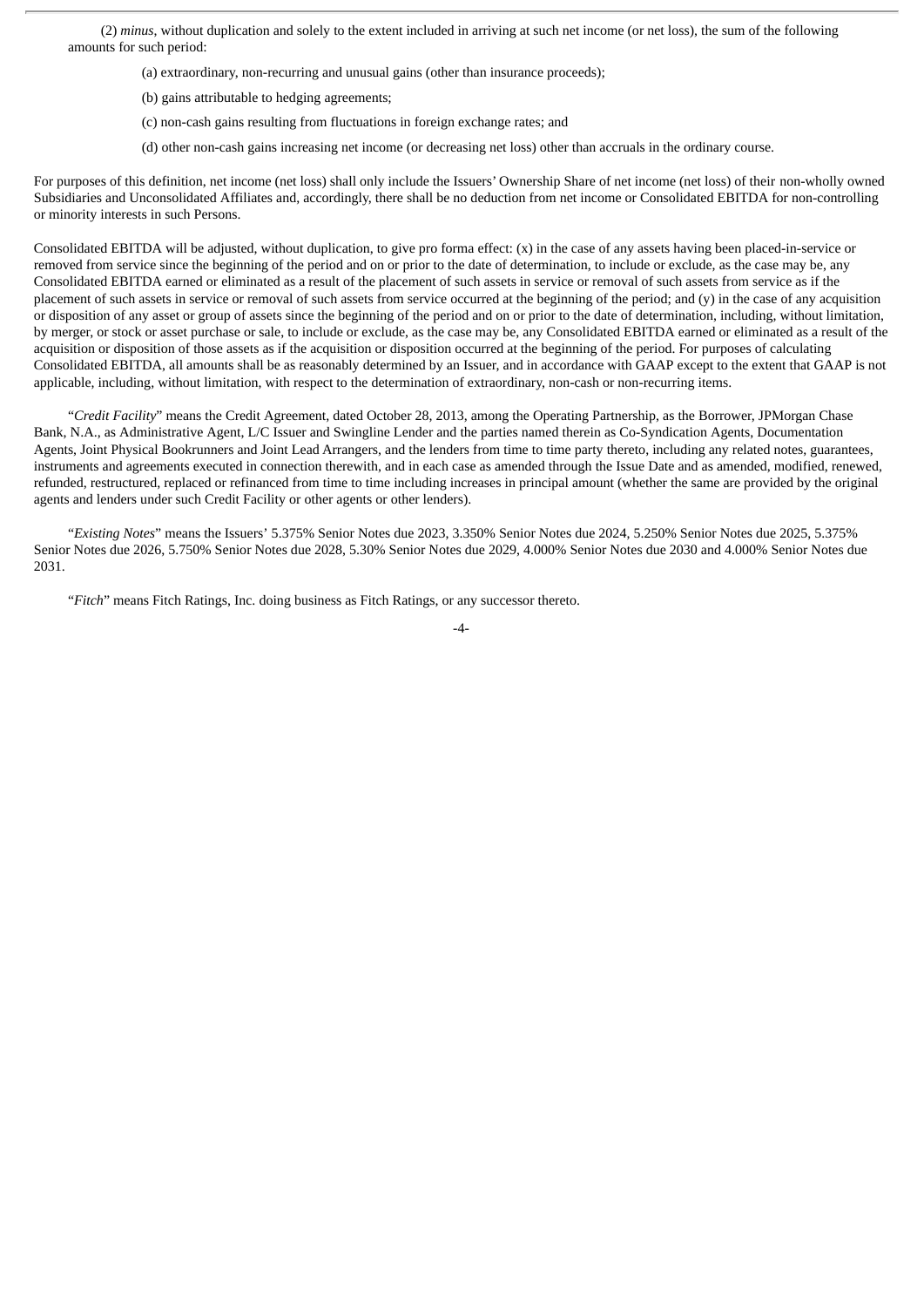(2) *minus*, without duplication and solely to the extent included in arriving at such net income (or net loss), the sum of the following amounts for such period:

- (a) extraordinary, non-recurring and unusual gains (other than insurance proceeds);
- (b) gains attributable to hedging agreements;
- (c) non-cash gains resulting from fluctuations in foreign exchange rates; and
- (d) other non-cash gains increasing net income (or decreasing net loss) other than accruals in the ordinary course.

For purposes of this definition, net income (net loss) shall only include the Issuers' Ownership Share of net income (net loss) of their non-wholly owned Subsidiaries and Unconsolidated Affiliates and, accordingly, there shall be no deduction from net income or Consolidated EBITDA for non-controlling or minority interests in such Persons.

Consolidated EBITDA will be adjusted, without duplication, to give pro forma effect: (x) in the case of any assets having been placed-in-service or removed from service since the beginning of the period and on or prior to the date of determination, to include or exclude, as the case may be, any Consolidated EBITDA earned or eliminated as a result of the placement of such assets in service or removal of such assets from service as if the placement of such assets in service or removal of such assets from service occurred at the beginning of the period; and (y) in the case of any acquisition or disposition of any asset or group of assets since the beginning of the period and on or prior to the date of determination, including, without limitation, by merger, or stock or asset purchase or sale, to include or exclude, as the case may be, any Consolidated EBITDA earned or eliminated as a result of the acquisition or disposition of those assets as if the acquisition or disposition occurred at the beginning of the period. For purposes of calculating Consolidated EBITDA, all amounts shall be as reasonably determined by an Issuer, and in accordance with GAAP except to the extent that GAAP is not applicable, including, without limitation, with respect to the determination of extraordinary, non-cash or non-recurring items.

"*Credit Facility*" means the Credit Agreement, dated October 28, 2013, among the Operating Partnership, as the Borrower, JPMorgan Chase Bank, N.A., as Administrative Agent, L/C Issuer and Swingline Lender and the parties named therein as Co-Syndication Agents, Documentation Agents, Joint Physical Bookrunners and Joint Lead Arrangers, and the lenders from time to time party thereto, including any related notes, guarantees, instruments and agreements executed in connection therewith, and in each case as amended through the Issue Date and as amended, modified, renewed, refunded, restructured, replaced or refinanced from time to time including increases in principal amount (whether the same are provided by the original agents and lenders under such Credit Facility or other agents or other lenders).

"*Existing Notes*" means the Issuers' 5.375% Senior Notes due 2023, 3.350% Senior Notes due 2024, 5.250% Senior Notes due 2025, 5.375% Senior Notes due 2026, 5.750% Senior Notes due 2028, 5.30% Senior Notes due 2029, 4.000% Senior Notes due 2030 and 4.000% Senior Notes due 2031.

"*Fitch*" means Fitch Ratings, Inc. doing business as Fitch Ratings, or any successor thereto.

$$
-4-
$$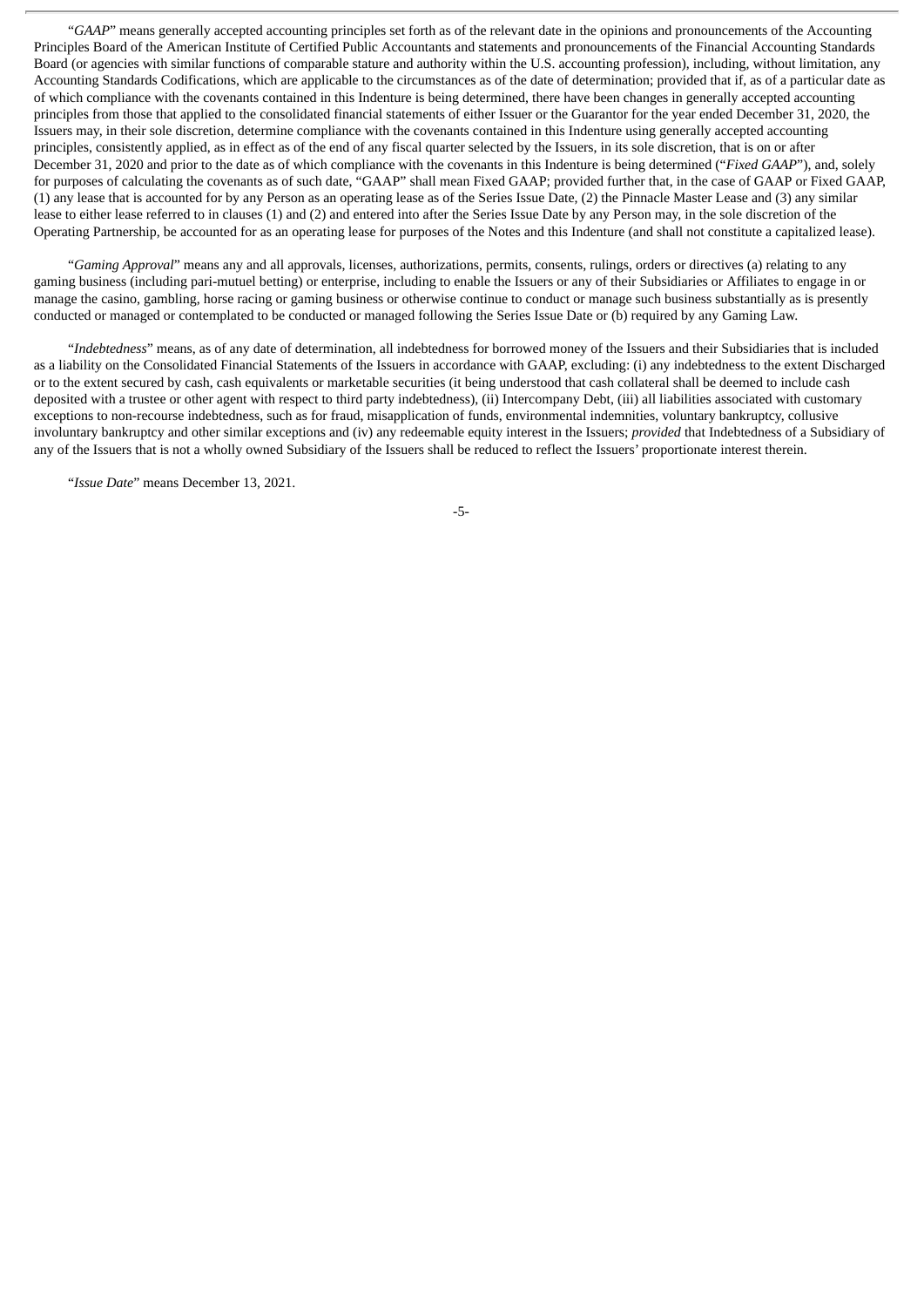"*GAAP*" means generally accepted accounting principles set forth as of the relevant date in the opinions and pronouncements of the Accounting Principles Board of the American Institute of Certified Public Accountants and statements and pronouncements of the Financial Accounting Standards Board (or agencies with similar functions of comparable stature and authority within the U.S. accounting profession), including, without limitation, any Accounting Standards Codifications, which are applicable to the circumstances as of the date of determination; provided that if, as of a particular date as of which compliance with the covenants contained in this Indenture is being determined, there have been changes in generally accepted accounting principles from those that applied to the consolidated financial statements of either Issuer or the Guarantor for the year ended December 31, 2020, the Issuers may, in their sole discretion, determine compliance with the covenants contained in this Indenture using generally accepted accounting principles, consistently applied, as in effect as of the end of any fiscal quarter selected by the Issuers, in its sole discretion, that is on or after December 31, 2020 and prior to the date as of which compliance with the covenants in this Indenture is being determined ("*Fixed GAAP*"), and, solely for purposes of calculating the covenants as of such date, "GAAP" shall mean Fixed GAAP; provided further that, in the case of GAAP or Fixed GAAP, (1) any lease that is accounted for by any Person as an operating lease as of the Series Issue Date, (2) the Pinnacle Master Lease and (3) any similar lease to either lease referred to in clauses (1) and (2) and entered into after the Series Issue Date by any Person may, in the sole discretion of the Operating Partnership, be accounted for as an operating lease for purposes of the Notes and this Indenture (and shall not constitute a capitalized lease).

"*Gaming Approval*" means any and all approvals, licenses, authorizations, permits, consents, rulings, orders or directives (a) relating to any gaming business (including pari-mutuel betting) or enterprise, including to enable the Issuers or any of their Subsidiaries or Affiliates to engage in or manage the casino, gambling, horse racing or gaming business or otherwise continue to conduct or manage such business substantially as is presently conducted or managed or contemplated to be conducted or managed following the Series Issue Date or (b) required by any Gaming Law.

"*Indebtedness*" means, as of any date of determination, all indebtedness for borrowed money of the Issuers and their Subsidiaries that is included as a liability on the Consolidated Financial Statements of the Issuers in accordance with GAAP, excluding: (i) any indebtedness to the extent Discharged or to the extent secured by cash, cash equivalents or marketable securities (it being understood that cash collateral shall be deemed to include cash deposited with a trustee or other agent with respect to third party indebtedness), (ii) Intercompany Debt, (iii) all liabilities associated with customary exceptions to non-recourse indebtedness, such as for fraud, misapplication of funds, environmental indemnities, voluntary bankruptcy, collusive involuntary bankruptcy and other similar exceptions and (iv) any redeemable equity interest in the Issuers; *provided* that Indebtedness of a Subsidiary of any of the Issuers that is not a wholly owned Subsidiary of the Issuers shall be reduced to reflect the Issuers' proportionate interest therein.

"*Issue Date*" means December 13, 2021.

-5-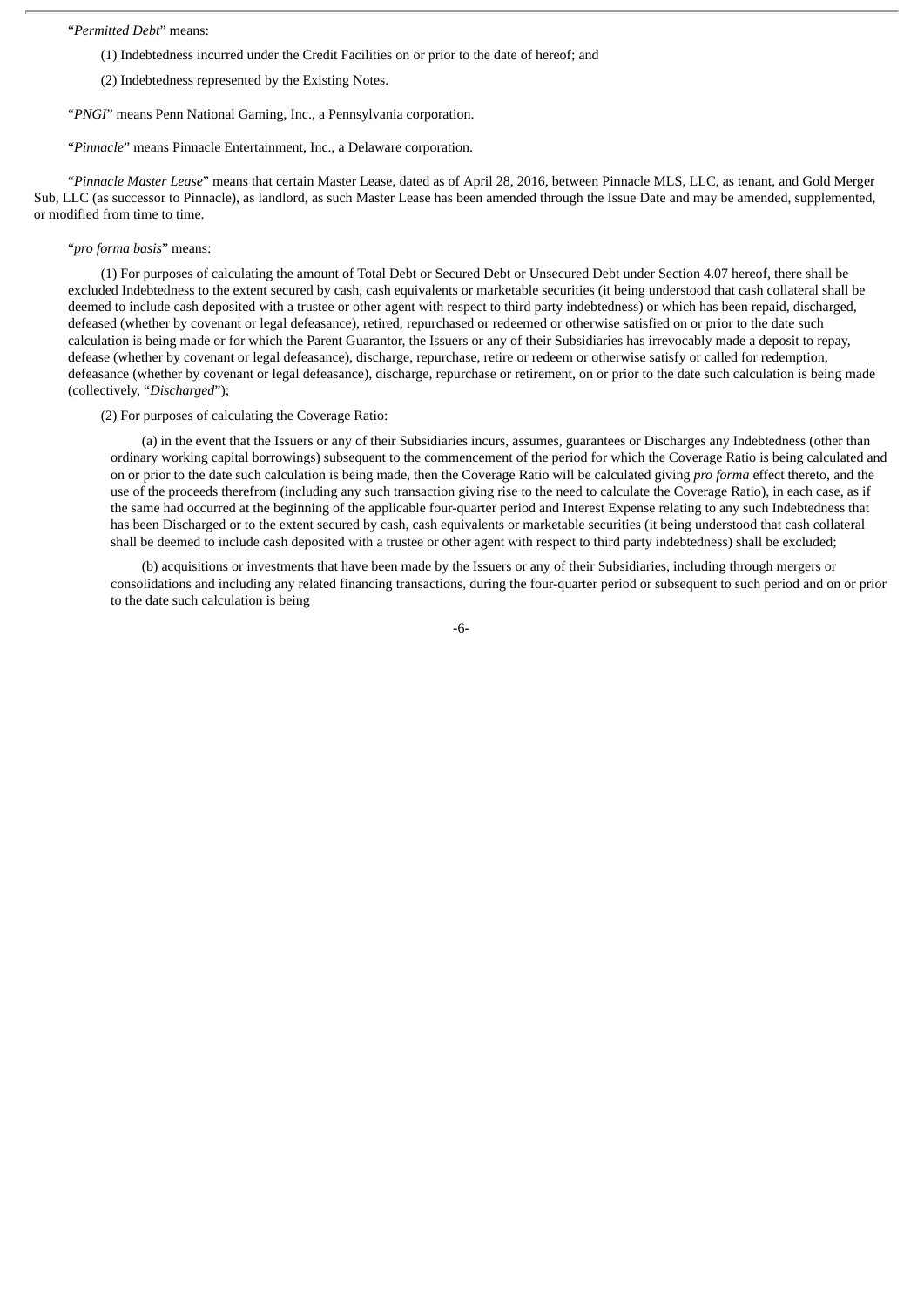#### "*Permitted Debt*" means:

- (1) Indebtedness incurred under the Credit Facilities on or prior to the date of hereof; and
- (2) Indebtedness represented by the Existing Notes.
- "*PNGI*" means Penn National Gaming, Inc., a Pennsylvania corporation.

"*Pinnacle*" means Pinnacle Entertainment, Inc., a Delaware corporation.

"*Pinnacle Master Lease*" means that certain Master Lease, dated as of April 28, 2016, between Pinnacle MLS, LLC, as tenant, and Gold Merger Sub, LLC (as successor to Pinnacle), as landlord, as such Master Lease has been amended through the Issue Date and may be amended, supplemented, or modified from time to time.

#### "*pro forma basis*" means:

(1) For purposes of calculating the amount of Total Debt or Secured Debt or Unsecured Debt under Section 4.07 hereof, there shall be excluded Indebtedness to the extent secured by cash, cash equivalents or marketable securities (it being understood that cash collateral shall be deemed to include cash deposited with a trustee or other agent with respect to third party indebtedness) or which has been repaid, discharged, defeased (whether by covenant or legal defeasance), retired, repurchased or redeemed or otherwise satisfied on or prior to the date such calculation is being made or for which the Parent Guarantor, the Issuers or any of their Subsidiaries has irrevocably made a deposit to repay, defease (whether by covenant or legal defeasance), discharge, repurchase, retire or redeem or otherwise satisfy or called for redemption, defeasance (whether by covenant or legal defeasance), discharge, repurchase or retirement, on or prior to the date such calculation is being made (collectively, "*Discharged*");

#### (2) For purposes of calculating the Coverage Ratio:

(a) in the event that the Issuers or any of their Subsidiaries incurs, assumes, guarantees or Discharges any Indebtedness (other than ordinary working capital borrowings) subsequent to the commencement of the period for which the Coverage Ratio is being calculated and on or prior to the date such calculation is being made, then the Coverage Ratio will be calculated giving *pro forma* effect thereto, and the use of the proceeds therefrom (including any such transaction giving rise to the need to calculate the Coverage Ratio), in each case, as if the same had occurred at the beginning of the applicable four-quarter period and Interest Expense relating to any such Indebtedness that has been Discharged or to the extent secured by cash, cash equivalents or marketable securities (it being understood that cash collateral shall be deemed to include cash deposited with a trustee or other agent with respect to third party indebtedness) shall be excluded;

(b) acquisitions or investments that have been made by the Issuers or any of their Subsidiaries, including through mergers or consolidations and including any related financing transactions, during the four-quarter period or subsequent to such period and on or prior to the date such calculation is being

-6-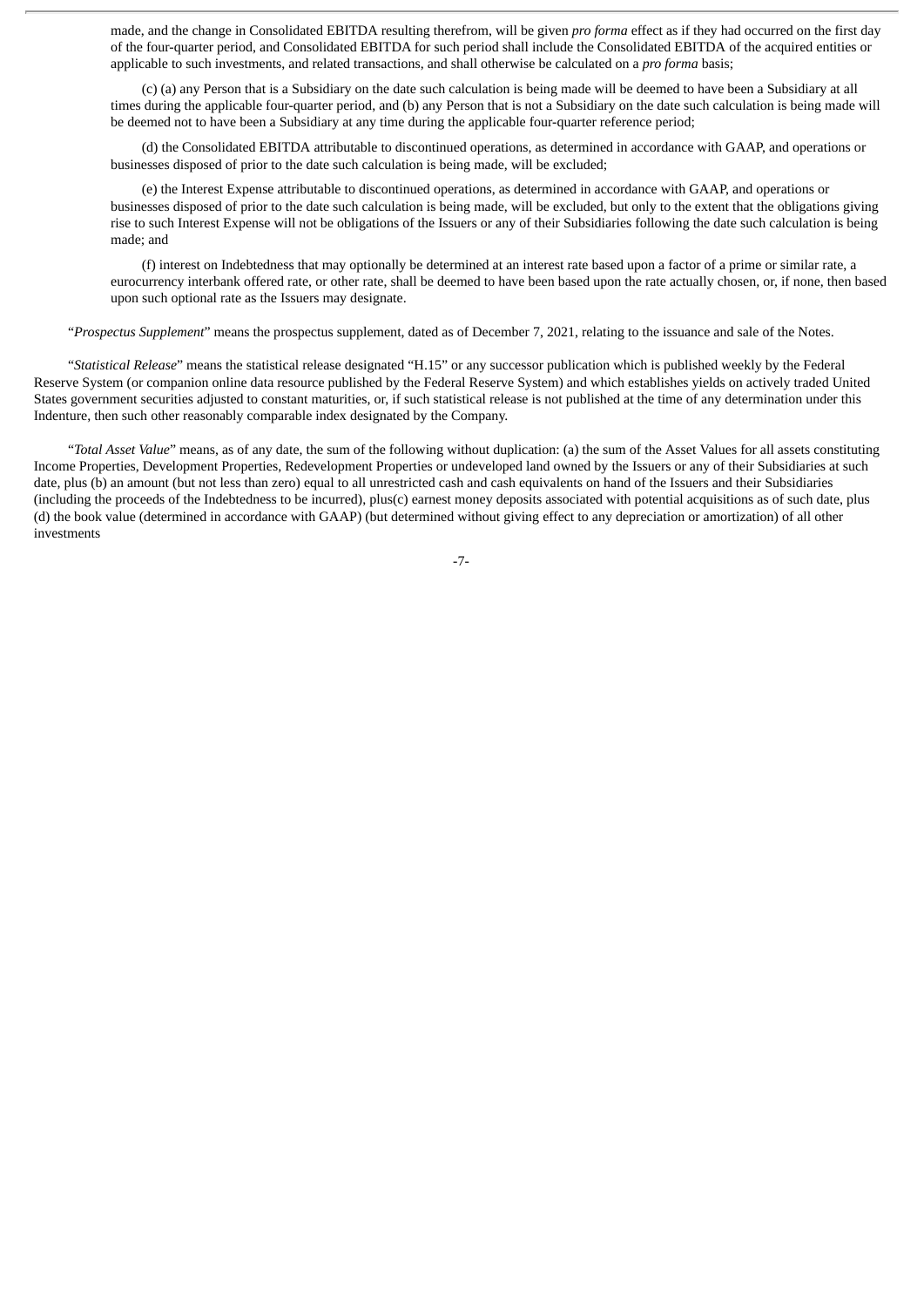made, and the change in Consolidated EBITDA resulting therefrom, will be given *pro forma* effect as if they had occurred on the first day of the four-quarter period, and Consolidated EBITDA for such period shall include the Consolidated EBITDA of the acquired entities or applicable to such investments, and related transactions, and shall otherwise be calculated on a *pro forma* basis;

(c) (a) any Person that is a Subsidiary on the date such calculation is being made will be deemed to have been a Subsidiary at all times during the applicable four-quarter period, and (b) any Person that is not a Subsidiary on the date such calculation is being made will be deemed not to have been a Subsidiary at any time during the applicable four-quarter reference period;

(d) the Consolidated EBITDA attributable to discontinued operations, as determined in accordance with GAAP, and operations or businesses disposed of prior to the date such calculation is being made, will be excluded;

(e) the Interest Expense attributable to discontinued operations, as determined in accordance with GAAP, and operations or businesses disposed of prior to the date such calculation is being made, will be excluded, but only to the extent that the obligations giving rise to such Interest Expense will not be obligations of the Issuers or any of their Subsidiaries following the date such calculation is being made; and

(f) interest on Indebtedness that may optionally be determined at an interest rate based upon a factor of a prime or similar rate, a eurocurrency interbank offered rate, or other rate, shall be deemed to have been based upon the rate actually chosen, or, if none, then based upon such optional rate as the Issuers may designate.

"*Prospectus Supplement*" means the prospectus supplement, dated as of December 7, 2021, relating to the issuance and sale of the Notes.

"*Statistical Release*" means the statistical release designated "H.15" or any successor publication which is published weekly by the Federal Reserve System (or companion online data resource published by the Federal Reserve System) and which establishes yields on actively traded United States government securities adjusted to constant maturities, or, if such statistical release is not published at the time of any determination under this Indenture, then such other reasonably comparable index designated by the Company.

"*Total Asset Value*" means, as of any date, the sum of the following without duplication: (a) the sum of the Asset Values for all assets constituting Income Properties, Development Properties, Redevelopment Properties or undeveloped land owned by the Issuers or any of their Subsidiaries at such date, plus (b) an amount (but not less than zero) equal to all unrestricted cash and cash equivalents on hand of the Issuers and their Subsidiaries (including the proceeds of the Indebtedness to be incurred), plus(c) earnest money deposits associated with potential acquisitions as of such date, plus (d) the book value (determined in accordance with GAAP) (but determined without giving effect to any depreciation or amortization) of all other investments

-7-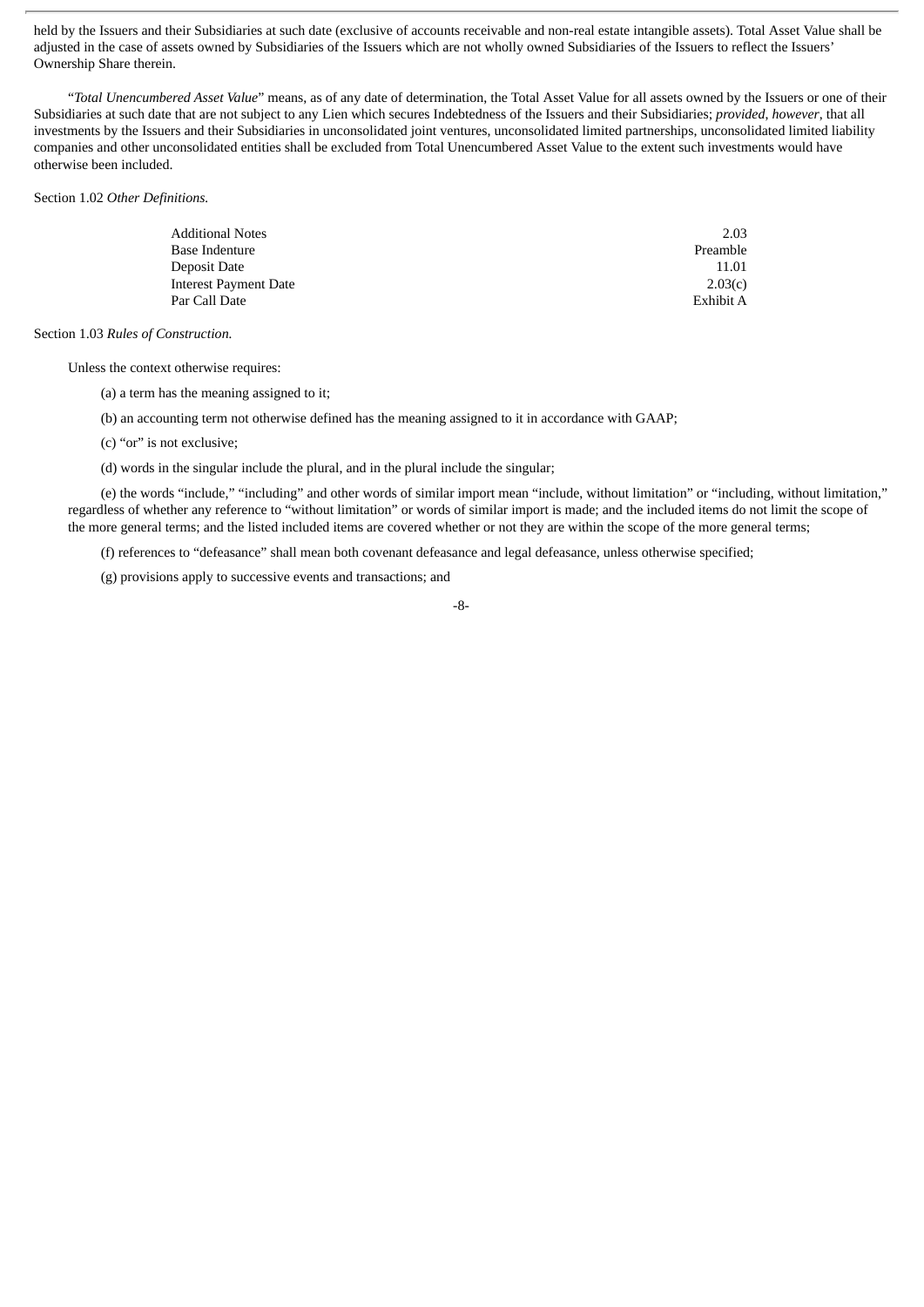held by the Issuers and their Subsidiaries at such date (exclusive of accounts receivable and non-real estate intangible assets). Total Asset Value shall be adjusted in the case of assets owned by Subsidiaries of the Issuers which are not wholly owned Subsidiaries of the Issuers to reflect the Issuers' Ownership Share therein.

"*Total Unencumbered Asset Value*" means, as of any date of determination, the Total Asset Value for all assets owned by the Issuers or one of their Subsidiaries at such date that are not subject to any Lien which secures Indebtedness of the Issuers and their Subsidiaries; *provided*, *however*, that all investments by the Issuers and their Subsidiaries in unconsolidated joint ventures, unconsolidated limited partnerships, unconsolidated limited liability companies and other unconsolidated entities shall be excluded from Total Unencumbered Asset Value to the extent such investments would have otherwise been included.

Section 1.02 *Other Definitions.*

| Additional Notes      | 2.03      |
|-----------------------|-----------|
| Base Indenture        | Preamble  |
| Deposit Date          | 11.01     |
| Interest Payment Date | 2.03(c)   |
| Par Call Date         | Exhibit A |

Section 1.03 *Rules of Construction.*

Unless the context otherwise requires:

(a) a term has the meaning assigned to it;

(b) an accounting term not otherwise defined has the meaning assigned to it in accordance with GAAP;

(c) "or" is not exclusive;

(d) words in the singular include the plural, and in the plural include the singular;

(e) the words "include," "including" and other words of similar import mean "include, without limitation" or "including, without limitation," regardless of whether any reference to "without limitation" or words of similar import is made; and the included items do not limit the scope of the more general terms; and the listed included items are covered whether or not they are within the scope of the more general terms;

(f) references to "defeasance" shall mean both covenant defeasance and legal defeasance, unless otherwise specified;

(g) provisions apply to successive events and transactions; and

-8-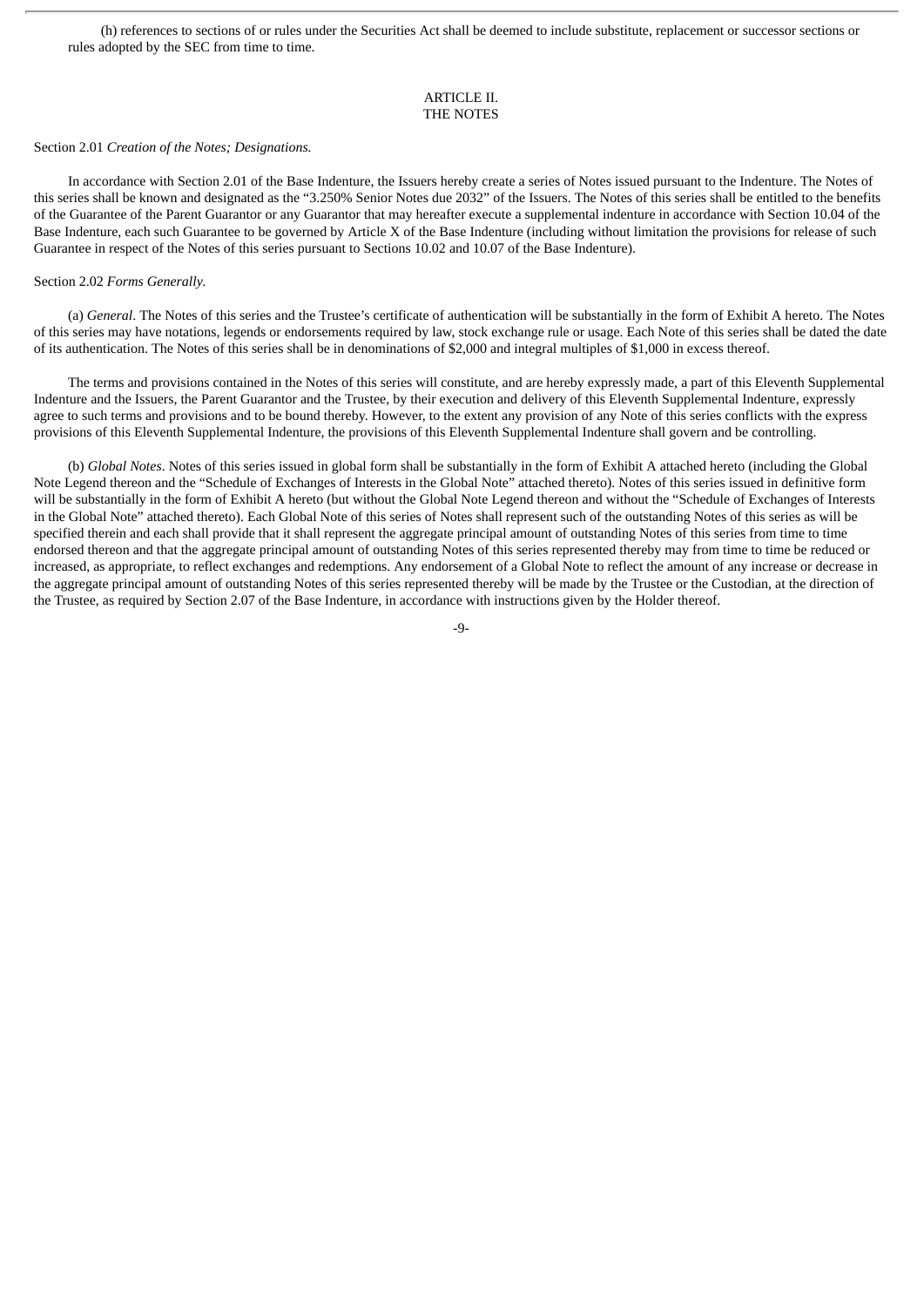(h) references to sections of or rules under the Securities Act shall be deemed to include substitute, replacement or successor sections or rules adopted by the SEC from time to time.

#### ARTICLE II. THE NOTES

#### Section 2.01 *Creation of the Notes; Designations.*

In accordance with Section 2.01 of the Base Indenture, the Issuers hereby create a series of Notes issued pursuant to the Indenture. The Notes of this series shall be known and designated as the "3.250% Senior Notes due 2032" of the Issuers. The Notes of this series shall be entitled to the benefits of the Guarantee of the Parent Guarantor or any Guarantor that may hereafter execute a supplemental indenture in accordance with Section 10.04 of the Base Indenture, each such Guarantee to be governed by Article X of the Base Indenture (including without limitation the provisions for release of such Guarantee in respect of the Notes of this series pursuant to Sections 10.02 and 10.07 of the Base Indenture).

#### Section 2.02 *Forms Generally.*

(a) *General*. The Notes of this series and the Trustee's certificate of authentication will be substantially in the form of Exhibit A hereto. The Notes of this series may have notations, legends or endorsements required by law, stock exchange rule or usage. Each Note of this series shall be dated the date of its authentication. The Notes of this series shall be in denominations of \$2,000 and integral multiples of \$1,000 in excess thereof.

The terms and provisions contained in the Notes of this series will constitute, and are hereby expressly made, a part of this Eleventh Supplemental Indenture and the Issuers, the Parent Guarantor and the Trustee, by their execution and delivery of this Eleventh Supplemental Indenture, expressly agree to such terms and provisions and to be bound thereby. However, to the extent any provision of any Note of this series conflicts with the express provisions of this Eleventh Supplemental Indenture, the provisions of this Eleventh Supplemental Indenture shall govern and be controlling.

(b) *Global Notes*. Notes of this series issued in global form shall be substantially in the form of Exhibit A attached hereto (including the Global Note Legend thereon and the "Schedule of Exchanges of Interests in the Global Note" attached thereto). Notes of this series issued in definitive form will be substantially in the form of Exhibit A hereto (but without the Global Note Legend thereon and without the "Schedule of Exchanges of Interests in the Global Note" attached thereto). Each Global Note of this series of Notes shall represent such of the outstanding Notes of this series as will be specified therein and each shall provide that it shall represent the aggregate principal amount of outstanding Notes of this series from time to time endorsed thereon and that the aggregate principal amount of outstanding Notes of this series represented thereby may from time to time be reduced or increased, as appropriate, to reflect exchanges and redemptions. Any endorsement of a Global Note to reflect the amount of any increase or decrease in the aggregate principal amount of outstanding Notes of this series represented thereby will be made by the Trustee or the Custodian, at the direction of the Trustee, as required by Section 2.07 of the Base Indenture, in accordance with instructions given by the Holder thereof.

 $-a$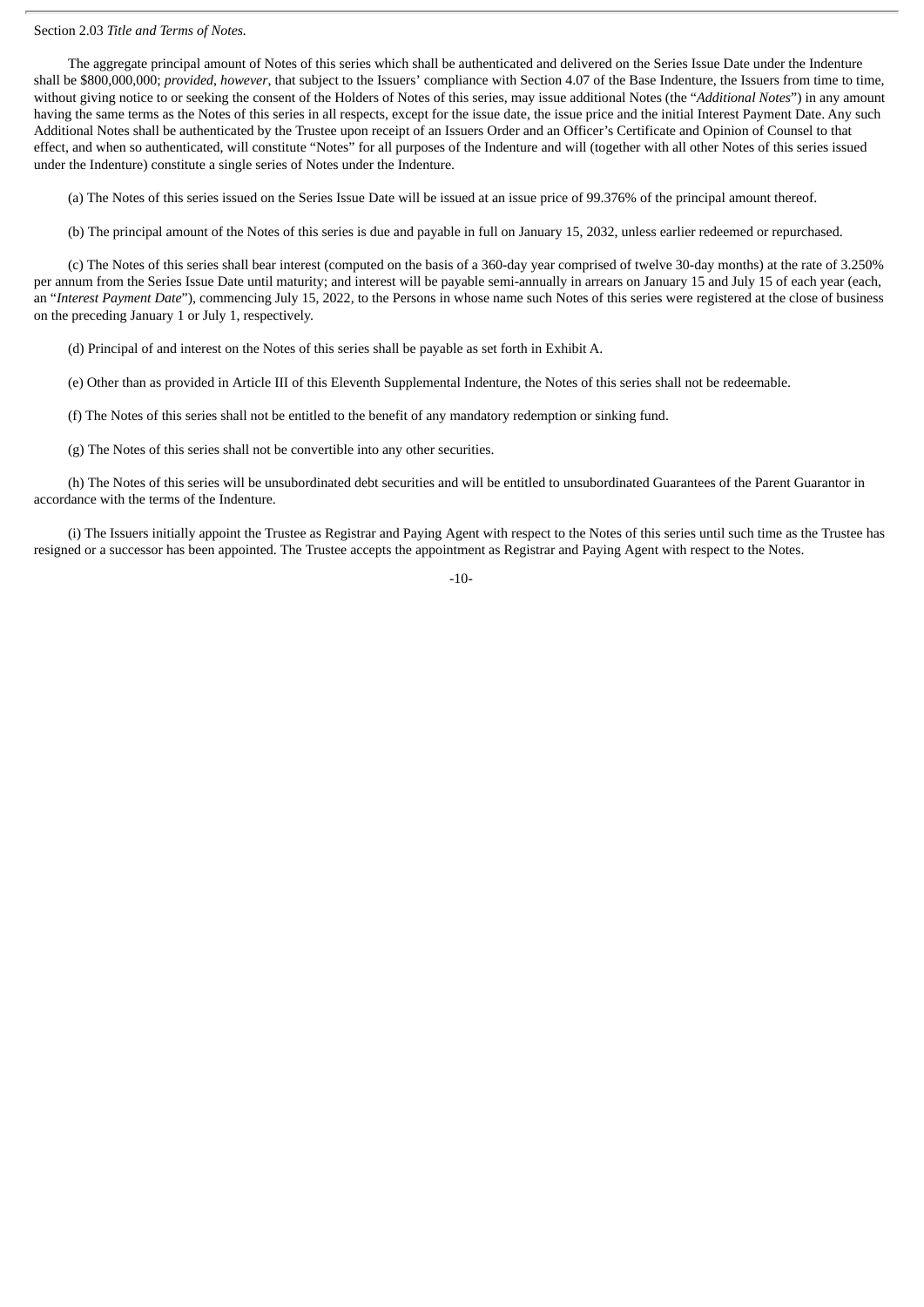#### Section 2.03 *Title and Terms of Notes.*

The aggregate principal amount of Notes of this series which shall be authenticated and delivered on the Series Issue Date under the Indenture shall be \$800,000,000; *provided*, *however*, that subject to the Issuers' compliance with Section 4.07 of the Base Indenture, the Issuers from time to time, without giving notice to or seeking the consent of the Holders of Notes of this series, may issue additional Notes (the "*Additional Notes*") in any amount having the same terms as the Notes of this series in all respects, except for the issue date, the issue price and the initial Interest Payment Date. Any such Additional Notes shall be authenticated by the Trustee upon receipt of an Issuers Order and an Officer's Certificate and Opinion of Counsel to that effect, and when so authenticated, will constitute "Notes" for all purposes of the Indenture and will (together with all other Notes of this series issued under the Indenture) constitute a single series of Notes under the Indenture.

(a) The Notes of this series issued on the Series Issue Date will be issued at an issue price of 99.376% of the principal amount thereof.

(b) The principal amount of the Notes of this series is due and payable in full on January 15, 2032, unless earlier redeemed or repurchased.

(c) The Notes of this series shall bear interest (computed on the basis of a 360-day year comprised of twelve 30-day months) at the rate of 3.250% per annum from the Series Issue Date until maturity; and interest will be payable semi-annually in arrears on January 15 and July 15 of each year (each, an "*Interest Payment Date*"), commencing July 15, 2022, to the Persons in whose name such Notes of this series were registered at the close of business on the preceding January 1 or July 1, respectively.

(d) Principal of and interest on the Notes of this series shall be payable as set forth in Exhibit A.

(e) Other than as provided in Article III of this Eleventh Supplemental Indenture, the Notes of this series shall not be redeemable.

(f) The Notes of this series shall not be entitled to the benefit of any mandatory redemption or sinking fund.

(g) The Notes of this series shall not be convertible into any other securities.

(h) The Notes of this series will be unsubordinated debt securities and will be entitled to unsubordinated Guarantees of the Parent Guarantor in accordance with the terms of the Indenture.

(i) The Issuers initially appoint the Trustee as Registrar and Paying Agent with respect to the Notes of this series until such time as the Trustee has resigned or a successor has been appointed. The Trustee accepts the appointment as Registrar and Paying Agent with respect to the Notes.

 $-10-$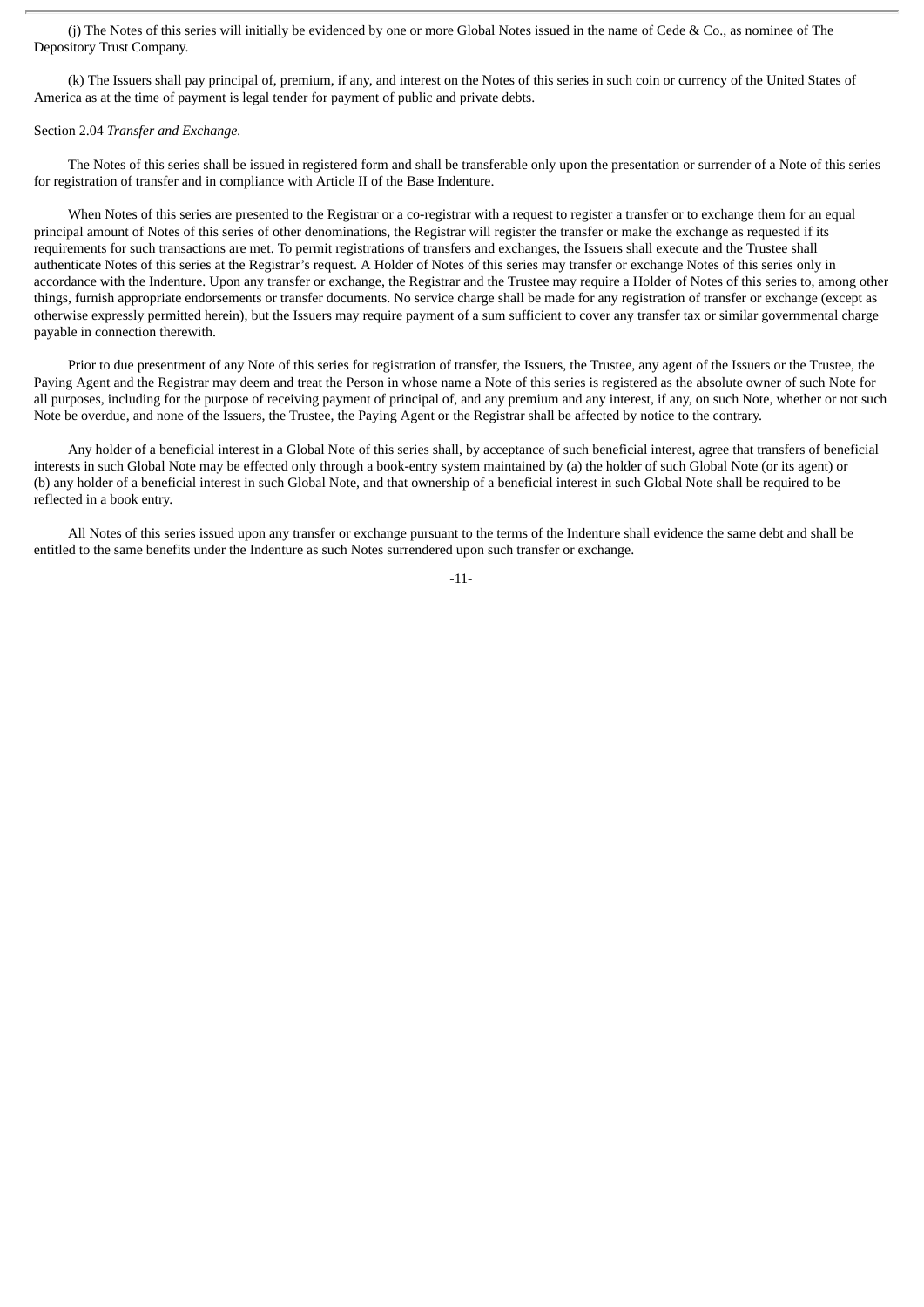(j) The Notes of this series will initially be evidenced by one or more Global Notes issued in the name of Cede & Co., as nominee of The Depository Trust Company.

(k) The Issuers shall pay principal of, premium, if any, and interest on the Notes of this series in such coin or currency of the United States of America as at the time of payment is legal tender for payment of public and private debts.

#### Section 2.04 *Transfer and Exchange.*

The Notes of this series shall be issued in registered form and shall be transferable only upon the presentation or surrender of a Note of this series for registration of transfer and in compliance with Article II of the Base Indenture.

When Notes of this series are presented to the Registrar or a co-registrar with a request to register a transfer or to exchange them for an equal principal amount of Notes of this series of other denominations, the Registrar will register the transfer or make the exchange as requested if its requirements for such transactions are met. To permit registrations of transfers and exchanges, the Issuers shall execute and the Trustee shall authenticate Notes of this series at the Registrar's request. A Holder of Notes of this series may transfer or exchange Notes of this series only in accordance with the Indenture. Upon any transfer or exchange, the Registrar and the Trustee may require a Holder of Notes of this series to, among other things, furnish appropriate endorsements or transfer documents. No service charge shall be made for any registration of transfer or exchange (except as otherwise expressly permitted herein), but the Issuers may require payment of a sum sufficient to cover any transfer tax or similar governmental charge payable in connection therewith.

Prior to due presentment of any Note of this series for registration of transfer, the Issuers, the Trustee, any agent of the Issuers or the Trustee, the Paying Agent and the Registrar may deem and treat the Person in whose name a Note of this series is registered as the absolute owner of such Note for all purposes, including for the purpose of receiving payment of principal of, and any premium and any interest, if any, on such Note, whether or not such Note be overdue, and none of the Issuers, the Trustee, the Paying Agent or the Registrar shall be affected by notice to the contrary.

Any holder of a beneficial interest in a Global Note of this series shall, by acceptance of such beneficial interest, agree that transfers of beneficial interests in such Global Note may be effected only through a book-entry system maintained by (a) the holder of such Global Note (or its agent) or (b) any holder of a beneficial interest in such Global Note, and that ownership of a beneficial interest in such Global Note shall be required to be reflected in a book entry.

All Notes of this series issued upon any transfer or exchange pursuant to the terms of the Indenture shall evidence the same debt and shall be entitled to the same benefits under the Indenture as such Notes surrendered upon such transfer or exchange.

-11-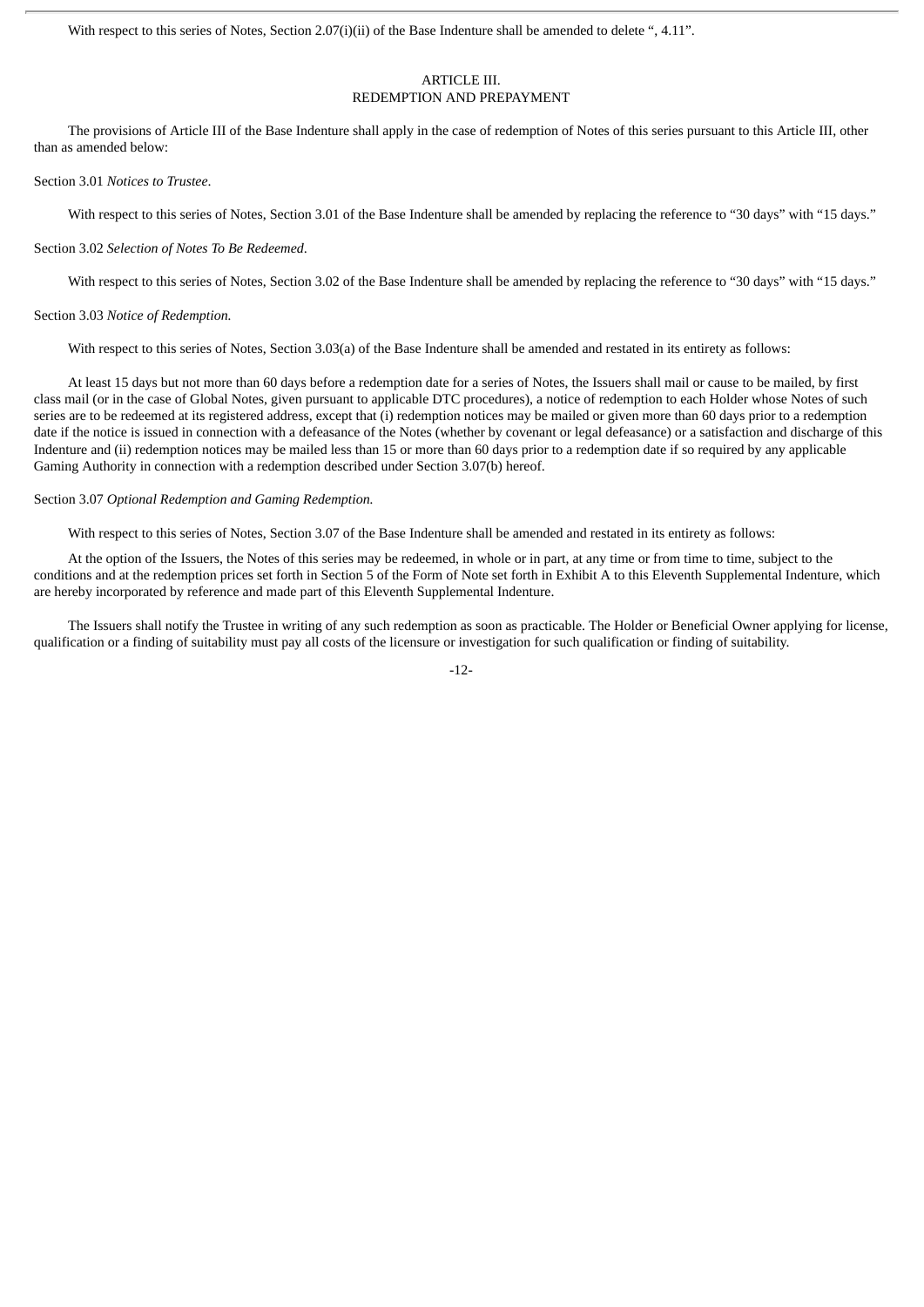With respect to this series of Notes, Section 2.07(i)(ii) of the Base Indenture shall be amended to delete ", 4.11".

#### ARTICLE III. REDEMPTION AND PREPAYMENT

The provisions of Article III of the Base Indenture shall apply in the case of redemption of Notes of this series pursuant to this Article III, other than as amended below:

#### Section 3.01 *Notices to Trustee*.

With respect to this series of Notes, Section 3.01 of the Base Indenture shall be amended by replacing the reference to "30 days" with "15 days."

#### Section 3.02 *Selection of Notes To Be Redeemed*.

With respect to this series of Notes, Section 3.02 of the Base Indenture shall be amended by replacing the reference to "30 days" with "15 days."

#### Section 3.03 *Notice of Redemption.*

With respect to this series of Notes, Section 3.03(a) of the Base Indenture shall be amended and restated in its entirety as follows:

At least 15 days but not more than 60 days before a redemption date for a series of Notes, the Issuers shall mail or cause to be mailed, by first class mail (or in the case of Global Notes, given pursuant to applicable DTC procedures), a notice of redemption to each Holder whose Notes of such series are to be redeemed at its registered address, except that (i) redemption notices may be mailed or given more than 60 days prior to a redemption date if the notice is issued in connection with a defeasance of the Notes (whether by covenant or legal defeasance) or a satisfaction and discharge of this Indenture and (ii) redemption notices may be mailed less than 15 or more than 60 days prior to a redemption date if so required by any applicable Gaming Authority in connection with a redemption described under Section 3.07(b) hereof.

#### Section 3.07 *Optional Redemption and Gaming Redemption.*

With respect to this series of Notes, Section 3.07 of the Base Indenture shall be amended and restated in its entirety as follows:

At the option of the Issuers, the Notes of this series may be redeemed, in whole or in part, at any time or from time to time, subject to the conditions and at the redemption prices set forth in Section 5 of the Form of Note set forth in Exhibit A to this Eleventh Supplemental Indenture, which are hereby incorporated by reference and made part of this Eleventh Supplemental Indenture.

The Issuers shall notify the Trustee in writing of any such redemption as soon as practicable. The Holder or Beneficial Owner applying for license, qualification or a finding of suitability must pay all costs of the licensure or investigation for such qualification or finding of suitability.

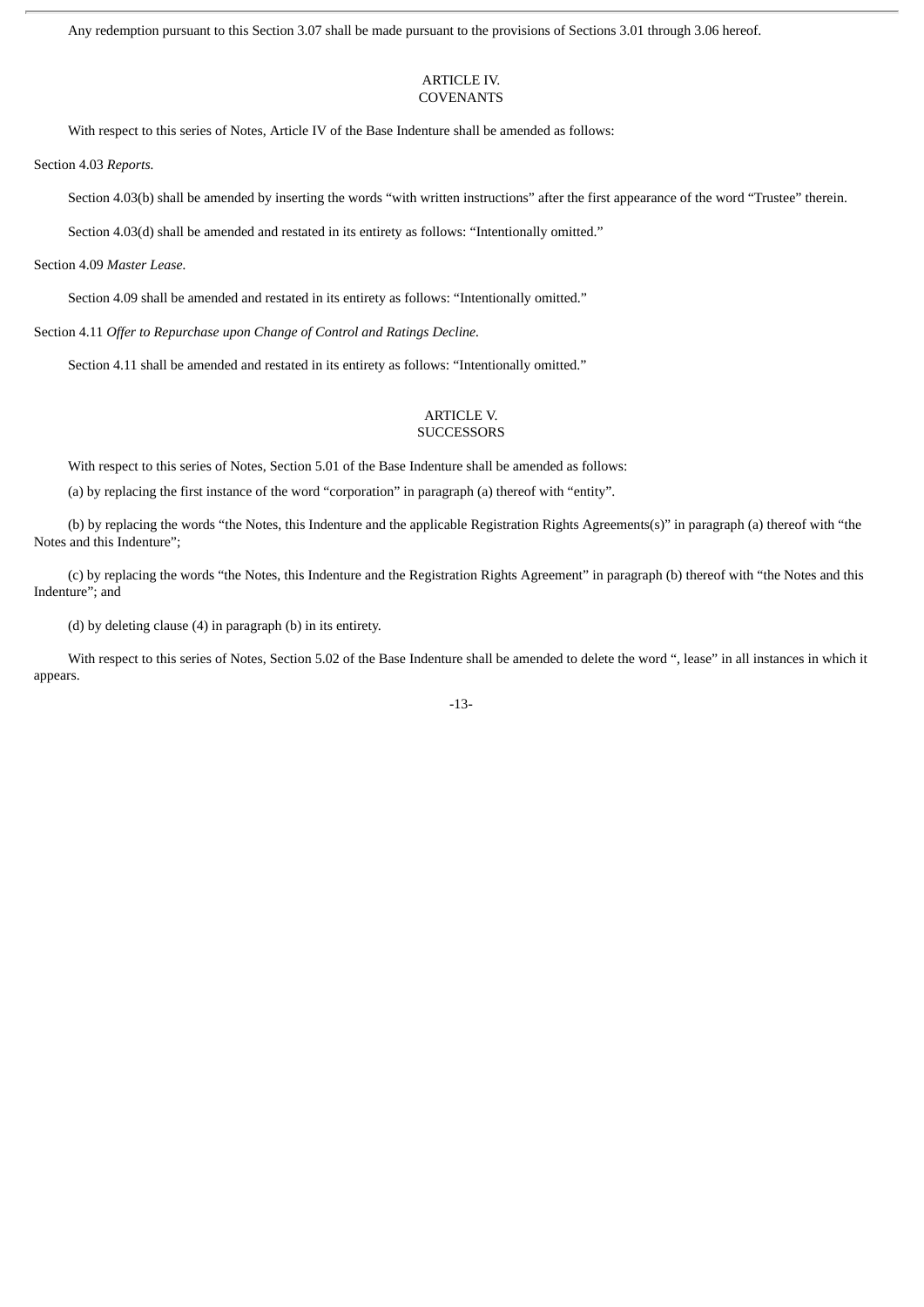Any redemption pursuant to this Section 3.07 shall be made pursuant to the provisions of Sections 3.01 through 3.06 hereof.

#### ARTICLE IV. **COVENANTS**

With respect to this series of Notes, Article IV of the Base Indenture shall be amended as follows:

Section 4.03 *Reports.*

Section 4.03(b) shall be amended by inserting the words "with written instructions" after the first appearance of the word "Trustee" therein.

Section 4.03(d) shall be amended and restated in its entirety as follows: "Intentionally omitted."

Section 4.09 *Master Lease.*

Section 4.09 shall be amended and restated in its entirety as follows: "Intentionally omitted."

Section 4.11 *Offer to Repurchase upon Change of Control and Ratings Decline.*

Section 4.11 shall be amended and restated in its entirety as follows: "Intentionally omitted."

#### ARTICLE V. **SUCCESSORS**

With respect to this series of Notes, Section 5.01 of the Base Indenture shall be amended as follows:

(a) by replacing the first instance of the word "corporation" in paragraph (a) thereof with "entity".

(b) by replacing the words "the Notes, this Indenture and the applicable Registration Rights Agreements(s)" in paragraph (a) thereof with "the Notes and this Indenture";

(c) by replacing the words "the Notes, this Indenture and the Registration Rights Agreement" in paragraph (b) thereof with "the Notes and this Indenture"; and

(d) by deleting clause (4) in paragraph (b) in its entirety.

With respect to this series of Notes, Section 5.02 of the Base Indenture shall be amended to delete the word ", lease" in all instances in which it appears.

-13-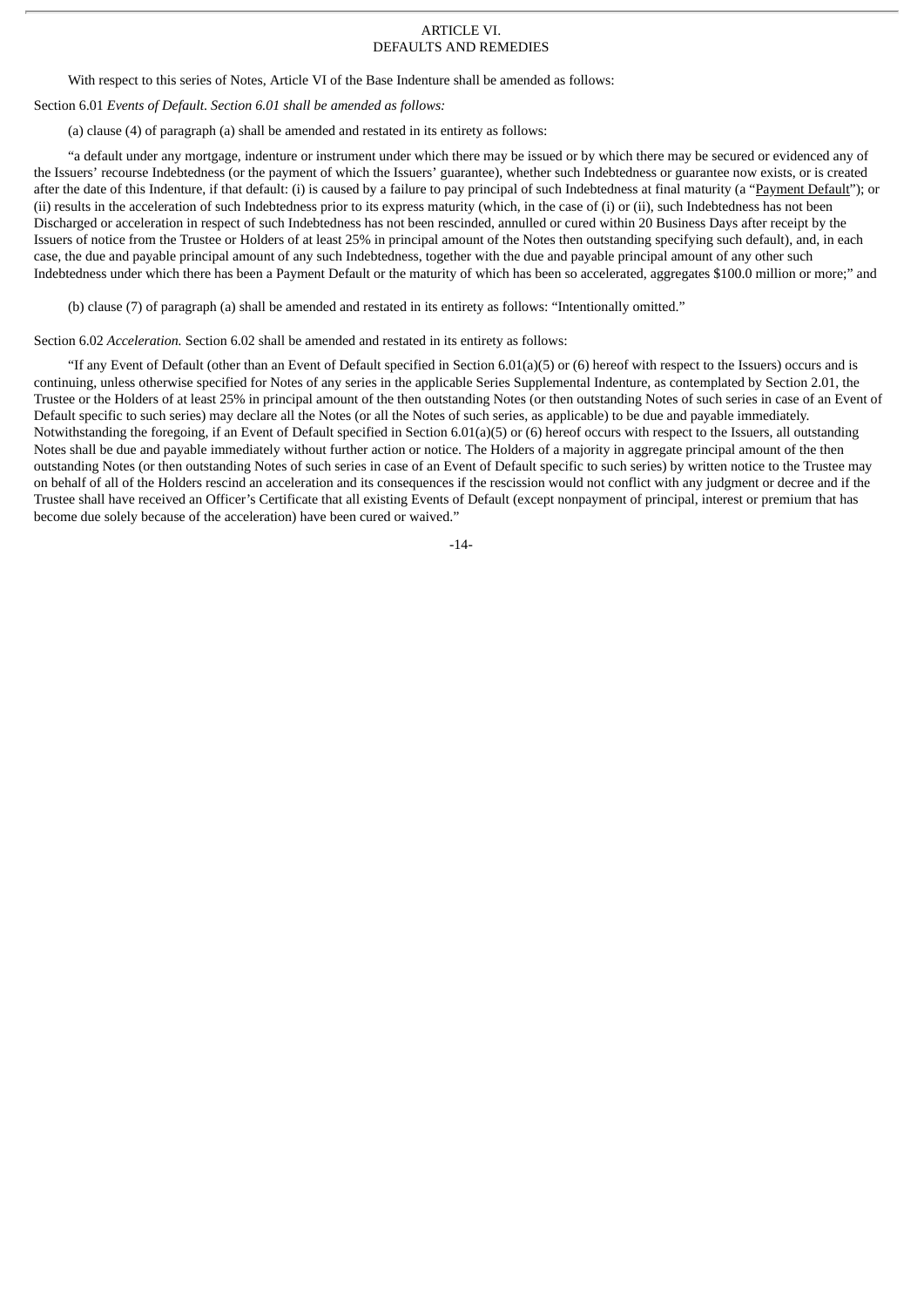#### ARTICLE VI. DEFAULTS AND REMEDIES

With respect to this series of Notes, Article VI of the Base Indenture shall be amended as follows:

Section 6.01 *Events of Default*. *Section 6.01 shall be amended as follows:*

(a) clause (4) of paragraph (a) shall be amended and restated in its entirety as follows:

"a default under any mortgage, indenture or instrument under which there may be issued or by which there may be secured or evidenced any of the Issuers' recourse Indebtedness (or the payment of which the Issuers' guarantee), whether such Indebtedness or guarantee now exists, or is created after the date of this Indenture, if that default: (i) is caused by a failure to pay principal of such Indebtedness at final maturity (a "Payment Default"); or (ii) results in the acceleration of such Indebtedness prior to its express maturity (which, in the case of (i) or (ii), such Indebtedness has not been Discharged or acceleration in respect of such Indebtedness has not been rescinded, annulled or cured within 20 Business Days after receipt by the Issuers of notice from the Trustee or Holders of at least 25% in principal amount of the Notes then outstanding specifying such default), and, in each case, the due and payable principal amount of any such Indebtedness, together with the due and payable principal amount of any other such Indebtedness under which there has been a Payment Default or the maturity of which has been so accelerated, aggregates \$100.0 million or more;" and

(b) clause (7) of paragraph (a) shall be amended and restated in its entirety as follows: "Intentionally omitted."

Section 6.02 *Acceleration.* Section 6.02 shall be amended and restated in its entirety as follows:

"If any Event of Default (other than an Event of Default specified in Section 6.01(a)(5) or (6) hereof with respect to the Issuers) occurs and is continuing, unless otherwise specified for Notes of any series in the applicable Series Supplemental Indenture, as contemplated by Section 2.01, the Trustee or the Holders of at least 25% in principal amount of the then outstanding Notes (or then outstanding Notes of such series in case of an Event of Default specific to such series) may declare all the Notes (or all the Notes of such series, as applicable) to be due and payable immediately. Notwithstanding the foregoing, if an Event of Default specified in Section 6.01(a)(5) or (6) hereof occurs with respect to the Issuers, all outstanding Notes shall be due and payable immediately without further action or notice. The Holders of a majority in aggregate principal amount of the then outstanding Notes (or then outstanding Notes of such series in case of an Event of Default specific to such series) by written notice to the Trustee may on behalf of all of the Holders rescind an acceleration and its consequences if the rescission would not conflict with any judgment or decree and if the Trustee shall have received an Officer's Certificate that all existing Events of Default (except nonpayment of principal, interest or premium that has become due solely because of the acceleration) have been cured or waived."

-14-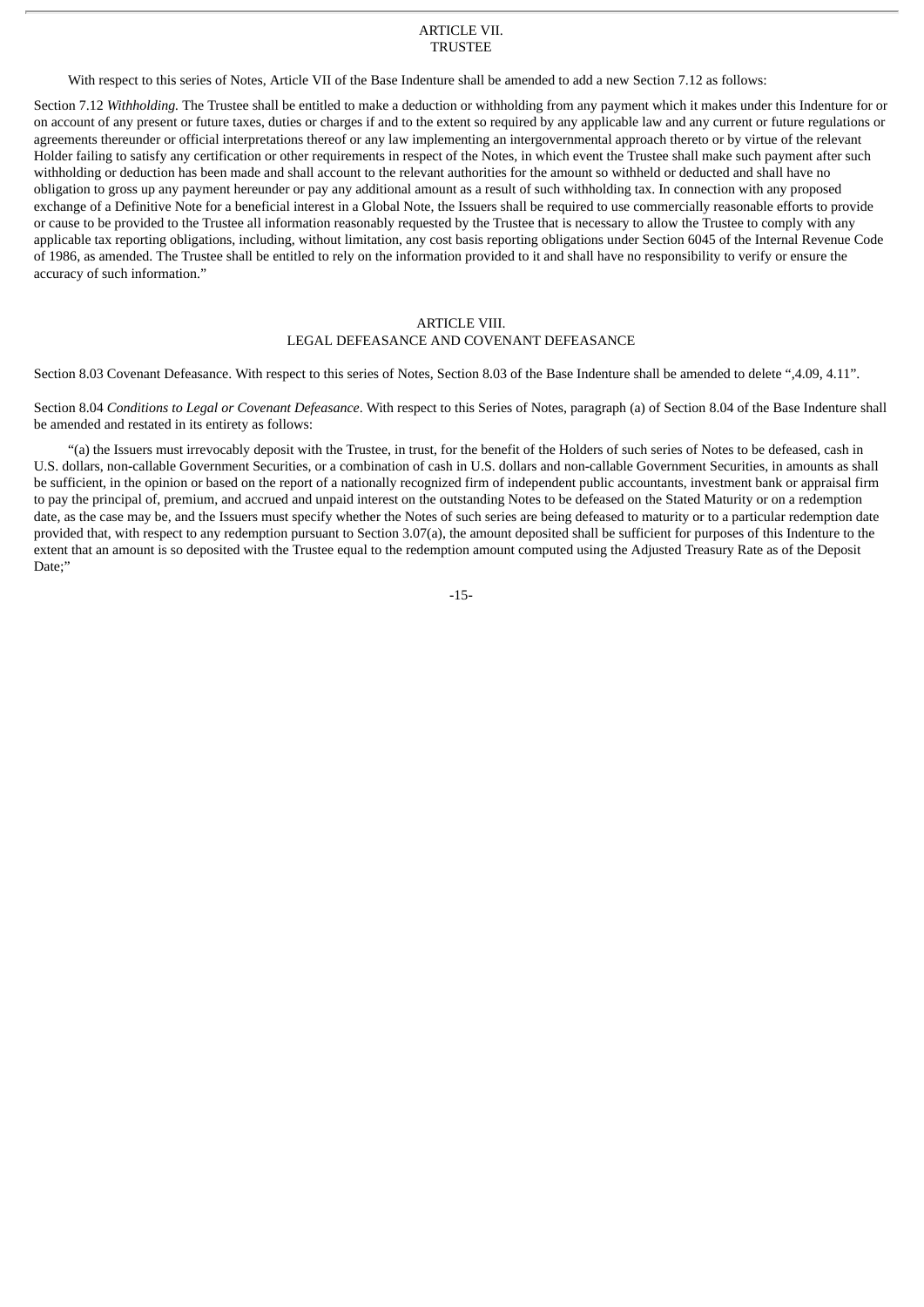#### ARTICLE VII. TRUSTEE

With respect to this series of Notes, Article VII of the Base Indenture shall be amended to add a new Section 7.12 as follows:

Section 7.12 *Withholding.* The Trustee shall be entitled to make a deduction or withholding from any payment which it makes under this Indenture for or on account of any present or future taxes, duties or charges if and to the extent so required by any applicable law and any current or future regulations or agreements thereunder or official interpretations thereof or any law implementing an intergovernmental approach thereto or by virtue of the relevant Holder failing to satisfy any certification or other requirements in respect of the Notes, in which event the Trustee shall make such payment after such withholding or deduction has been made and shall account to the relevant authorities for the amount so withheld or deducted and shall have no obligation to gross up any payment hereunder or pay any additional amount as a result of such withholding tax. In connection with any proposed exchange of a Definitive Note for a beneficial interest in a Global Note, the Issuers shall be required to use commercially reasonable efforts to provide or cause to be provided to the Trustee all information reasonably requested by the Trustee that is necessary to allow the Trustee to comply with any applicable tax reporting obligations, including, without limitation, any cost basis reporting obligations under Section 6045 of the Internal Revenue Code of 1986, as amended. The Trustee shall be entitled to rely on the information provided to it and shall have no responsibility to verify or ensure the accuracy of such information."

#### ARTICLE VIII. LEGAL DEFEASANCE AND COVENANT DEFEASANCE

Section 8.03 Covenant Defeasance. With respect to this series of Notes, Section 8.03 of the Base Indenture shall be amended to delete ",4.09, 4.11".

Section 8.04 *Conditions to Legal or Covenant Defeasance*. With respect to this Series of Notes, paragraph (a) of Section 8.04 of the Base Indenture shall be amended and restated in its entirety as follows:

"(a) the Issuers must irrevocably deposit with the Trustee, in trust, for the benefit of the Holders of such series of Notes to be defeased, cash in U.S. dollars, non-callable Government Securities, or a combination of cash in U.S. dollars and non-callable Government Securities, in amounts as shall be sufficient, in the opinion or based on the report of a nationally recognized firm of independent public accountants, investment bank or appraisal firm to pay the principal of, premium, and accrued and unpaid interest on the outstanding Notes to be defeased on the Stated Maturity or on a redemption date, as the case may be, and the Issuers must specify whether the Notes of such series are being defeased to maturity or to a particular redemption date provided that, with respect to any redemption pursuant to Section 3.07(a), the amount deposited shall be sufficient for purposes of this Indenture to the extent that an amount is so deposited with the Trustee equal to the redemption amount computed using the Adjusted Treasury Rate as of the Deposit Date;"

-15-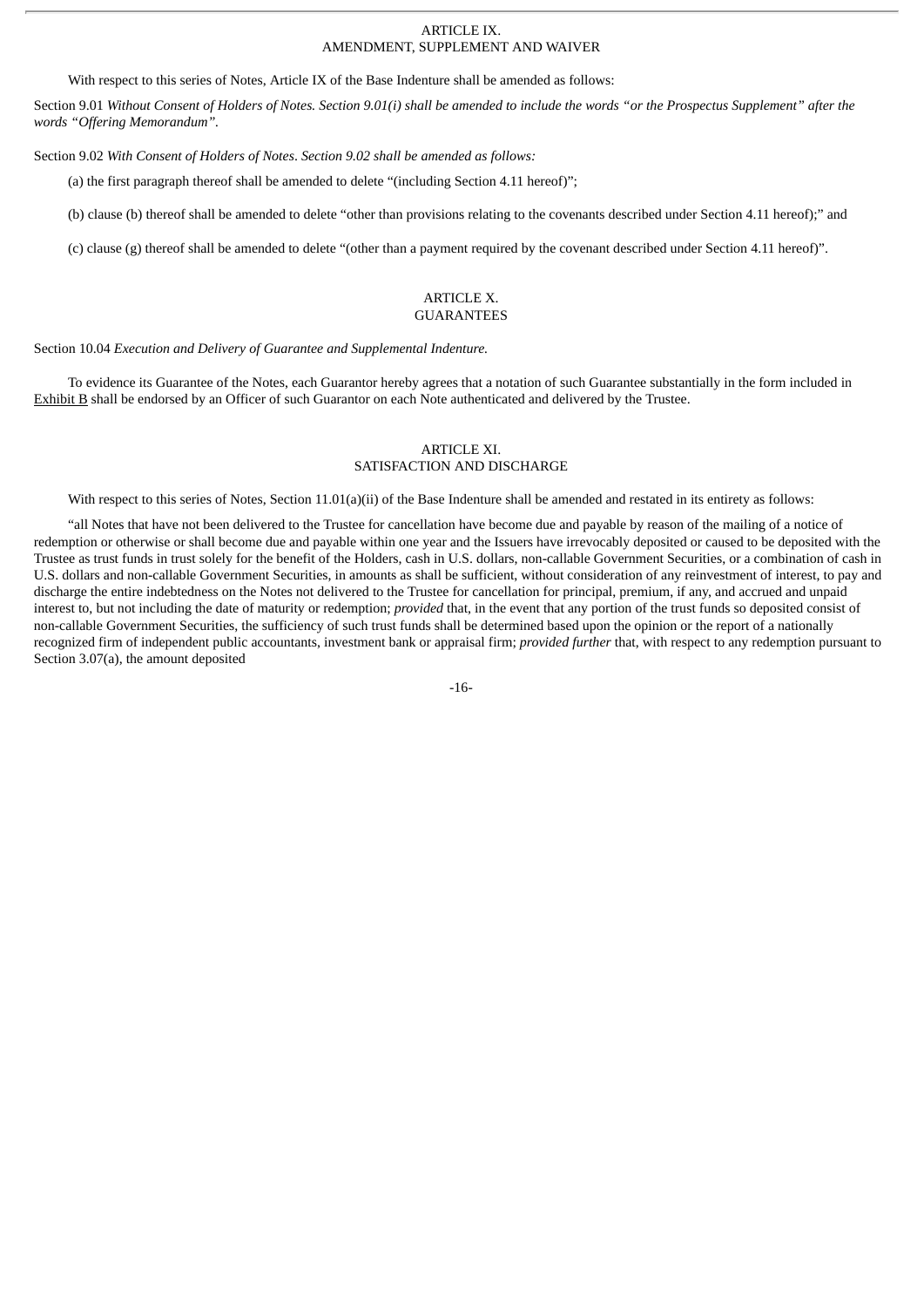#### ARTICLE IX. AMENDMENT, SUPPLEMENT AND WAIVER

With respect to this series of Notes, Article IX of the Base Indenture shall be amended as follows:

Section 9.01 Without Consent of Holders of Notes. Section 9.01(i) shall be amended to include the words "or the Prospectus Supplement" after the *words "Offering Memorandum".*

Section 9.02 *With Consent of Holders of Notes*. *Section 9.02 shall be amended as follows:*

(a) the first paragraph thereof shall be amended to delete "(including Section 4.11 hereof)";

(b) clause (b) thereof shall be amended to delete "other than provisions relating to the covenants described under Section 4.11 hereof);" and

(c) clause (g) thereof shall be amended to delete "(other than a payment required by the covenant described under Section 4.11 hereof)".

#### ARTICLE X. GUARANTEES

Section 10.04 *Execution and Delivery of Guarantee and Supplemental Indenture.*

To evidence its Guarantee of the Notes, each Guarantor hereby agrees that a notation of such Guarantee substantially in the form included in Exhibit B shall be endorsed by an Officer of such Guarantor on each Note authenticated and delivered by the Trustee.

## ARTICLE XI.

## SATISFACTION AND DISCHARGE

With respect to this series of Notes, Section 11.01(a)(ii) of the Base Indenture shall be amended and restated in its entirety as follows:

"all Notes that have not been delivered to the Trustee for cancellation have become due and payable by reason of the mailing of a notice of redemption or otherwise or shall become due and payable within one year and the Issuers have irrevocably deposited or caused to be deposited with the Trustee as trust funds in trust solely for the benefit of the Holders, cash in U.S. dollars, non-callable Government Securities, or a combination of cash in U.S. dollars and non-callable Government Securities, in amounts as shall be sufficient, without consideration of any reinvestment of interest, to pay and discharge the entire indebtedness on the Notes not delivered to the Trustee for cancellation for principal, premium, if any, and accrued and unpaid interest to, but not including the date of maturity or redemption; *provided* that, in the event that any portion of the trust funds so deposited consist of non-callable Government Securities, the sufficiency of such trust funds shall be determined based upon the opinion or the report of a nationally recognized firm of independent public accountants, investment bank or appraisal firm; *provided further* that, with respect to any redemption pursuant to Section 3.07(a), the amount deposited

-16-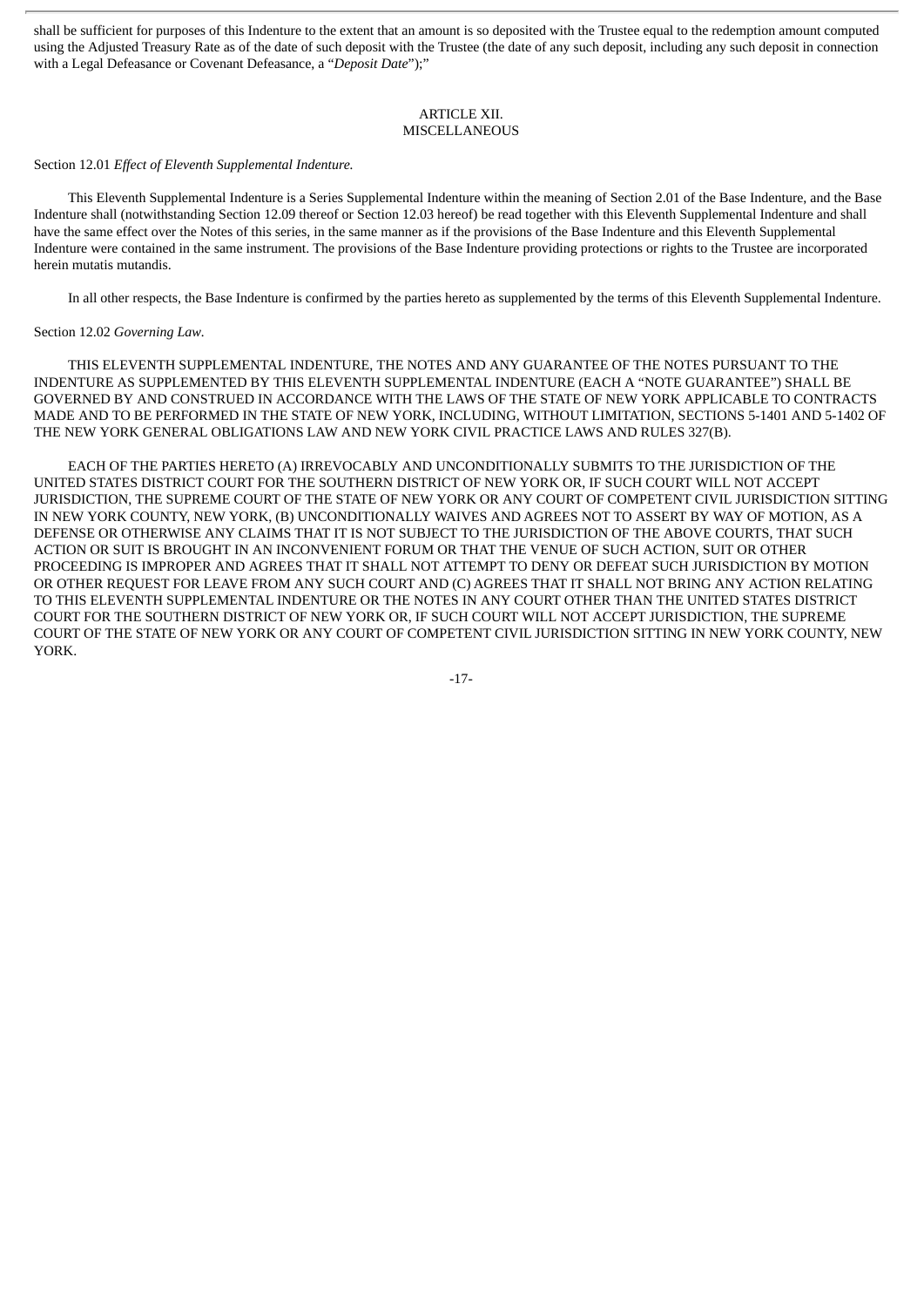shall be sufficient for purposes of this Indenture to the extent that an amount is so deposited with the Trustee equal to the redemption amount computed using the Adjusted Treasury Rate as of the date of such deposit with the Trustee (the date of any such deposit, including any such deposit in connection with a Legal Defeasance or Covenant Defeasance, a "*Deposit Date*");"

#### ARTICLE XII. **MISCELLANEOUS**

#### Section 12.01 *Effect of Eleventh Supplemental Indenture.*

This Eleventh Supplemental Indenture is a Series Supplemental Indenture within the meaning of Section 2.01 of the Base Indenture, and the Base Indenture shall (notwithstanding Section 12.09 thereof or Section 12.03 hereof) be read together with this Eleventh Supplemental Indenture and shall have the same effect over the Notes of this series, in the same manner as if the provisions of the Base Indenture and this Eleventh Supplemental Indenture were contained in the same instrument. The provisions of the Base Indenture providing protections or rights to the Trustee are incorporated herein mutatis mutandis.

In all other respects, the Base Indenture is confirmed by the parties hereto as supplemented by the terms of this Eleventh Supplemental Indenture.

#### Section 12.02 *Governing Law.*

THIS ELEVENTH SUPPLEMENTAL INDENTURE, THE NOTES AND ANY GUARANTEE OF THE NOTES PURSUANT TO THE INDENTURE AS SUPPLEMENTED BY THIS ELEVENTH SUPPLEMENTAL INDENTURE (EACH A "NOTE GUARANTEE") SHALL BE GOVERNED BY AND CONSTRUED IN ACCORDANCE WITH THE LAWS OF THE STATE OF NEW YORK APPLICABLE TO CONTRACTS MADE AND TO BE PERFORMED IN THE STATE OF NEW YORK, INCLUDING, WITHOUT LIMITATION, SECTIONS 5-1401 AND 5-1402 OF THE NEW YORK GENERAL OBLIGATIONS LAW AND NEW YORK CIVIL PRACTICE LAWS AND RULES 327(B).

EACH OF THE PARTIES HERETO (A) IRREVOCABLY AND UNCONDITIONALLY SUBMITS TO THE JURISDICTION OF THE UNITED STATES DISTRICT COURT FOR THE SOUTHERN DISTRICT OF NEW YORK OR, IF SUCH COURT WILL NOT ACCEPT JURISDICTION, THE SUPREME COURT OF THE STATE OF NEW YORK OR ANY COURT OF COMPETENT CIVIL JURISDICTION SITTING IN NEW YORK COUNTY, NEW YORK, (B) UNCONDITIONALLY WAIVES AND AGREES NOT TO ASSERT BY WAY OF MOTION, AS A DEFENSE OR OTHERWISE ANY CLAIMS THAT IT IS NOT SUBJECT TO THE JURISDICTION OF THE ABOVE COURTS, THAT SUCH ACTION OR SUIT IS BROUGHT IN AN INCONVENIENT FORUM OR THAT THE VENUE OF SUCH ACTION, SUIT OR OTHER PROCEEDING IS IMPROPER AND AGREES THAT IT SHALL NOT ATTEMPT TO DENY OR DEFEAT SUCH JURISDICTION BY MOTION OR OTHER REQUEST FOR LEAVE FROM ANY SUCH COURT AND (C) AGREES THAT IT SHALL NOT BRING ANY ACTION RELATING TO THIS ELEVENTH SUPPLEMENTAL INDENTURE OR THE NOTES IN ANY COURT OTHER THAN THE UNITED STATES DISTRICT COURT FOR THE SOUTHERN DISTRICT OF NEW YORK OR, IF SUCH COURT WILL NOT ACCEPT JURISDICTION, THE SUPREME COURT OF THE STATE OF NEW YORK OR ANY COURT OF COMPETENT CIVIL JURISDICTION SITTING IN NEW YORK COUNTY, NEW YORK.

-17-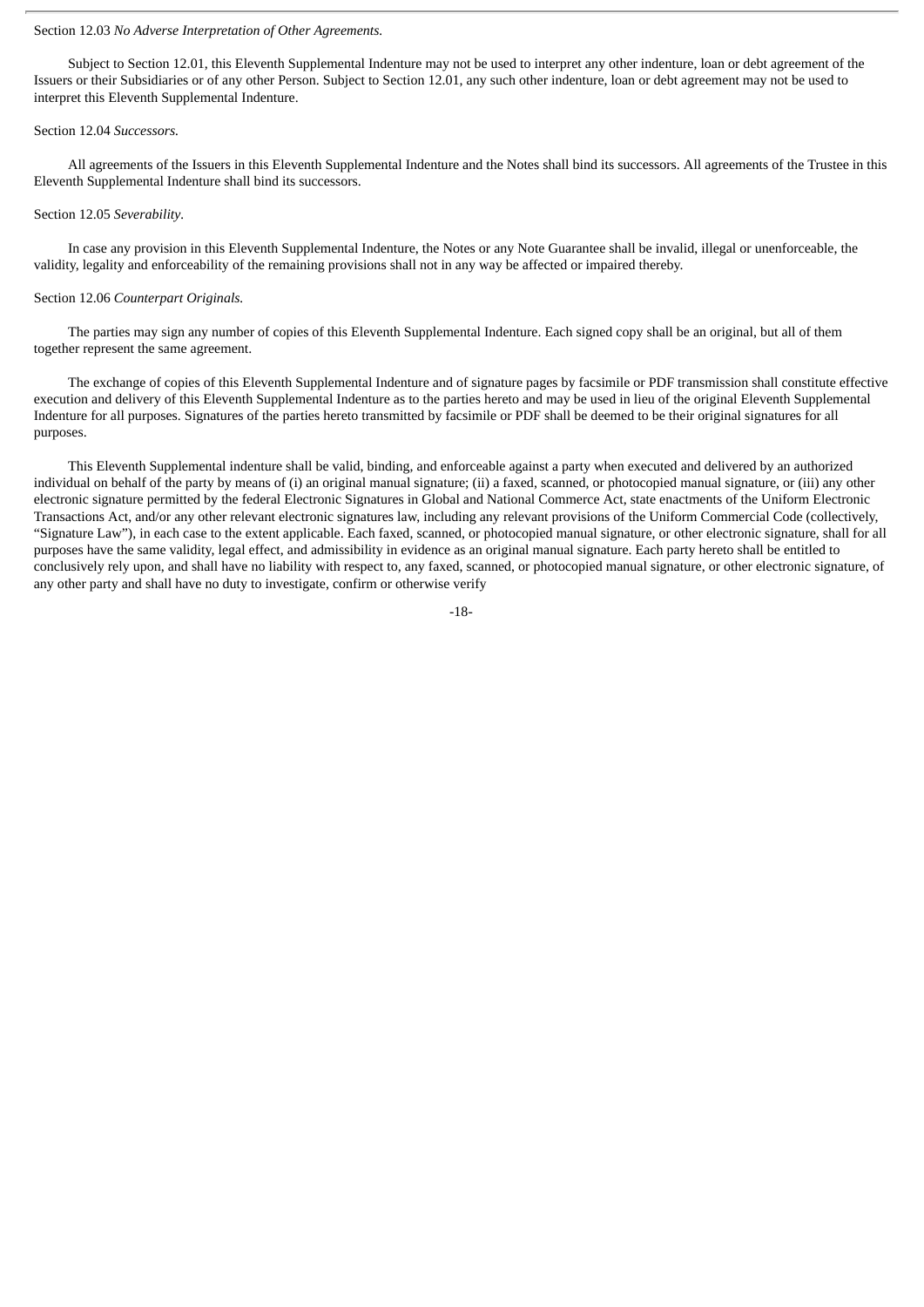#### Section 12.03 *No Adverse Interpretation of Other Agreements.*

Subject to Section 12.01, this Eleventh Supplemental Indenture may not be used to interpret any other indenture, loan or debt agreement of the Issuers or their Subsidiaries or of any other Person. Subject to Section 12.01, any such other indenture, loan or debt agreement may not be used to interpret this Eleventh Supplemental Indenture.

#### Section 12.04 *Successors.*

All agreements of the Issuers in this Eleventh Supplemental Indenture and the Notes shall bind its successors. All agreements of the Trustee in this Eleventh Supplemental Indenture shall bind its successors.

#### Section 12.05 *Severability.*

In case any provision in this Eleventh Supplemental Indenture, the Notes or any Note Guarantee shall be invalid, illegal or unenforceable, the validity, legality and enforceability of the remaining provisions shall not in any way be affected or impaired thereby.

#### Section 12.06 *Counterpart Originals.*

The parties may sign any number of copies of this Eleventh Supplemental Indenture. Each signed copy shall be an original, but all of them together represent the same agreement.

The exchange of copies of this Eleventh Supplemental Indenture and of signature pages by facsimile or PDF transmission shall constitute effective execution and delivery of this Eleventh Supplemental Indenture as to the parties hereto and may be used in lieu of the original Eleventh Supplemental Indenture for all purposes. Signatures of the parties hereto transmitted by facsimile or PDF shall be deemed to be their original signatures for all purposes.

This Eleventh Supplemental indenture shall be valid, binding, and enforceable against a party when executed and delivered by an authorized individual on behalf of the party by means of (i) an original manual signature; (ii) a faxed, scanned, or photocopied manual signature, or (iii) any other electronic signature permitted by the federal Electronic Signatures in Global and National Commerce Act, state enactments of the Uniform Electronic Transactions Act, and/or any other relevant electronic signatures law, including any relevant provisions of the Uniform Commercial Code (collectively, "Signature Law"), in each case to the extent applicable. Each faxed, scanned, or photocopied manual signature, or other electronic signature, shall for all purposes have the same validity, legal effect, and admissibility in evidence as an original manual signature. Each party hereto shall be entitled to conclusively rely upon, and shall have no liability with respect to, any faxed, scanned, or photocopied manual signature, or other electronic signature, of any other party and shall have no duty to investigate, confirm or otherwise verify

-18-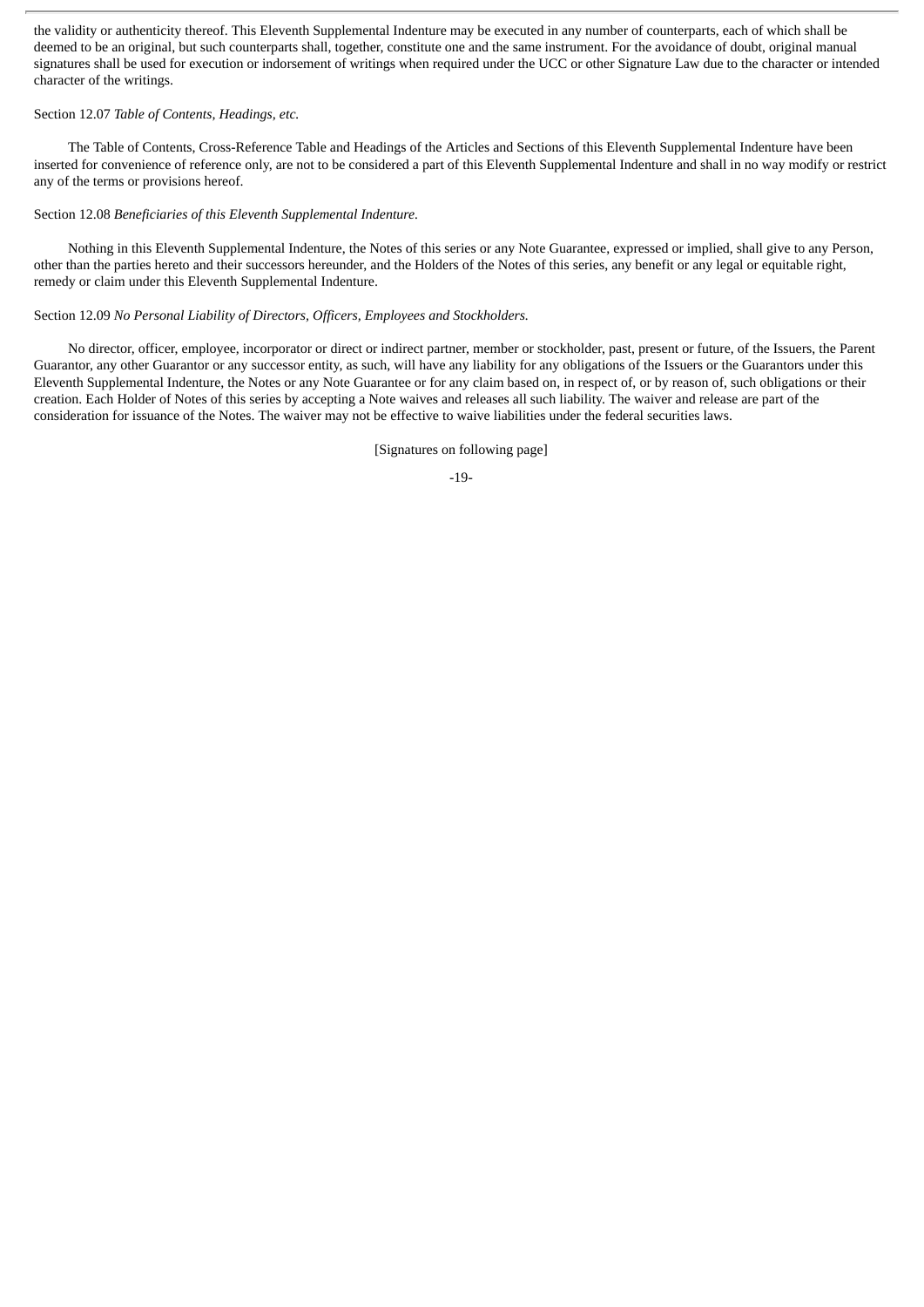the validity or authenticity thereof. This Eleventh Supplemental Indenture may be executed in any number of counterparts, each of which shall be deemed to be an original, but such counterparts shall, together, constitute one and the same instrument. For the avoidance of doubt, original manual signatures shall be used for execution or indorsement of writings when required under the UCC or other Signature Law due to the character or intended character of the writings.

#### Section 12.07 *Table of Contents, Headings, etc.*

The Table of Contents, Cross-Reference Table and Headings of the Articles and Sections of this Eleventh Supplemental Indenture have been inserted for convenience of reference only, are not to be considered a part of this Eleventh Supplemental Indenture and shall in no way modify or restrict any of the terms or provisions hereof.

Section 12.08 *Beneficiaries of this Eleventh Supplemental Indenture.*

Nothing in this Eleventh Supplemental Indenture, the Notes of this series or any Note Guarantee, expressed or implied, shall give to any Person, other than the parties hereto and their successors hereunder, and the Holders of the Notes of this series, any benefit or any legal or equitable right, remedy or claim under this Eleventh Supplemental Indenture.

## Section 12.09 *No Personal Liability of Directors, Officers, Employees and Stockholders.*

No director, officer, employee, incorporator or direct or indirect partner, member or stockholder, past, present or future, of the Issuers, the Parent Guarantor, any other Guarantor or any successor entity, as such, will have any liability for any obligations of the Issuers or the Guarantors under this Eleventh Supplemental Indenture, the Notes or any Note Guarantee or for any claim based on, in respect of, or by reason of, such obligations or their creation. Each Holder of Notes of this series by accepting a Note waives and releases all such liability. The waiver and release are part of the consideration for issuance of the Notes. The waiver may not be effective to waive liabilities under the federal securities laws.

[Signatures on following page]

-19-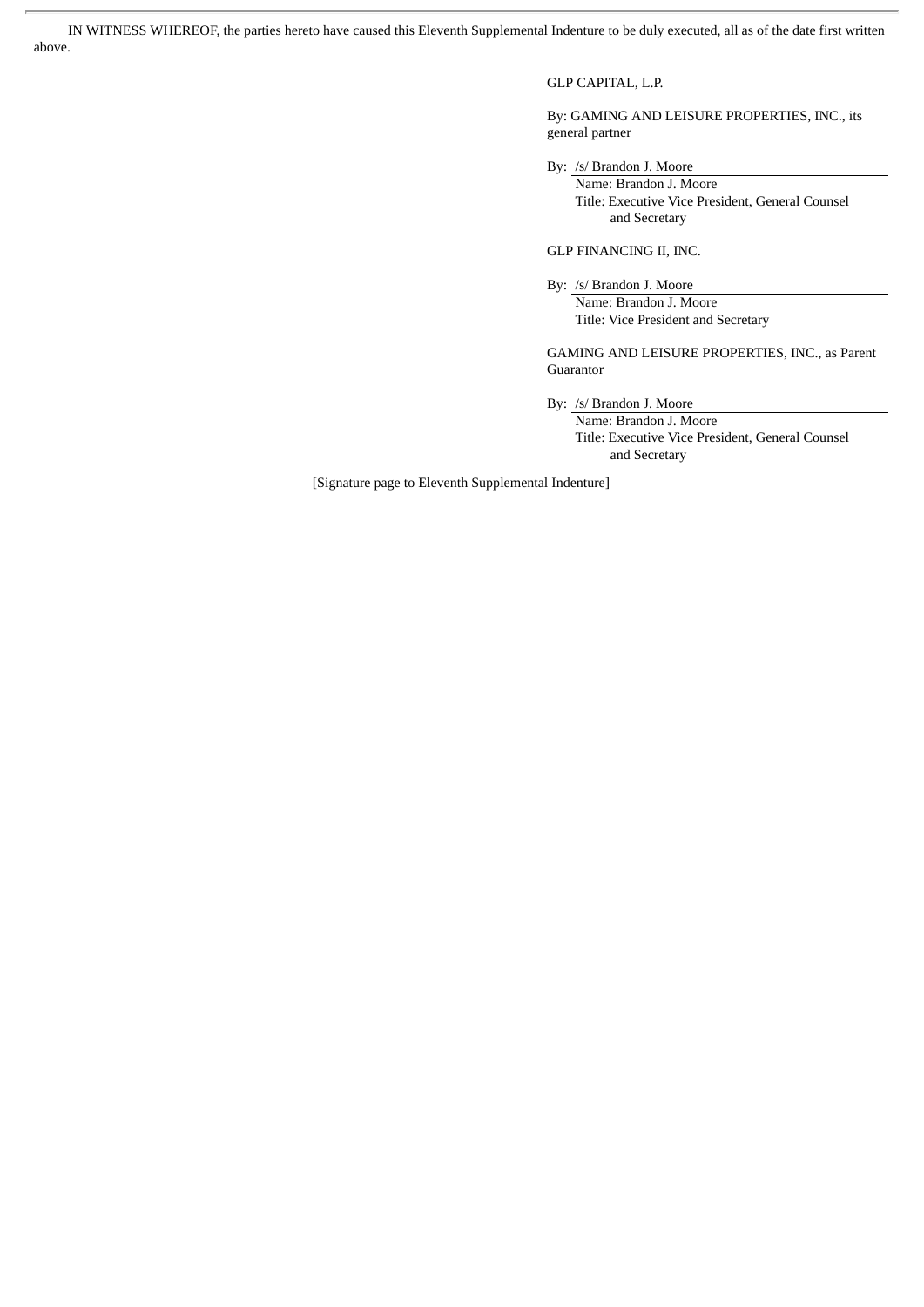IN WITNESS WHEREOF, the parties hereto have caused this Eleventh Supplemental Indenture to be duly executed, all as of the date first written above.

## GLP CAPITAL, L.P.

By: GAMING AND LEISURE PROPERTIES, INC., its general partner

By: /s/ Brandon J. Moore

Name: Brandon J. Moore Title: Executive Vice President, General Counsel and Secretary

GLP FINANCING II, INC.

By: /s/ Brandon J. Moore

Name: Brandon J. Moore Title: Vice President and Secretary

GAMING AND LEISURE PROPERTIES, INC., as Parent Guarantor

By: /s/ Brandon J. Moore

Name: Brandon J. Moore Title: Executive Vice President, General Counsel and Secretary

[Signature page to Eleventh Supplemental Indenture]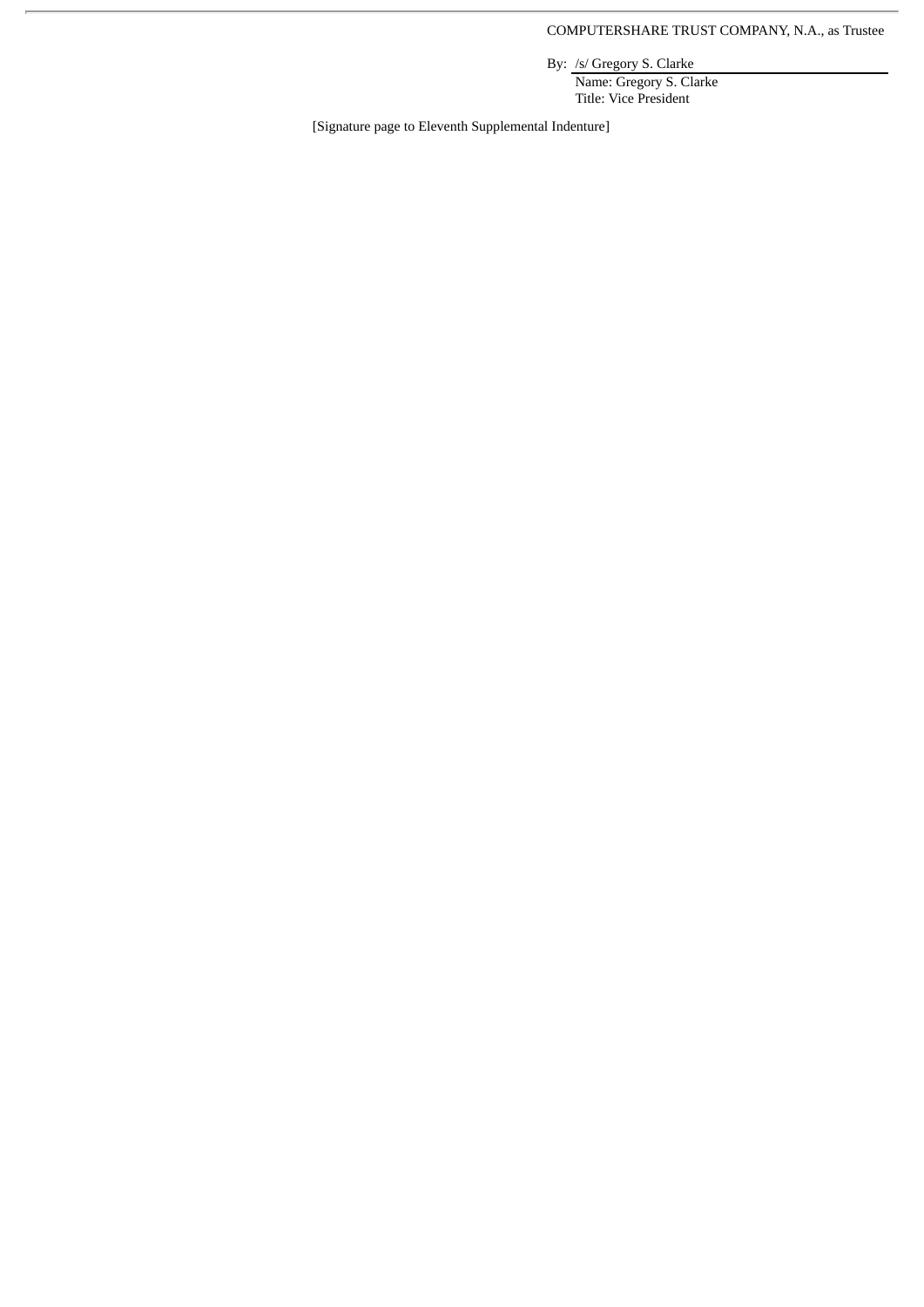COMPUTERSHARE TRUST COMPANY, N.A., as Trustee

By: /s/ Gregory S. Clarke

Name: Gregory S. Clarke Title: Vice President

[Signature page to Eleventh Supplemental Indenture]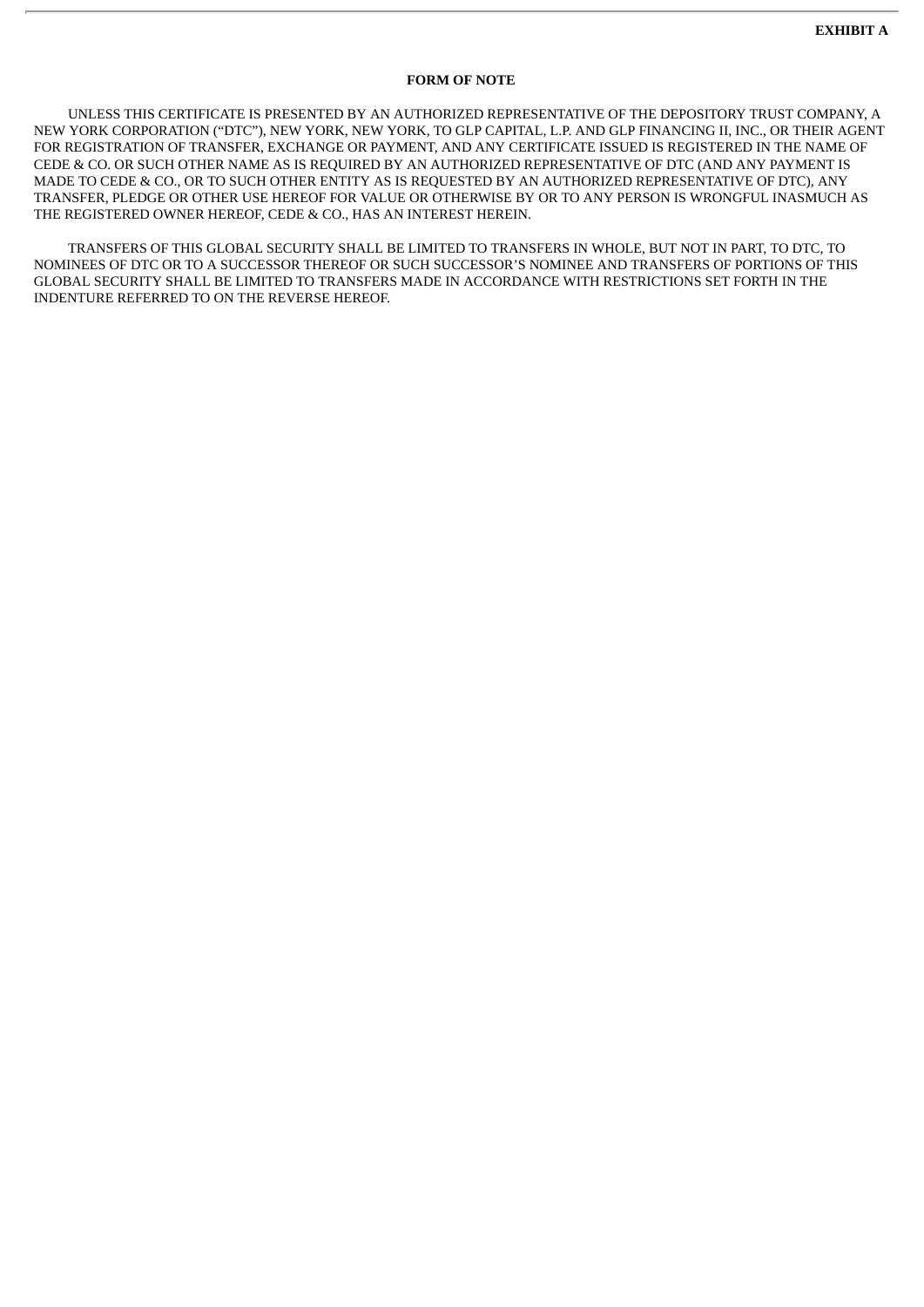## **FORM OF NOTE**

UNLESS THIS CERTIFICATE IS PRESENTED BY AN AUTHORIZED REPRESENTATIVE OF THE DEPOSITORY TRUST COMPANY, A NEW YORK CORPORATION ("DTC"), NEW YORK, NEW YORK, TO GLP CAPITAL, L.P. AND GLP FINANCING II, INC., OR THEIR AGENT FOR REGISTRATION OF TRANSFER, EXCHANGE OR PAYMENT, AND ANY CERTIFICATE ISSUED IS REGISTERED IN THE NAME OF CEDE & CO. OR SUCH OTHER NAME AS IS REQUIRED BY AN AUTHORIZED REPRESENTATIVE OF DTC (AND ANY PAYMENT IS MADE TO CEDE & CO., OR TO SUCH OTHER ENTITY AS IS REQUESTED BY AN AUTHORIZED REPRESENTATIVE OF DTC), ANY TRANSFER, PLEDGE OR OTHER USE HEREOF FOR VALUE OR OTHERWISE BY OR TO ANY PERSON IS WRONGFUL INASMUCH AS THE REGISTERED OWNER HEREOF, CEDE & CO., HAS AN INTEREST HEREIN.

TRANSFERS OF THIS GLOBAL SECURITY SHALL BE LIMITED TO TRANSFERS IN WHOLE, BUT NOT IN PART, TO DTC, TO NOMINEES OF DTC OR TO A SUCCESSOR THEREOF OR SUCH SUCCESSOR'S NOMINEE AND TRANSFERS OF PORTIONS OF THIS GLOBAL SECURITY SHALL BE LIMITED TO TRANSFERS MADE IN ACCORDANCE WITH RESTRICTIONS SET FORTH IN THE INDENTURE REFERRED TO ON THE REVERSE HEREOF.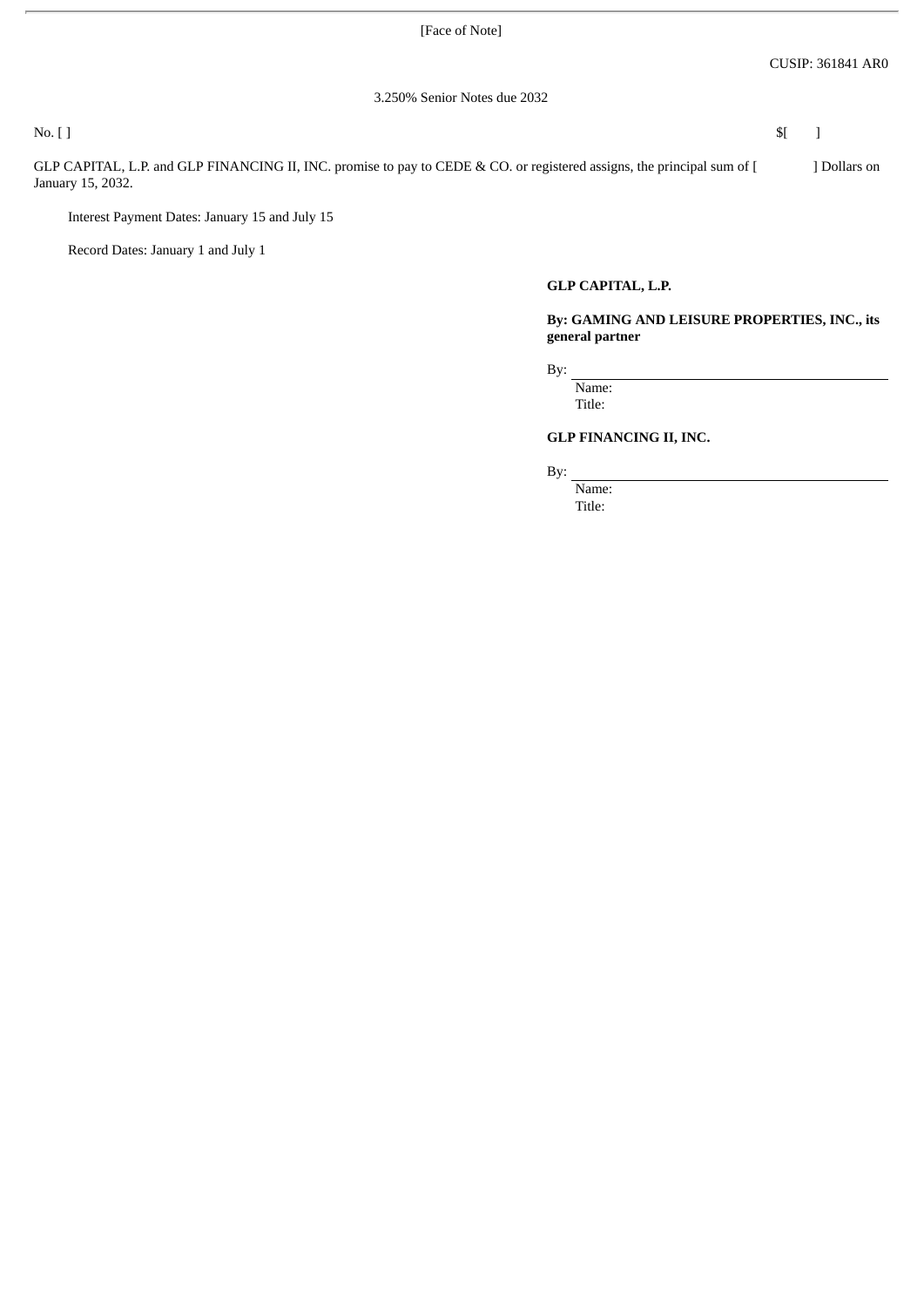[Face of Note]

3.250% Senior Notes due 2032

No.  $[$  ]  $$[$ 

GLP CAPITAL, L.P. and GLP FINANCING II, INC. promise to pay to CEDE & CO. or registered assigns, the principal sum of [ ] Dollars on January 15, 2032.

Interest Payment Dates: January 15 and July 15

Record Dates: January 1 and July 1

## **GLP CAPITAL, L.P.**

**By: GAMING AND LEISURE PROPERTIES, INC., its general partner**

By:

Name: Title:

## **GLP FINANCING II, INC.**

By:

Name: Title: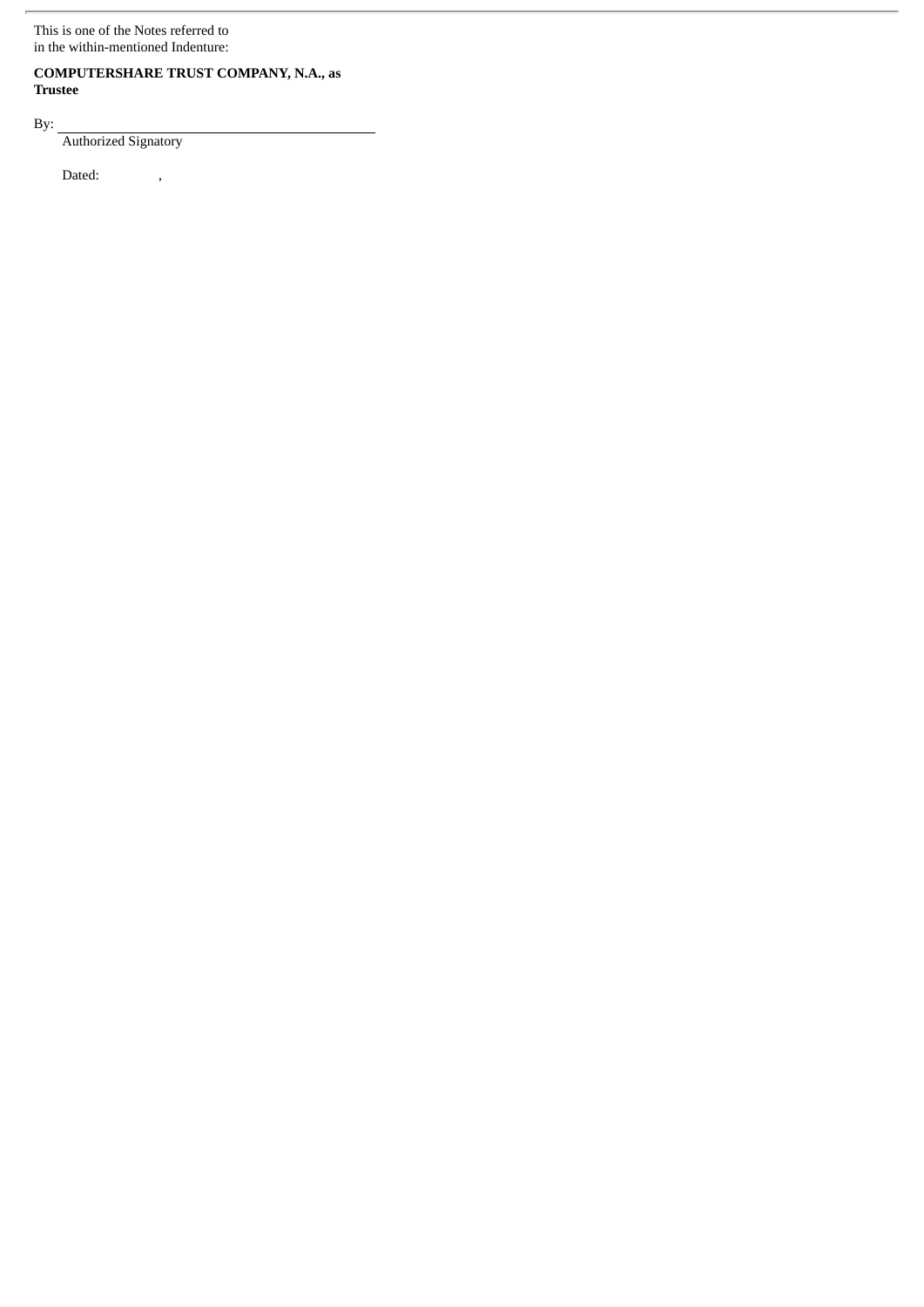This is one of the Notes referred to in the within-mentioned Indenture:

## **COMPUTERSHARE TRUST COMPANY, N.A., as Trustee**

By:

Authorized Signatory

Dated: ,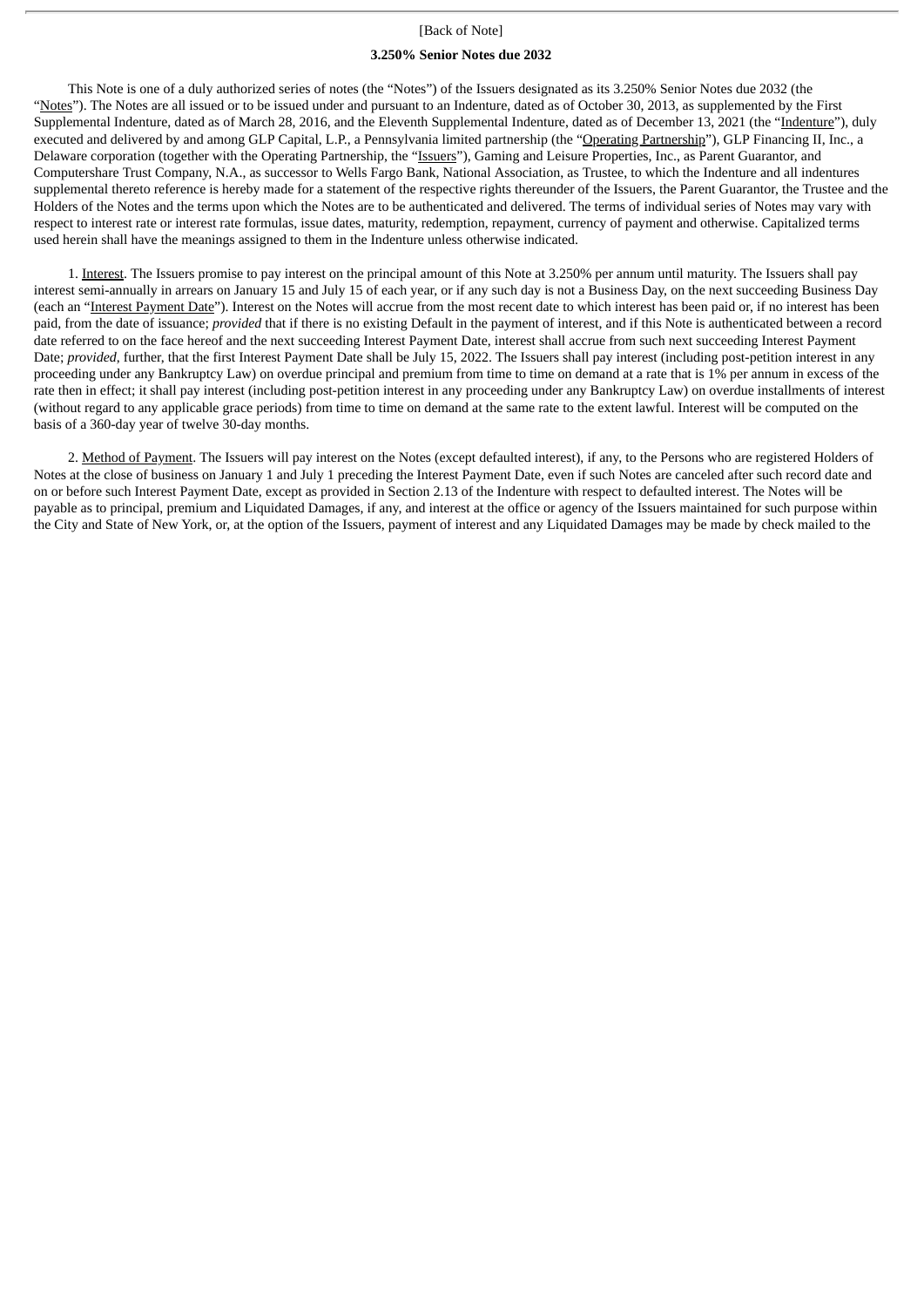#### [Back of Note]

#### **3.250% Senior Notes due 2032**

This Note is one of a duly authorized series of notes (the "Notes") of the Issuers designated as its 3.250% Senior Notes due 2032 (the "Notes"). The Notes are all issued or to be issued under and pursuant to an Indenture, dated as of October 30, 2013, as supplemented by the First Supplemental Indenture, dated as of March 28, 2016, and the Eleventh Supplemental Indenture, dated as of December 13, 2021 (the "Indenture"), duly executed and delivered by and among GLP Capital, L.P., a Pennsylvania limited partnership (the "Operating Partnership"), GLP Financing II, Inc., a Delaware corporation (together with the Operating Partnership, the "Issuers"), Gaming and Leisure Properties, Inc., as Parent Guarantor, and Computershare Trust Company, N.A., as successor to Wells Fargo Bank, National Association, as Trustee, to which the Indenture and all indentures supplemental thereto reference is hereby made for a statement of the respective rights thereunder of the Issuers, the Parent Guarantor, the Trustee and the Holders of the Notes and the terms upon which the Notes are to be authenticated and delivered. The terms of individual series of Notes may vary with respect to interest rate or interest rate formulas, issue dates, maturity, redemption, repayment, currency of payment and otherwise. Capitalized terms used herein shall have the meanings assigned to them in the Indenture unless otherwise indicated.

1. Interest. The Issuers promise to pay interest on the principal amount of this Note at 3.250% per annum until maturity. The Issuers shall pay interest semi-annually in arrears on January 15 and July 15 of each year, or if any such day is not a Business Day, on the next succeeding Business Day (each an "Interest Payment Date"). Interest on the Notes will accrue from the most recent date to which interest has been paid or, if no interest has been paid, from the date of issuance; *provided* that if there is no existing Default in the payment of interest, and if this Note is authenticated between a record date referred to on the face hereof and the next succeeding Interest Payment Date, interest shall accrue from such next succeeding Interest Payment Date; *provided*, further, that the first Interest Payment Date shall be July 15, 2022. The Issuers shall pay interest (including post-petition interest in any proceeding under any Bankruptcy Law) on overdue principal and premium from time to time on demand at a rate that is 1% per annum in excess of the rate then in effect; it shall pay interest (including post-petition interest in any proceeding under any Bankruptcy Law) on overdue installments of interest (without regard to any applicable grace periods) from time to time on demand at the same rate to the extent lawful. Interest will be computed on the basis of a 360-day year of twelve 30-day months.

2. Method of Payment. The Issuers will pay interest on the Notes (except defaulted interest), if any, to the Persons who are registered Holders of Notes at the close of business on January 1 and July 1 preceding the Interest Payment Date, even if such Notes are canceled after such record date and on or before such Interest Payment Date, except as provided in Section 2.13 of the Indenture with respect to defaulted interest. The Notes will be payable as to principal, premium and Liquidated Damages, if any, and interest at the office or agency of the Issuers maintained for such purpose within the City and State of New York, or, at the option of the Issuers, payment of interest and any Liquidated Damages may be made by check mailed to the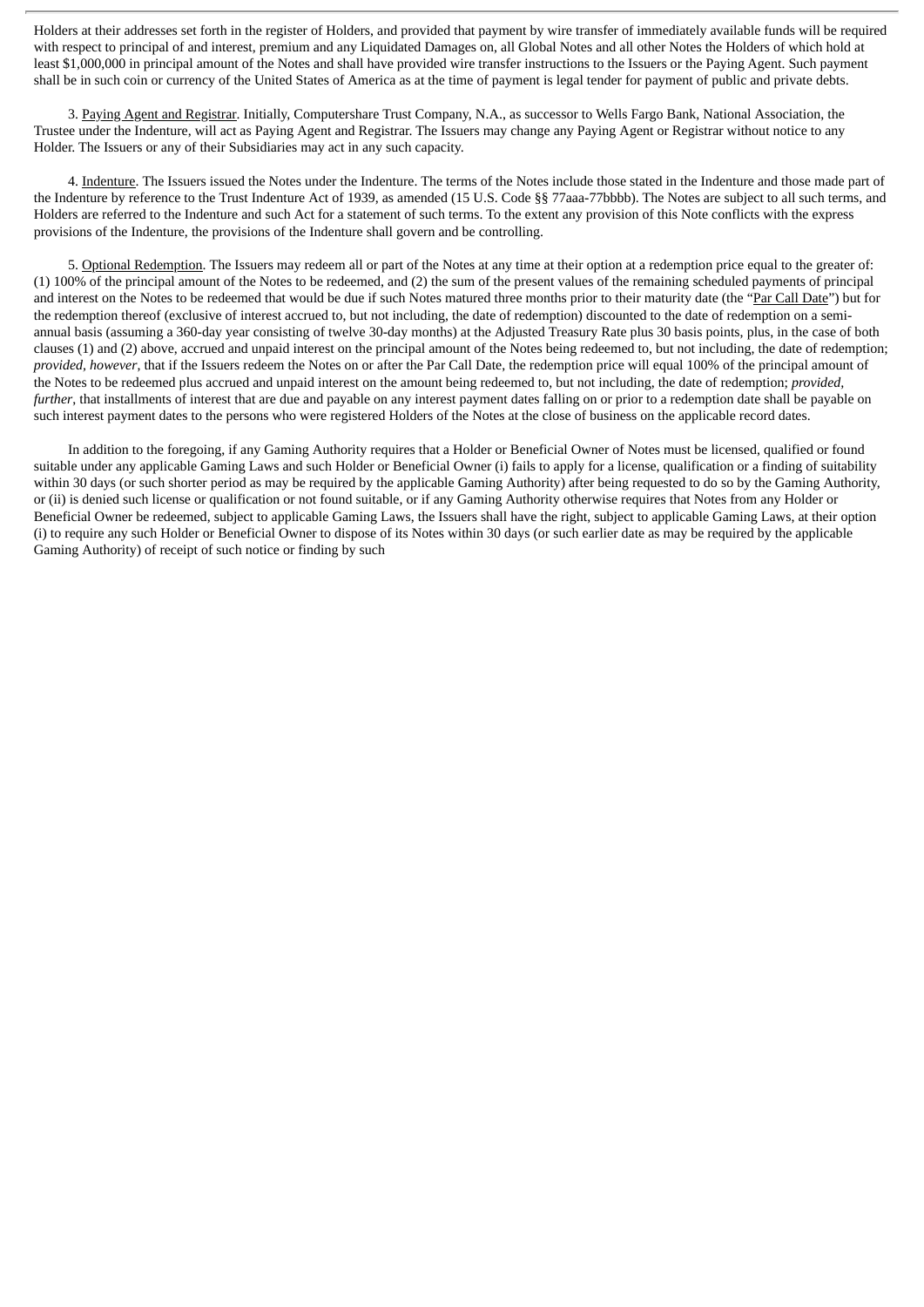Holders at their addresses set forth in the register of Holders, and provided that payment by wire transfer of immediately available funds will be required with respect to principal of and interest, premium and any Liquidated Damages on, all Global Notes and all other Notes the Holders of which hold at least \$1,000,000 in principal amount of the Notes and shall have provided wire transfer instructions to the Issuers or the Paying Agent. Such payment shall be in such coin or currency of the United States of America as at the time of payment is legal tender for payment of public and private debts.

3. Paying Agent and Registrar. Initially, Computershare Trust Company, N.A., as successor to Wells Fargo Bank, National Association. the Trustee under the Indenture, will act as Paying Agent and Registrar. The Issuers may change any Paying Agent or Registrar without notice to any Holder. The Issuers or any of their Subsidiaries may act in any such capacity.

4. Indenture. The Issuers issued the Notes under the Indenture. The terms of the Notes include those stated in the Indenture and those made part of the Indenture by reference to the Trust Indenture Act of 1939, as amended (15 U.S. Code §§ 77aaa-77bbbb). The Notes are subject to all such terms, and Holders are referred to the Indenture and such Act for a statement of such terms. To the extent any provision of this Note conflicts with the express provisions of the Indenture, the provisions of the Indenture shall govern and be controlling.

5. Optional Redemption. The Issuers may redeem all or part of the Notes at any time at their option at a redemption price equal to the greater of: (1) 100% of the principal amount of the Notes to be redeemed, and (2) the sum of the present values of the remaining scheduled payments of principal and interest on the Notes to be redeemed that would be due if such Notes matured three months prior to their maturity date (the "Par Call Date") but for the redemption thereof (exclusive of interest accrued to, but not including, the date of redemption) discounted to the date of redemption on a semiannual basis (assuming a 360-day year consisting of twelve 30-day months) at the Adjusted Treasury Rate plus 30 basis points, plus, in the case of both clauses (1) and (2) above, accrued and unpaid interest on the principal amount of the Notes being redeemed to, but not including, the date of redemption; *provided, however*, that if the Issuers redeem the Notes on or after the Par Call Date, the redemption price will equal 100% of the principal amount of the Notes to be redeemed plus accrued and unpaid interest on the amount being redeemed to, but not including, the date of redemption; *provided, further*, that installments of interest that are due and payable on any interest payment dates falling on or prior to a redemption date shall be payable on such interest payment dates to the persons who were registered Holders of the Notes at the close of business on the applicable record dates.

In addition to the foregoing, if any Gaming Authority requires that a Holder or Beneficial Owner of Notes must be licensed, qualified or found suitable under any applicable Gaming Laws and such Holder or Beneficial Owner (i) fails to apply for a license, qualification or a finding of suitability within 30 days (or such shorter period as may be required by the applicable Gaming Authority) after being requested to do so by the Gaming Authority, or (ii) is denied such license or qualification or not found suitable, or if any Gaming Authority otherwise requires that Notes from any Holder or Beneficial Owner be redeemed, subject to applicable Gaming Laws, the Issuers shall have the right, subject to applicable Gaming Laws, at their option (i) to require any such Holder or Beneficial Owner to dispose of its Notes within 30 days (or such earlier date as may be required by the applicable Gaming Authority) of receipt of such notice or finding by such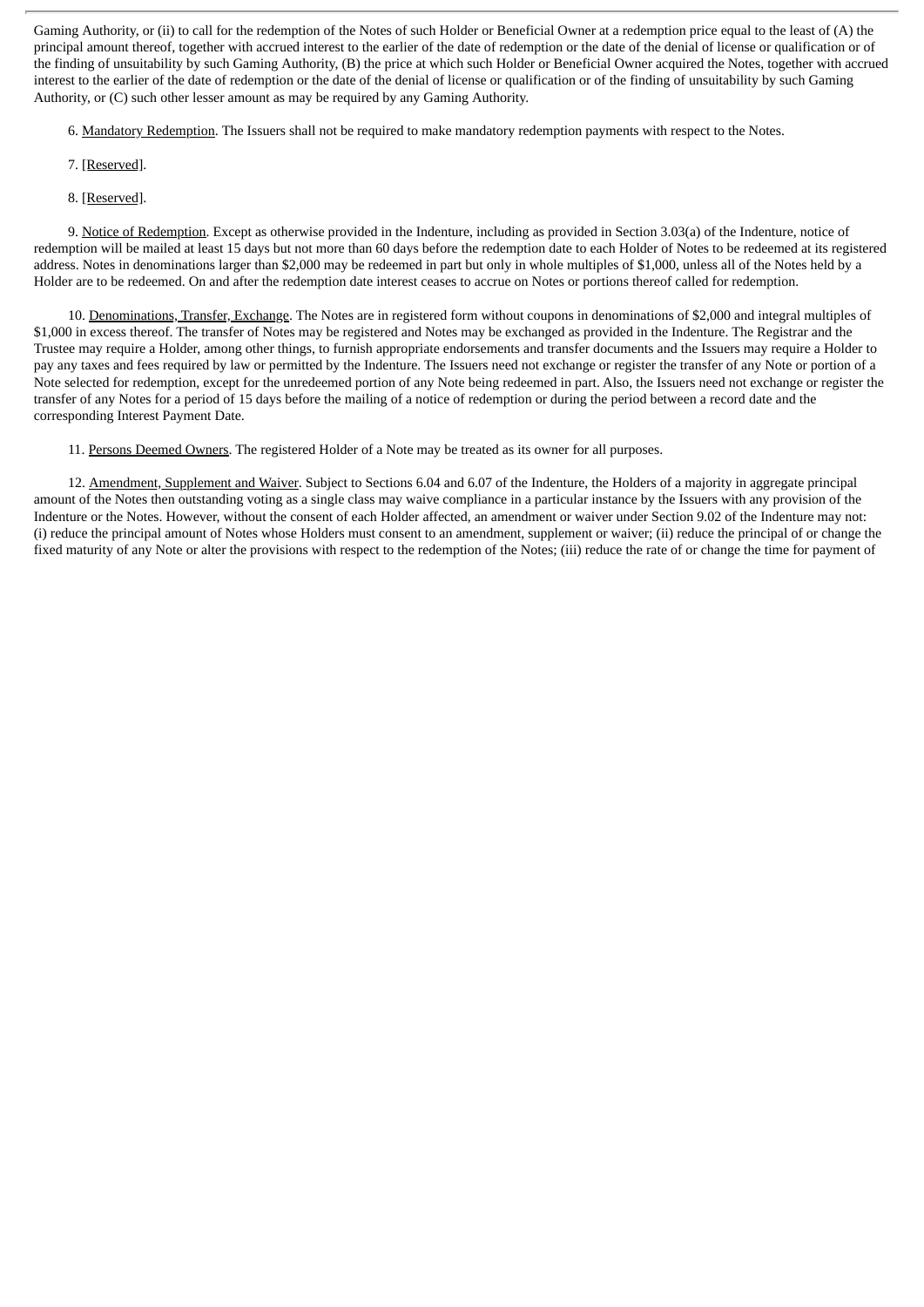Gaming Authority, or (ii) to call for the redemption of the Notes of such Holder or Beneficial Owner at a redemption price equal to the least of (A) the principal amount thereof, together with accrued interest to the earlier of the date of redemption or the date of the denial of license or qualification or of the finding of unsuitability by such Gaming Authority, (B) the price at which such Holder or Beneficial Owner acquired the Notes, together with accrued interest to the earlier of the date of redemption or the date of the denial of license or qualification or of the finding of unsuitability by such Gaming Authority, or (C) such other lesser amount as may be required by any Gaming Authority.

6. Mandatory Redemption. The Issuers shall not be required to make mandatory redemption payments with respect to the Notes.

- 7. [Reserved].
- 8. [Reserved].

9. Notice of Redemption. Except as otherwise provided in the Indenture, including as provided in Section 3.03(a) of the Indenture, notice of redemption will be mailed at least 15 days but not more than 60 days before the redemption date to each Holder of Notes to be redeemed at its registered address. Notes in denominations larger than \$2,000 may be redeemed in part but only in whole multiples of \$1,000, unless all of the Notes held by a Holder are to be redeemed. On and after the redemption date interest ceases to accrue on Notes or portions thereof called for redemption.

10. Denominations, Transfer, Exchange. The Notes are in registered form without coupons in denominations of \$2,000 and integral multiples of \$1,000 in excess thereof. The transfer of Notes may be registered and Notes may be exchanged as provided in the Indenture. The Registrar and the Trustee may require a Holder, among other things, to furnish appropriate endorsements and transfer documents and the Issuers may require a Holder to pay any taxes and fees required by law or permitted by the Indenture. The Issuers need not exchange or register the transfer of any Note or portion of a Note selected for redemption, except for the unredeemed portion of any Note being redeemed in part. Also, the Issuers need not exchange or register the transfer of any Notes for a period of 15 days before the mailing of a notice of redemption or during the period between a record date and the corresponding Interest Payment Date.

11. Persons Deemed Owners. The registered Holder of a Note may be treated as its owner for all purposes.

12. Amendment, Supplement and Waiver. Subject to Sections 6.04 and 6.07 of the Indenture, the Holders of a majority in aggregate principal amount of the Notes then outstanding voting as a single class may waive compliance in a particular instance by the Issuers with any provision of the Indenture or the Notes. However, without the consent of each Holder affected, an amendment or waiver under Section 9.02 of the Indenture may not: (i) reduce the principal amount of Notes whose Holders must consent to an amendment, supplement or waiver; (ii) reduce the principal of or change the fixed maturity of any Note or alter the provisions with respect to the redemption of the Notes; (iii) reduce the rate of or change the time for payment of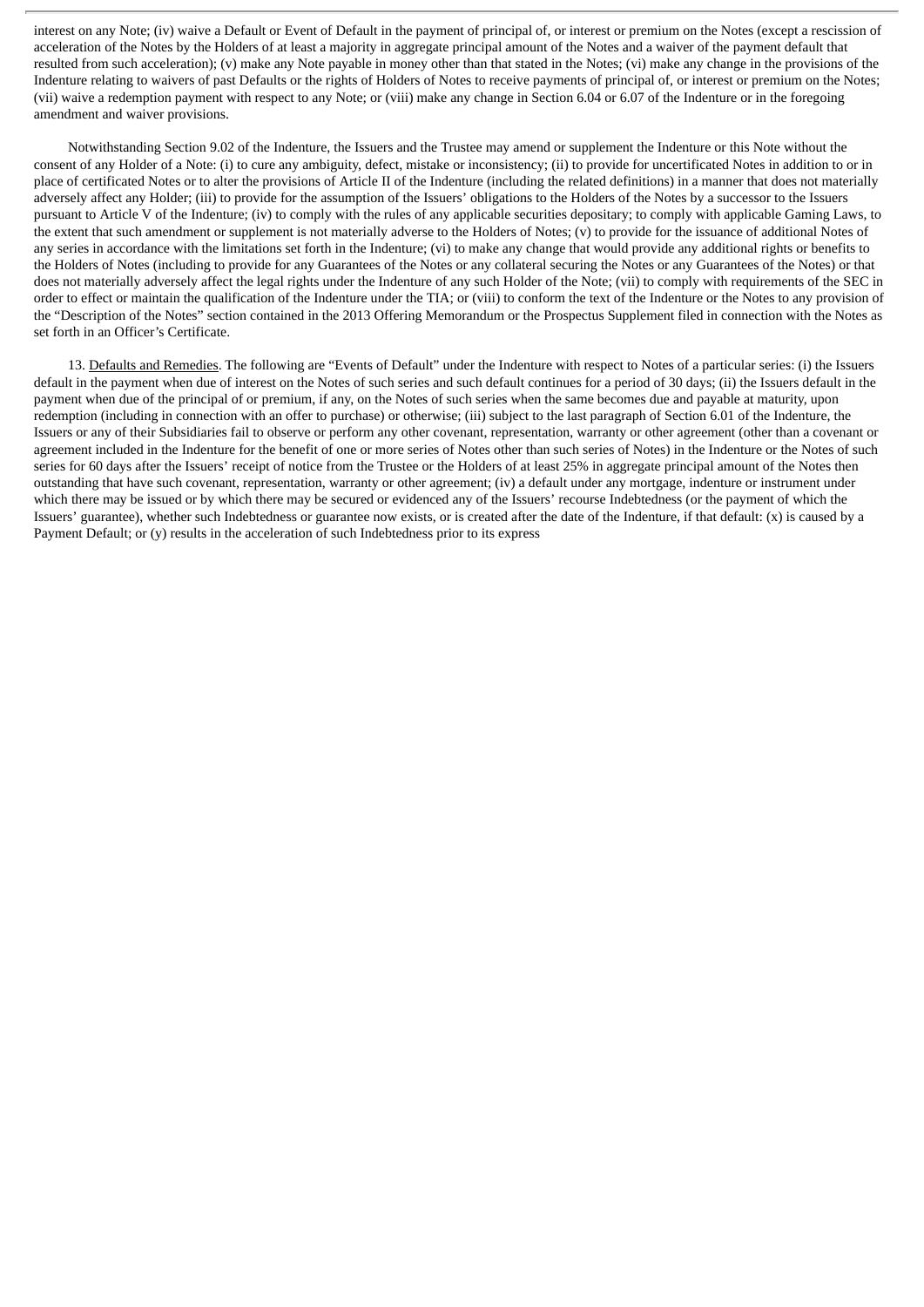interest on any Note; (iv) waive a Default or Event of Default in the payment of principal of, or interest or premium on the Notes (except a rescission of acceleration of the Notes by the Holders of at least a majority in aggregate principal amount of the Notes and a waiver of the payment default that resulted from such acceleration); (v) make any Note payable in money other than that stated in the Notes; (vi) make any change in the provisions of the Indenture relating to waivers of past Defaults or the rights of Holders of Notes to receive payments of principal of, or interest or premium on the Notes; (vii) waive a redemption payment with respect to any Note; or (viii) make any change in Section 6.04 or 6.07 of the Indenture or in the foregoing amendment and waiver provisions.

Notwithstanding Section 9.02 of the Indenture, the Issuers and the Trustee may amend or supplement the Indenture or this Note without the consent of any Holder of a Note: (i) to cure any ambiguity, defect, mistake or inconsistency; (ii) to provide for uncertificated Notes in addition to or in place of certificated Notes or to alter the provisions of Article II of the Indenture (including the related definitions) in a manner that does not materially adversely affect any Holder; (iii) to provide for the assumption of the Issuers' obligations to the Holders of the Notes by a successor to the Issuers pursuant to Article V of the Indenture; (iv) to comply with the rules of any applicable securities depositary; to comply with applicable Gaming Laws, to the extent that such amendment or supplement is not materially adverse to the Holders of Notes; (v) to provide for the issuance of additional Notes of any series in accordance with the limitations set forth in the Indenture; (vi) to make any change that would provide any additional rights or benefits to the Holders of Notes (including to provide for any Guarantees of the Notes or any collateral securing the Notes or any Guarantees of the Notes) or that does not materially adversely affect the legal rights under the Indenture of any such Holder of the Note; (vii) to comply with requirements of the SEC in order to effect or maintain the qualification of the Indenture under the TIA; or (viii) to conform the text of the Indenture or the Notes to any provision of the "Description of the Notes" section contained in the 2013 Offering Memorandum or the Prospectus Supplement filed in connection with the Notes as set forth in an Officer's Certificate.

13. Defaults and Remedies. The following are "Events of Default" under the Indenture with respect to Notes of a particular series: (i) the Issuers default in the payment when due of interest on the Notes of such series and such default continues for a period of 30 days; (ii) the Issuers default in the payment when due of the principal of or premium, if any, on the Notes of such series when the same becomes due and payable at maturity, upon redemption (including in connection with an offer to purchase) or otherwise; (iii) subject to the last paragraph of Section 6.01 of the Indenture, the Issuers or any of their Subsidiaries fail to observe or perform any other covenant, representation, warranty or other agreement (other than a covenant or agreement included in the Indenture for the benefit of one or more series of Notes other than such series of Notes) in the Indenture or the Notes of such series for 60 days after the Issuers' receipt of notice from the Trustee or the Holders of at least 25% in aggregate principal amount of the Notes then outstanding that have such covenant, representation, warranty or other agreement; (iv) a default under any mortgage, indenture or instrument under which there may be issued or by which there may be secured or evidenced any of the Issuers' recourse Indebtedness (or the payment of which the Issuers' guarantee), whether such Indebtedness or guarantee now exists, or is created after the date of the Indenture, if that default: (x) is caused by a Payment Default; or (y) results in the acceleration of such Indebtedness prior to its express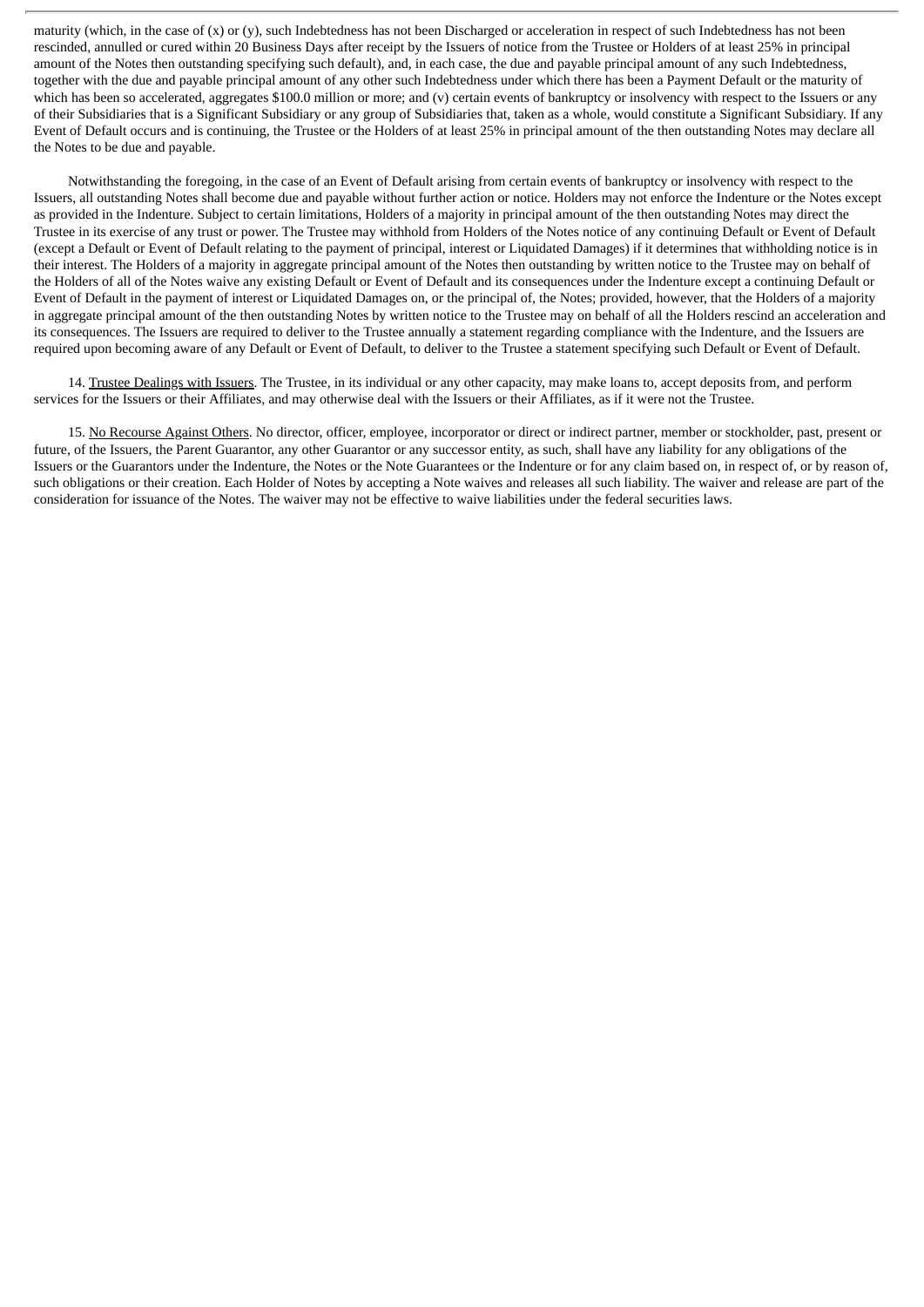maturity (which, in the case of (x) or (y), such Indebtedness has not been Discharged or acceleration in respect of such Indebtedness has not been rescinded, annulled or cured within 20 Business Days after receipt by the Issuers of notice from the Trustee or Holders of at least 25% in principal amount of the Notes then outstanding specifying such default), and, in each case, the due and payable principal amount of any such Indebtedness, together with the due and payable principal amount of any other such Indebtedness under which there has been a Payment Default or the maturity of which has been so accelerated, aggregates \$100.0 million or more; and (v) certain events of bankruptcy or insolvency with respect to the Issuers or any of their Subsidiaries that is a Significant Subsidiary or any group of Subsidiaries that, taken as a whole, would constitute a Significant Subsidiary. If any Event of Default occurs and is continuing, the Trustee or the Holders of at least 25% in principal amount of the then outstanding Notes may declare all the Notes to be due and payable.

Notwithstanding the foregoing, in the case of an Event of Default arising from certain events of bankruptcy or insolvency with respect to the Issuers, all outstanding Notes shall become due and payable without further action or notice. Holders may not enforce the Indenture or the Notes except as provided in the Indenture. Subject to certain limitations, Holders of a majority in principal amount of the then outstanding Notes may direct the Trustee in its exercise of any trust or power. The Trustee may withhold from Holders of the Notes notice of any continuing Default or Event of Default (except a Default or Event of Default relating to the payment of principal, interest or Liquidated Damages) if it determines that withholding notice is in their interest. The Holders of a majority in aggregate principal amount of the Notes then outstanding by written notice to the Trustee may on behalf of the Holders of all of the Notes waive any existing Default or Event of Default and its consequences under the Indenture except a continuing Default or Event of Default in the payment of interest or Liquidated Damages on, or the principal of, the Notes; provided, however, that the Holders of a majority in aggregate principal amount of the then outstanding Notes by written notice to the Trustee may on behalf of all the Holders rescind an acceleration and its consequences. The Issuers are required to deliver to the Trustee annually a statement regarding compliance with the Indenture, and the Issuers are required upon becoming aware of any Default or Event of Default, to deliver to the Trustee a statement specifying such Default or Event of Default.

14. Trustee Dealings with Issuers. The Trustee, in its individual or any other capacity, may make loans to, accept deposits from, and perform services for the Issuers or their Affiliates, and may otherwise deal with the Issuers or their Affiliates, as if it were not the Trustee.

15. No Recourse Against Others. No director, officer, employee, incorporator or direct or indirect partner, member or stockholder, past, present or future, of the Issuers, the Parent Guarantor, any other Guarantor or any successor entity, as such, shall have any liability for any obligations of the Issuers or the Guarantors under the Indenture, the Notes or the Note Guarantees or the Indenture or for any claim based on, in respect of, or by reason of, such obligations or their creation. Each Holder of Notes by accepting a Note waives and releases all such liability. The waiver and release are part of the consideration for issuance of the Notes. The waiver may not be effective to waive liabilities under the federal securities laws.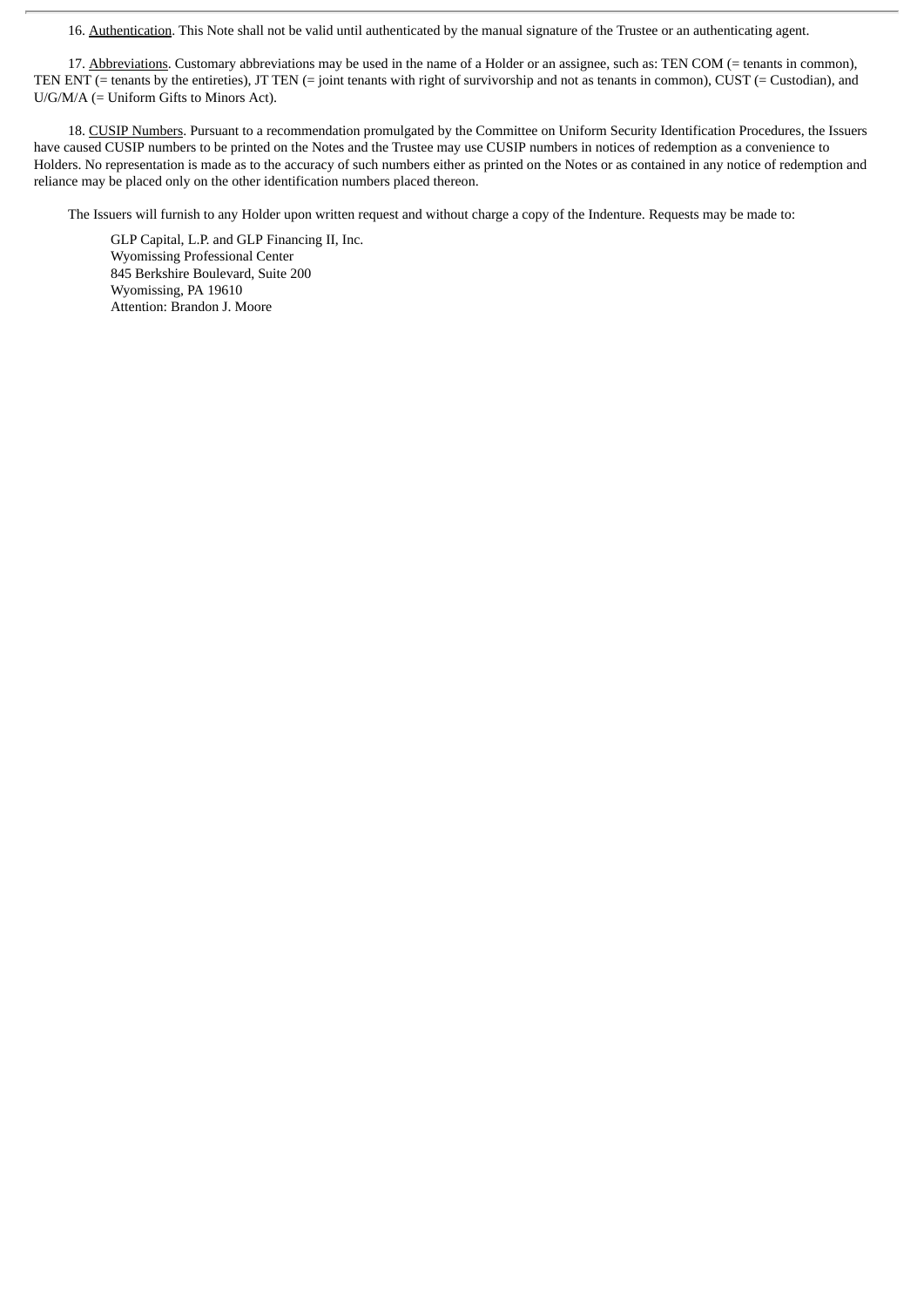16. Authentication. This Note shall not be valid until authenticated by the manual signature of the Trustee or an authenticating agent.

17. Abbreviations. Customary abbreviations may be used in the name of a Holder or an assignee, such as: TEN COM (= tenants in common), TEN ENT (= tenants by the entireties), JT TEN (= joint tenants with right of survivorship and not as tenants in common), CUST (= Custodian), and U/G/M/A (= Uniform Gifts to Minors Act).

18. CUSIP Numbers. Pursuant to a recommendation promulgated by the Committee on Uniform Security Identification Procedures, the Issuers have caused CUSIP numbers to be printed on the Notes and the Trustee may use CUSIP numbers in notices of redemption as a convenience to Holders. No representation is made as to the accuracy of such numbers either as printed on the Notes or as contained in any notice of redemption and reliance may be placed only on the other identification numbers placed thereon.

The Issuers will furnish to any Holder upon written request and without charge a copy of the Indenture. Requests may be made to:

GLP Capital, L.P. and GLP Financing II, Inc. Wyomissing Professional Center 845 Berkshire Boulevard, Suite 200 Wyomissing, PA 19610 Attention: Brandon J. Moore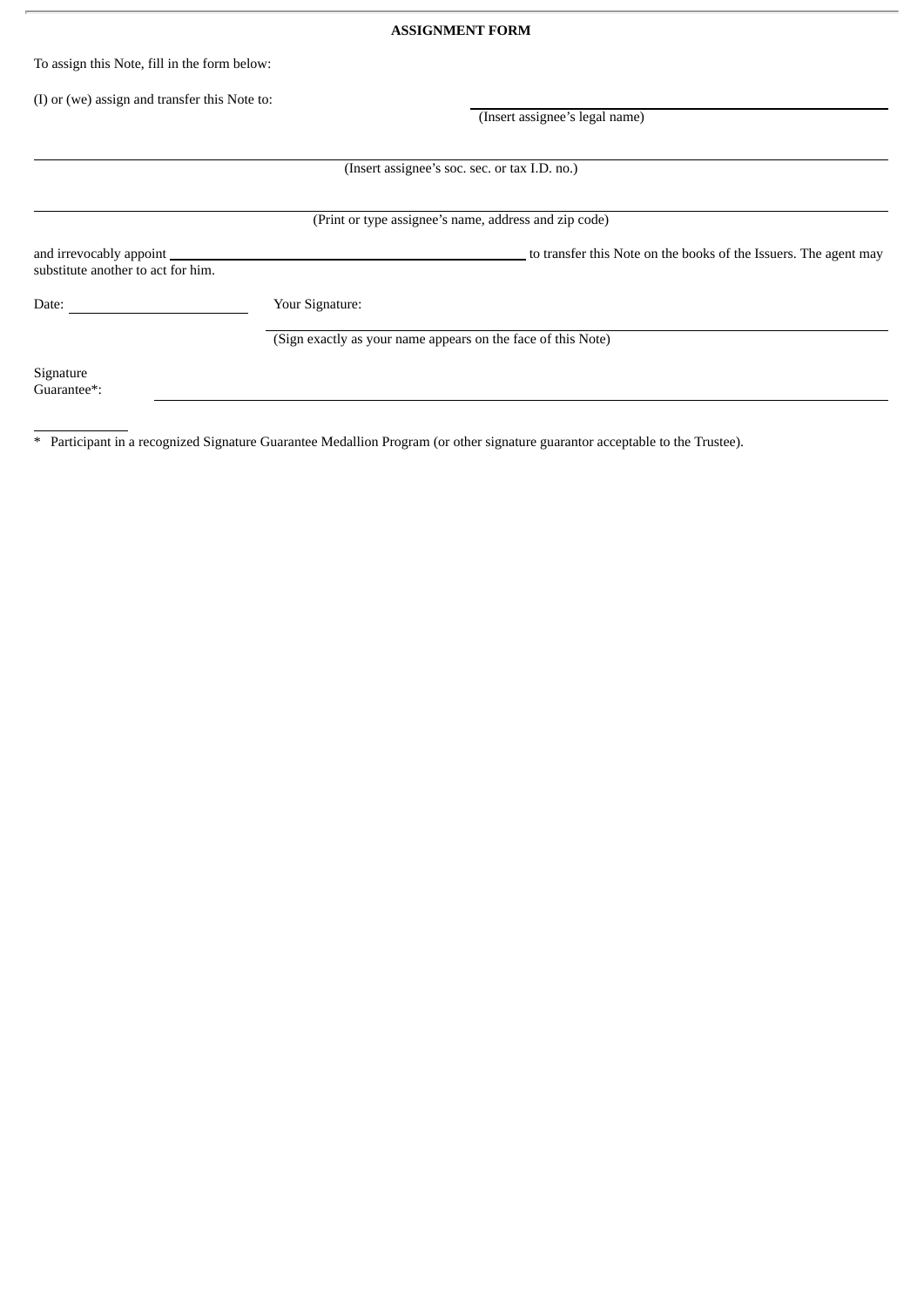| <b>ASSIGNMENT FORM</b>                                          |                                                              |                                                                  |  |
|-----------------------------------------------------------------|--------------------------------------------------------------|------------------------------------------------------------------|--|
| To assign this Note, fill in the form below:                    |                                                              |                                                                  |  |
| (I) or (we) assign and transfer this Note to:                   |                                                              | (Insert assignee's legal name)                                   |  |
|                                                                 |                                                              |                                                                  |  |
|                                                                 |                                                              | (Insert assignee's soc. sec. or tax I.D. no.)                    |  |
|                                                                 |                                                              | (Print or type assignee's name, address and zip code)            |  |
| and irrevocably appoint _<br>substitute another to act for him. |                                                              | to transfer this Note on the books of the Issuers. The agent may |  |
| Date:                                                           | Your Signature:                                              |                                                                  |  |
|                                                                 | (Sign exactly as your name appears on the face of this Note) |                                                                  |  |
| Signature<br>Guarantee*:                                        |                                                              |                                                                  |  |

\* Participant in a recognized Signature Guarantee Medallion Program (or other signature guarantor acceptable to the Trustee).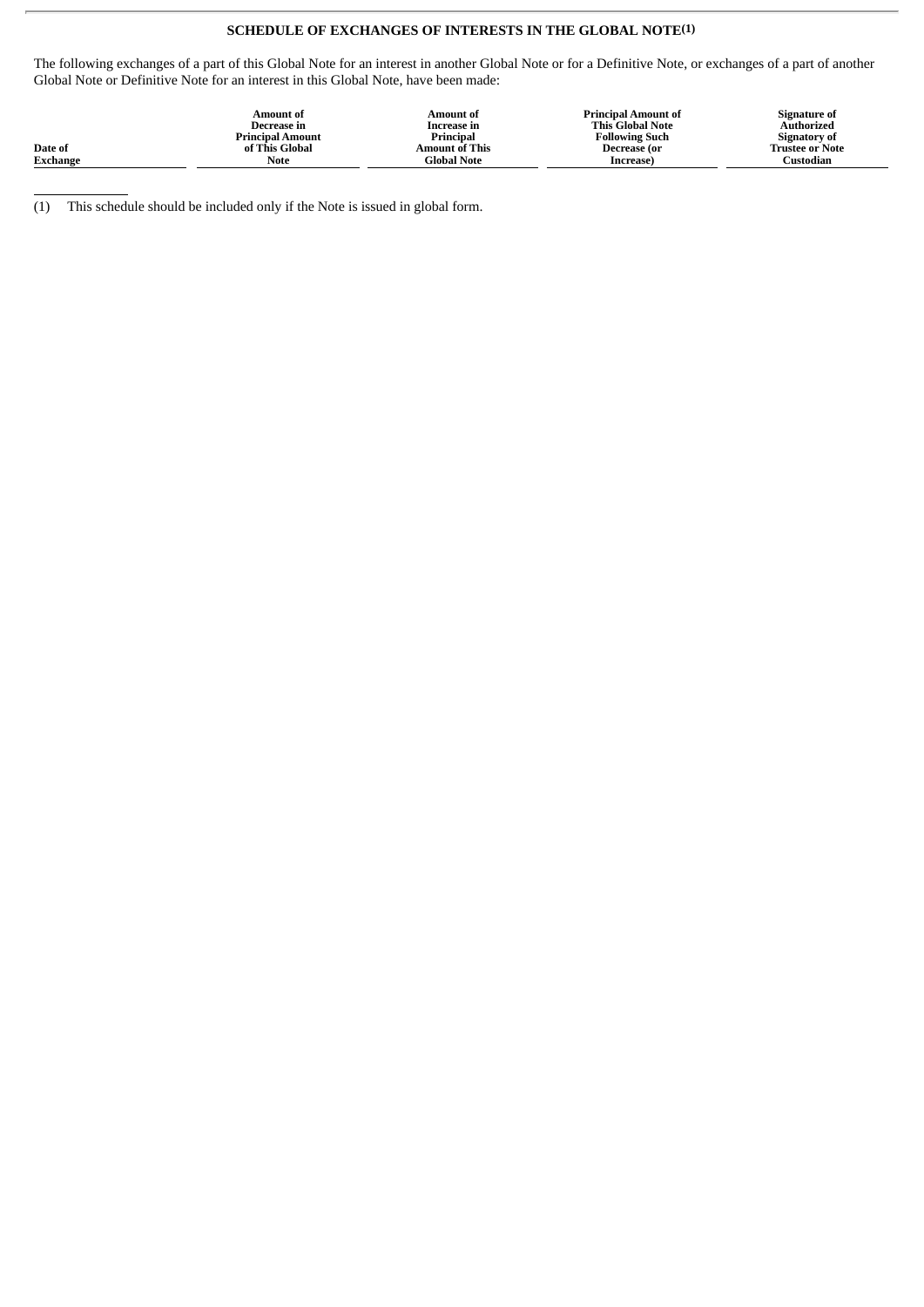## **SCHEDULE OF EXCHANGES OF INTERESTS IN THE GLOBAL NOTE(1)**

The following exchanges of a part of this Global Note for an interest in another Global Note or for a Definitive Note, or exchanges of a part of another Global Note or Definitive Note for an interest in this Global Note, have been made:

|                 | Amount of<br>Decrease in | Amount of<br>Increase in | <b>Principal Amount of</b><br><b>This Global Note</b> | Signature of<br>Authorized |
|-----------------|--------------------------|--------------------------|-------------------------------------------------------|----------------------------|
|                 | <b>Principal Amount</b>  | Principal                | <b>Following Such</b>                                 | <b>Signatory of</b>        |
| Date of         | of This Global           | Amount of This           | Decrease (or                                          | <b>Trustee or Note</b>     |
| <b>Exchange</b> | Note                     | Global Note              | Increase)                                             | Custodian                  |

(1) This schedule should be included only if the Note is issued in global form.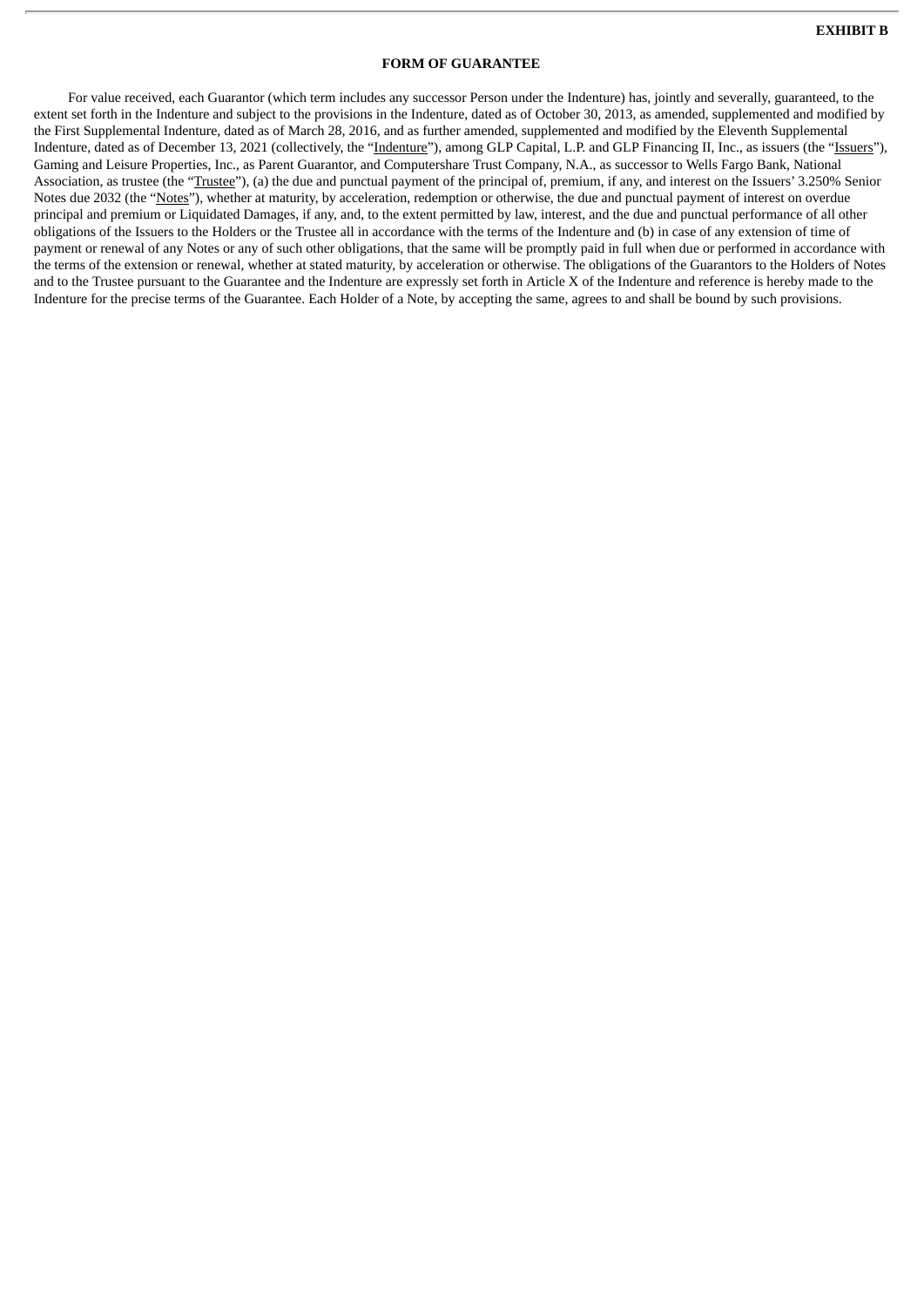#### **FORM OF GUARANTEE**

For value received, each Guarantor (which term includes any successor Person under the Indenture) has, jointly and severally, guaranteed, to the extent set forth in the Indenture and subject to the provisions in the Indenture, dated as of October 30, 2013, as amended, supplemented and modified by the First Supplemental Indenture, dated as of March 28, 2016, and as further amended, supplemented and modified by the Eleventh Supplemental Indenture, dated as of December 13, 2021 (collectively, the "Indenture"), among GLP Capital, L.P. and GLP Financing II, Inc., as issuers (the "Issuers"), Gaming and Leisure Properties, Inc., as Parent Guarantor, and Computershare Trust Company, N.A., as successor to Wells Fargo Bank, National Association, as trustee (the "Trustee"), (a) the due and punctual payment of the principal of, premium, if any, and interest on the Issuers' 3.250% Senior Notes due 2032 (the "Notes"), whether at maturity, by acceleration, redemption or otherwise, the due and punctual payment of interest on overdue principal and premium or Liquidated Damages, if any, and, to the extent permitted by law, interest, and the due and punctual performance of all other obligations of the Issuers to the Holders or the Trustee all in accordance with the terms of the Indenture and (b) in case of any extension of time of payment or renewal of any Notes or any of such other obligations, that the same will be promptly paid in full when due or performed in accordance with the terms of the extension or renewal, whether at stated maturity, by acceleration or otherwise. The obligations of the Guarantors to the Holders of Notes and to the Trustee pursuant to the Guarantee and the Indenture are expressly set forth in Article X of the Indenture and reference is hereby made to the Indenture for the precise terms of the Guarantee. Each Holder of a Note, by accepting the same, agrees to and shall be bound by such provisions.